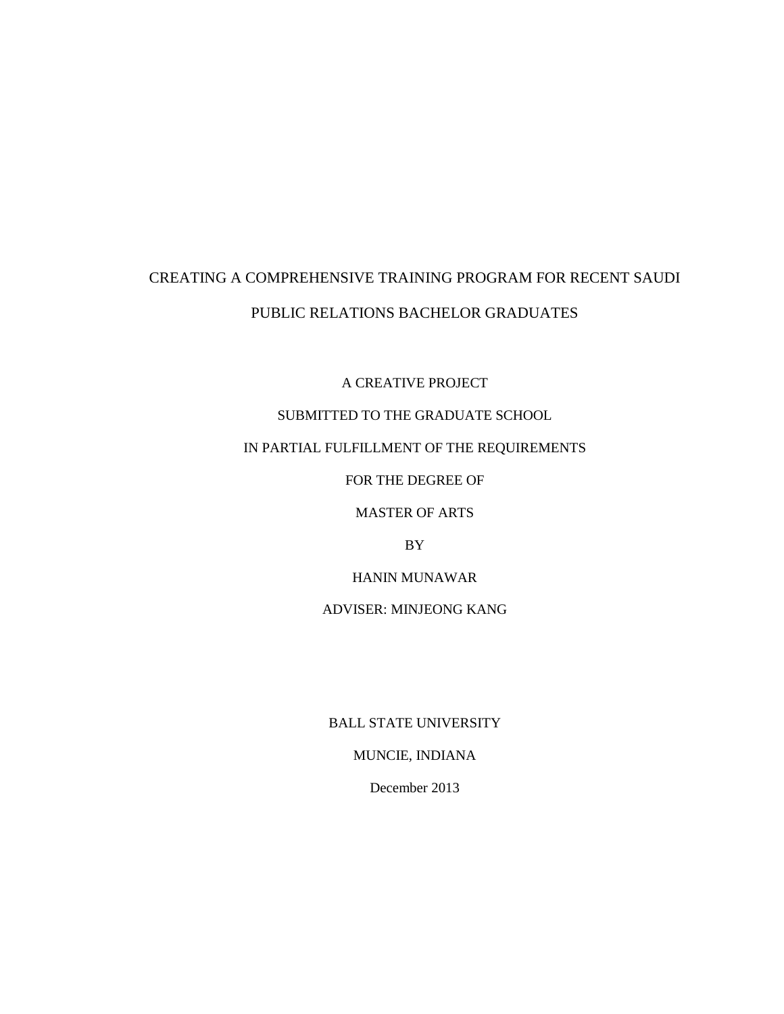# CREATING A COMPREHENSIVE TRAINING PROGRAM FOR RECENT SAUDI PUBLIC RELATIONS BACHELOR GRADUATES

A CREATIVE PROJECT

## SUBMITTED TO THE GRADUATE SCHOOL

## IN PARTIAL FULFILLMENT OF THE REQUIREMENTS

FOR THE DEGREE OF

MASTER OF ARTS

BY

HANIN MUNAWAR

ADVISER: MINJEONG KANG

BALL STATE UNIVERSITY

MUNCIE, INDIANA

December 2013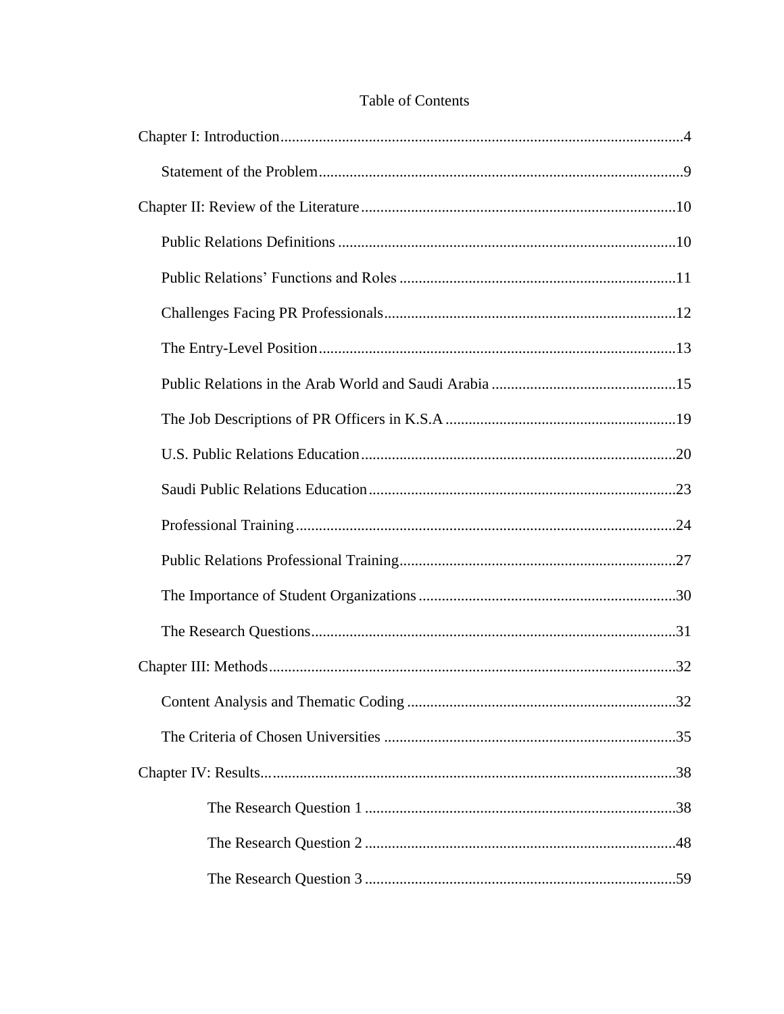| <b>Table of Contents</b> |  |  |  |
|--------------------------|--|--|--|
|--------------------------|--|--|--|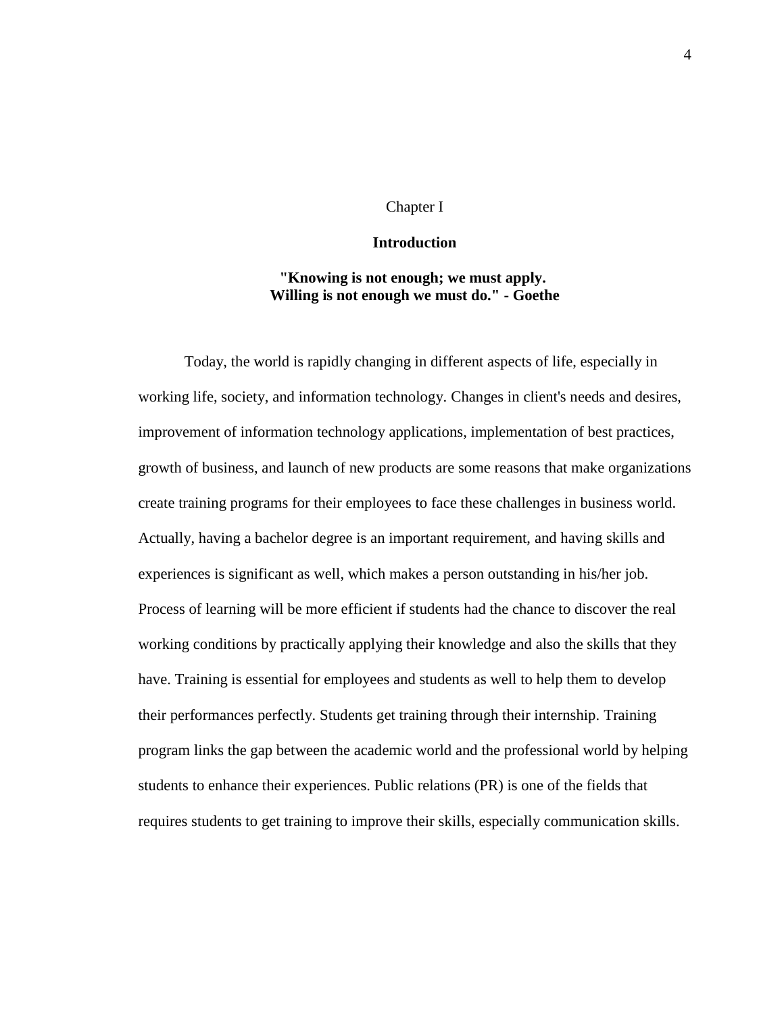#### Chapter I

#### **Introduction**

## **"Knowing is not enough; we must apply. Willing is not enough we must do." - Goethe**

Today, the world is rapidly changing in different aspects of life, especially in working life, society, and information technology. Changes in client's needs and desires, improvement of information technology applications, implementation of best practices, growth of business, and launch of new products are some reasons that make organizations create training programs for their employees to face these challenges in business world. Actually, having a bachelor degree is an important requirement, and having skills and experiences is significant as well, which makes a person outstanding in his/her job. Process of learning will be more efficient if students had the chance to discover the real working conditions by practically applying their knowledge and also the skills that they have. Training is essential for employees and students as well to help them to develop their performances perfectly. Students get training through their internship. Training program links the gap between the academic world and the professional world by helping students to enhance their experiences. Public relations (PR) is one of the fields that requires students to get training to improve their skills, especially communication skills.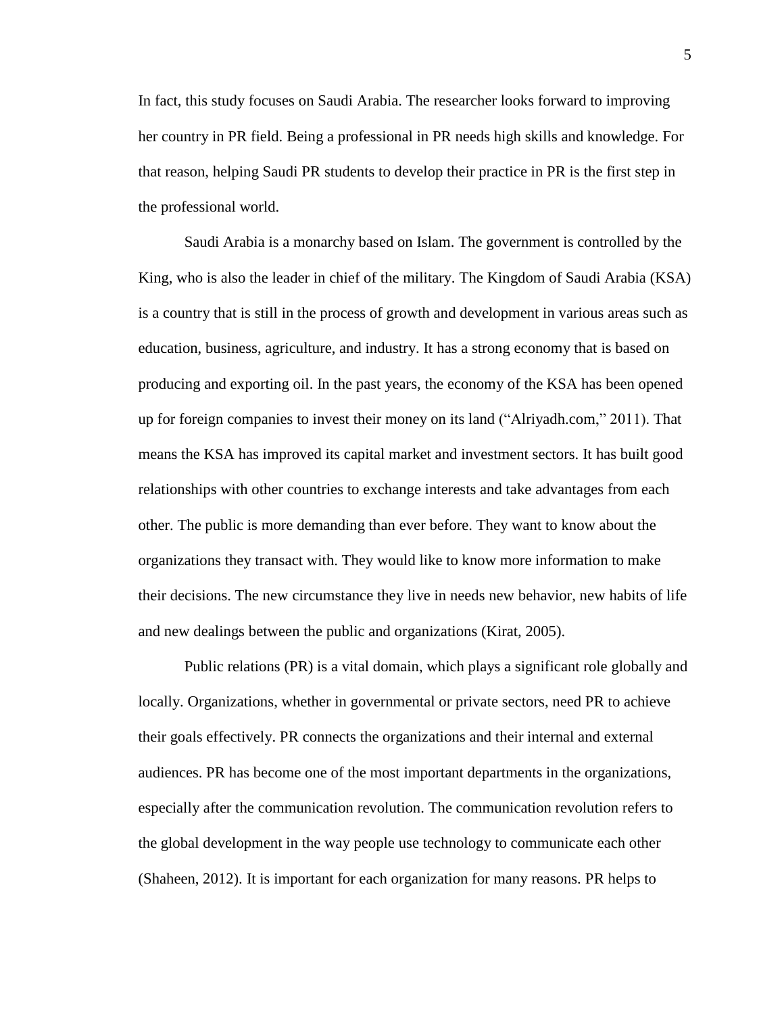In fact, this study focuses on Saudi Arabia. The researcher looks forward to improving her country in PR field. Being a professional in PR needs high skills and knowledge. For that reason, helping Saudi PR students to develop their practice in PR is the first step in the professional world.

Saudi Arabia is a monarchy based on Islam. The government is controlled by the King, who is also the leader in chief of the military. The Kingdom of Saudi Arabia (KSA) is a country that is still in the process of growth and development in various areas such as education, business, agriculture, and industry. It has a strong economy that is based on producing and exporting oil. In the past years, the economy of the KSA has been opened up for foreign companies to invest their money on its land ("Alriyadh.com," 2011). That means the KSA has improved its capital market and investment sectors. It has built good relationships with other countries to exchange interests and take advantages from each other. The public is more demanding than ever before. They want to know about the organizations they transact with. They would like to know more information to make their decisions. The new circumstance they live in needs new behavior, new habits of life and new dealings between the public and organizations (Kirat, 2005).

Public relations (PR) is a vital domain, which plays a significant role globally and locally. Organizations, whether in governmental or private sectors, need PR to achieve their goals effectively. PR connects the organizations and their internal and external audiences. PR has become one of the most important departments in the organizations, especially after the communication revolution. The communication revolution refers to the global development in the way people use technology to communicate each other (Shaheen, 2012). It is important for each organization for many reasons. PR helps to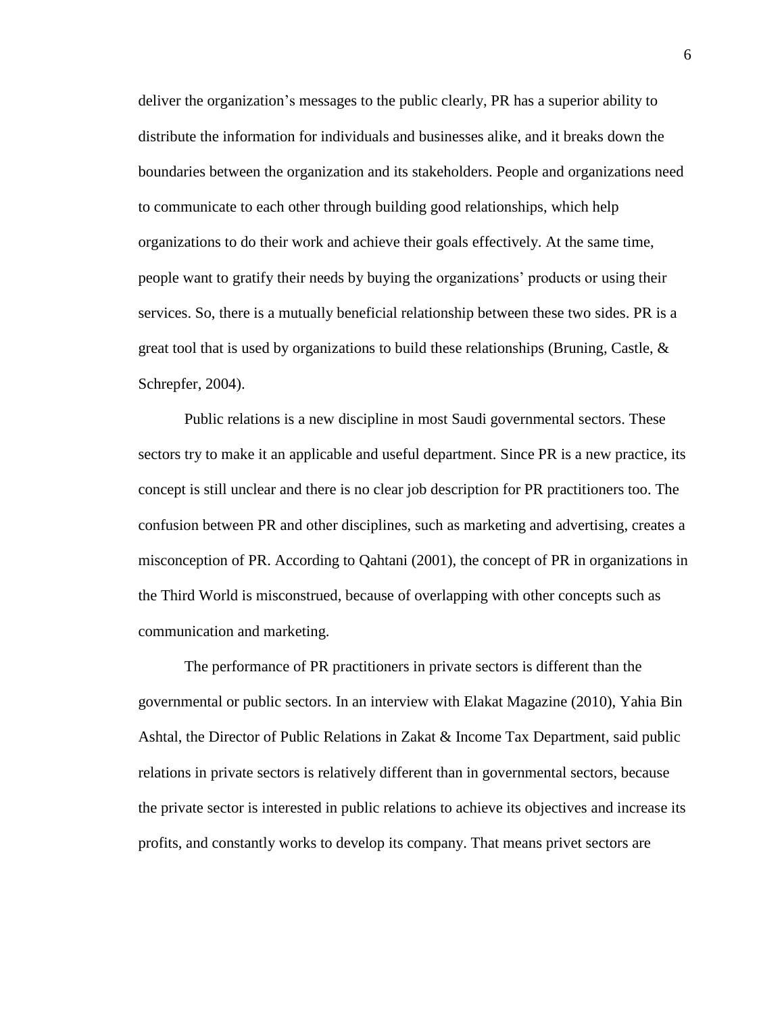deliver the organization's messages to the public clearly, PR has a superior ability to distribute the information for individuals and businesses alike, and it breaks down the boundaries between the organization and its stakeholders. People and organizations need to communicate to each other through building good relationships, which help organizations to do their work and achieve their goals effectively. At the same time, people want to gratify their needs by buying the organizations' products or using their services. So, there is a mutually beneficial relationship between these two sides. PR is a great tool that is used by organizations to build these relationships (Bruning, Castle,  $\&$ Schrepfer, 2004).

Public relations is a new discipline in most Saudi governmental sectors. These sectors try to make it an applicable and useful department. Since PR is a new practice, its concept is still unclear and there is no clear job description for PR practitioners too. The confusion between PR and other disciplines, such as marketing and advertising, creates a misconception of PR. According to Qahtani (2001), the concept of PR in organizations in the Third World is misconstrued, because of overlapping with other concepts such as communication and marketing.

The performance of PR practitioners in private sectors is different than the governmental or public sectors. In an interview with Elakat Magazine (2010), Yahia Bin Ashtal, the Director of Public Relations in Zakat & Income Tax Department, said public relations in private sectors is relatively different than in governmental sectors, because the private sector is interested in public relations to achieve its objectives and increase its profits, and constantly works to develop its company. That means privet sectors are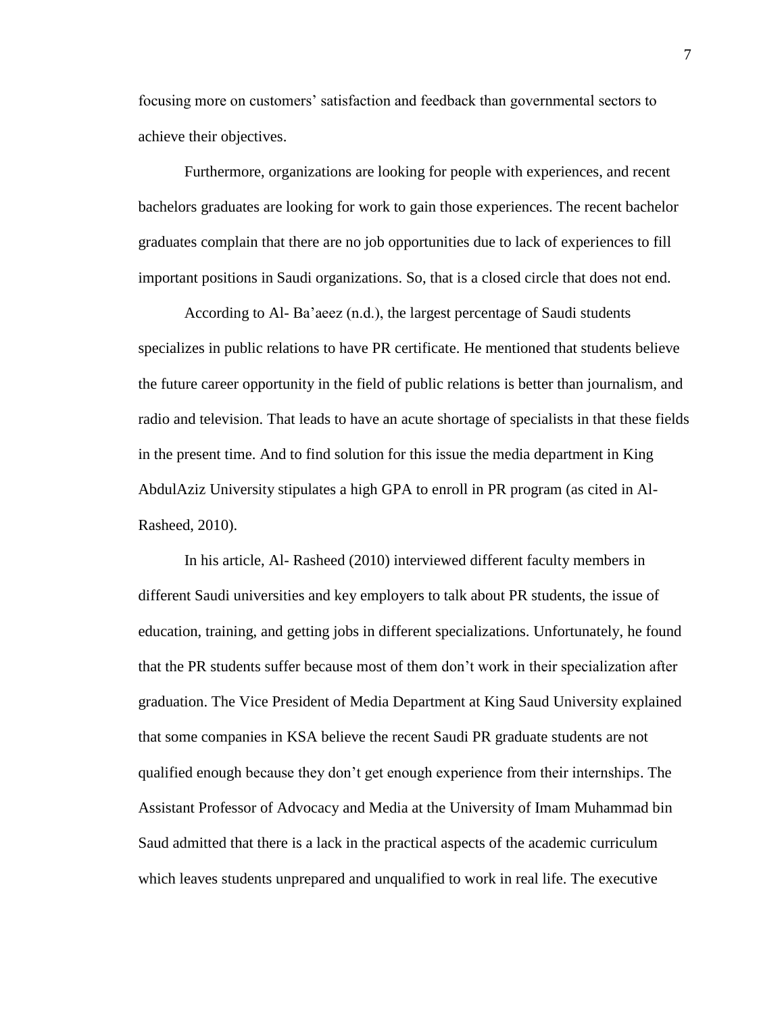focusing more on customers' satisfaction and feedback than governmental sectors to achieve their objectives.

Furthermore, organizations are looking for people with experiences, and recent bachelors graduates are looking for work to gain those experiences. The recent bachelor graduates complain that there are no job opportunities due to lack of experiences to fill important positions in Saudi organizations. So, that is a closed circle that does not end.

According to Al- Ba'aeez (n.d.), the largest percentage of Saudi students specializes in public relations to have PR certificate. He mentioned that students believe the future career opportunity in the field of public relations is better than journalism, and radio and television. That leads to have an acute shortage of specialists in that these fields in the present time. And to find solution for this issue the media department in King AbdulAziz University stipulates a high GPA to enroll in PR program (as cited in Al-Rasheed, 2010).

In his article, Al- Rasheed (2010) interviewed different faculty members in different Saudi universities and key employers to talk about PR students, the issue of education, training, and getting jobs in different specializations. Unfortunately, he found that the PR students suffer because most of them don't work in their specialization after graduation. The Vice President of Media Department at King Saud University explained that some companies in KSA believe the recent Saudi PR graduate students are not qualified enough because they don't get enough experience from their internships. The Assistant Professor of Advocacy and Media at the University of Imam Muhammad bin Saud admitted that there is a lack in the practical aspects of the academic curriculum which leaves students unprepared and unqualified to work in real life. The executive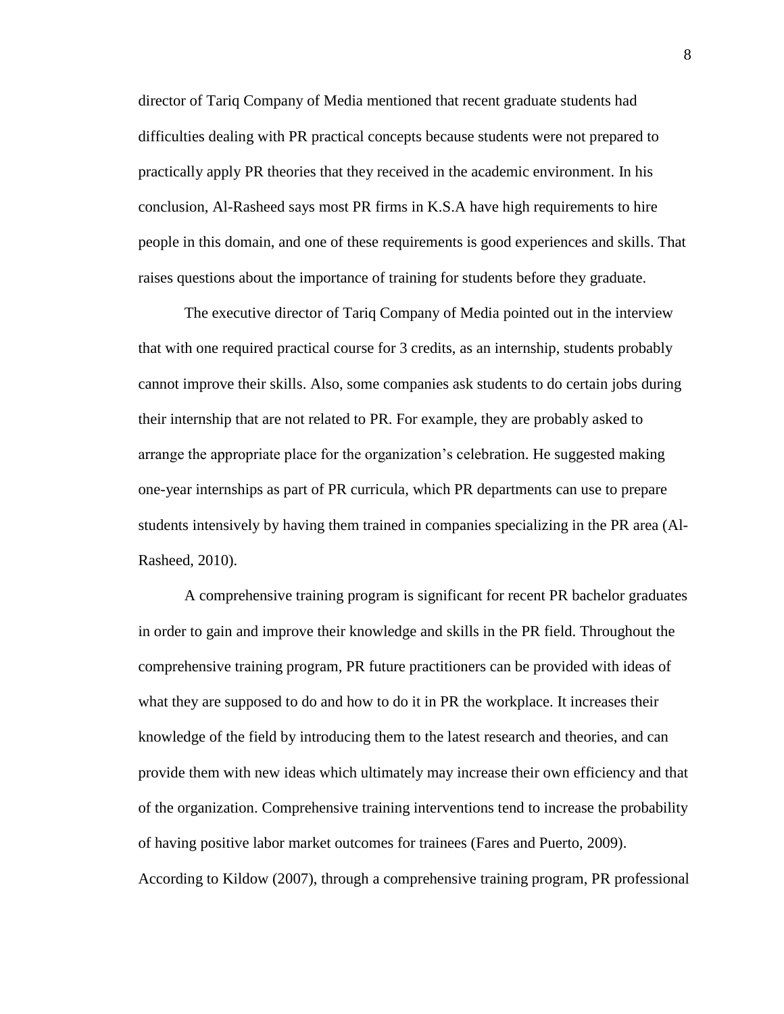director of Tariq Company of Media mentioned that recent graduate students had difficulties dealing with PR practical concepts because students were not prepared to practically apply PR theories that they received in the academic environment. In his conclusion, Al-Rasheed says most PR firms in K.S.A have high requirements to hire people in this domain, and one of these requirements is good experiences and skills. That raises questions about the importance of training for students before they graduate.

The executive director of Tariq Company of Media pointed out in the interview that with one required practical course for 3 credits, as an internship, students probably cannot improve their skills. Also, some companies ask students to do certain jobs during their internship that are not related to PR. For example, they are probably asked to arrange the appropriate place for the organization's celebration. He suggested making one-year internships as part of PR curricula, which PR departments can use to prepare students intensively by having them trained in companies specializing in the PR area (Al-Rasheed, 2010).

A comprehensive training program is significant for recent PR bachelor graduates in order to gain and improve their knowledge and skills in the PR field. Throughout the comprehensive training program, PR future practitioners can be provided with ideas of what they are supposed to do and how to do it in PR the workplace. It increases their knowledge of the field by introducing them to the latest research and theories, and can provide them with new ideas which ultimately may increase their own efficiency and that of the organization. Comprehensive training interventions tend to increase the probability of having positive labor market outcomes for trainees (Fares and Puerto, 2009). According to Kildow (2007), through a comprehensive training program, PR professional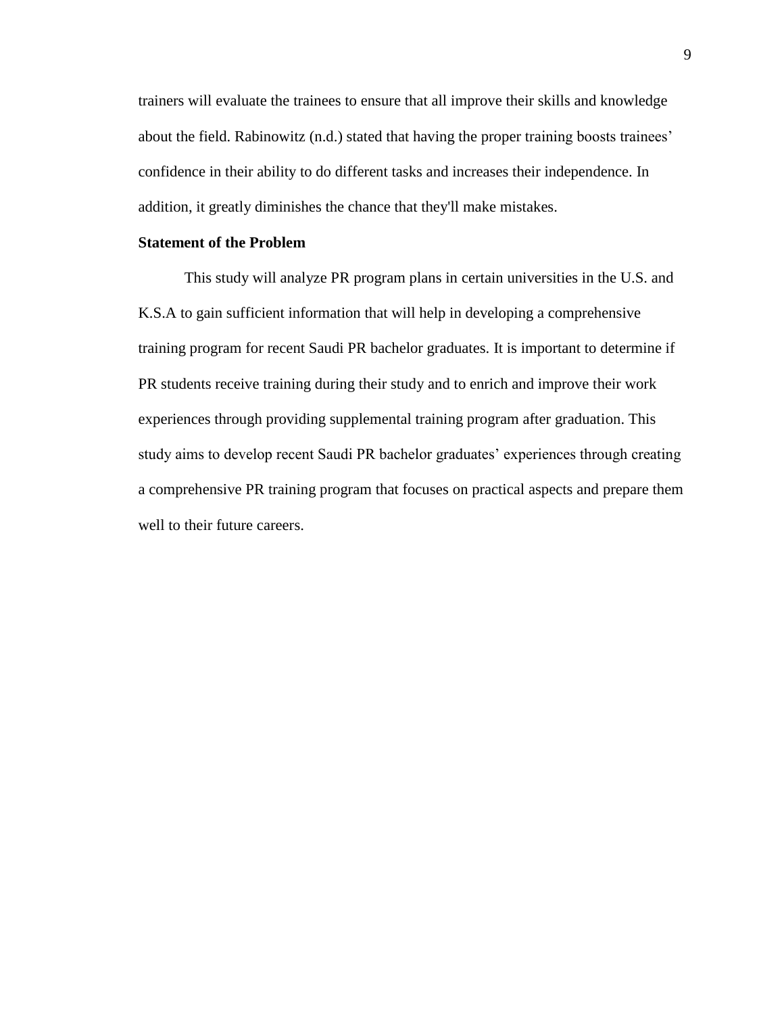trainers will evaluate the trainees to ensure that all improve their skills and knowledge about the field. Rabinowitz (n.d.) stated that having the proper training boosts trainees' confidence in their ability to do different tasks and increases their independence. In addition, it greatly diminishes the chance that they'll make mistakes.

### **Statement of the Problem**

This study will analyze PR program plans in certain universities in the U.S. and K.S.A to gain sufficient information that will help in developing a comprehensive training program for recent Saudi PR bachelor graduates. It is important to determine if PR students receive training during their study and to enrich and improve their work experiences through providing supplemental training program after graduation. This study aims to develop recent Saudi PR bachelor graduates' experiences through creating a comprehensive PR training program that focuses on practical aspects and prepare them well to their future careers.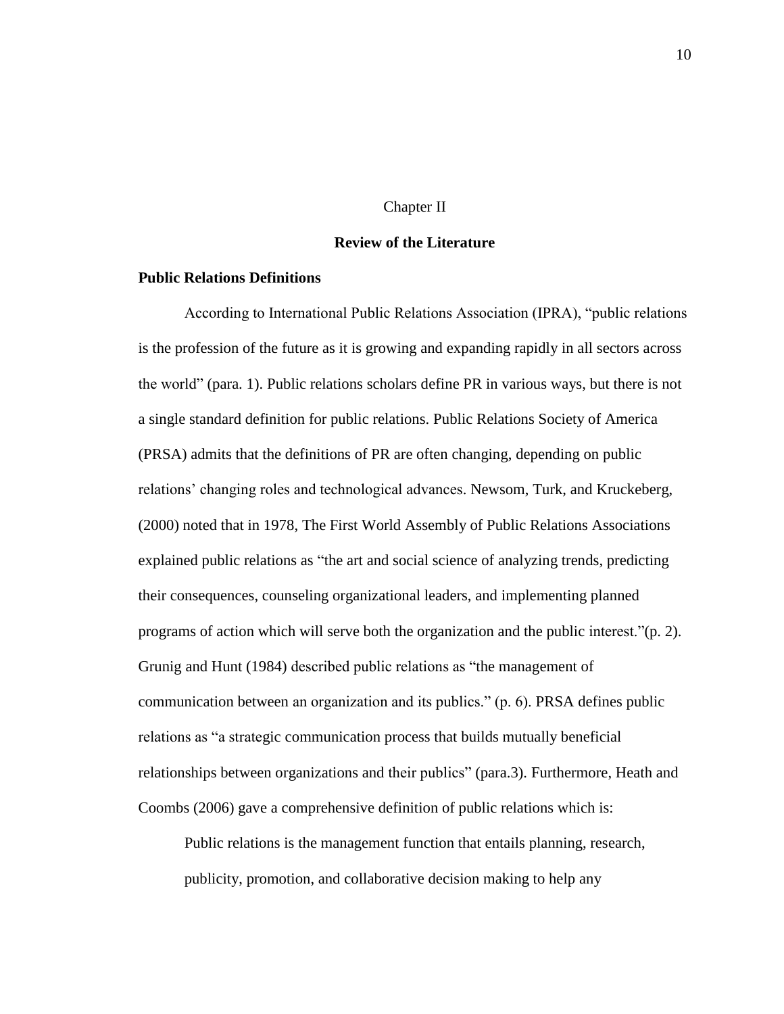#### Chapter II

#### **Review of the Literature**

#### **Public Relations Definitions**

According to International Public Relations Association (IPRA), "public relations is the profession of the future as it is growing and expanding rapidly in all sectors across the world" (para. 1). Public relations scholars define PR in various ways, but there is not a single standard definition for public relations. Public Relations Society of America (PRSA) admits that the definitions of PR are often changing, depending on public relations' changing roles and technological advances. Newsom, Turk, and Kruckeberg, (2000) noted that in 1978, The First World Assembly of Public Relations Associations explained public relations as "the art and social science of analyzing trends, predicting their consequences, counseling organizational leaders, and implementing planned programs of action which will serve both the organization and the public interest."(p. 2). Grunig and Hunt (1984) described public relations as "the management of communication between an organization and its publics." (p. 6). PRSA defines public relations as "a strategic communication process that builds mutually beneficial relationships between organizations and their publics" (para.3). Furthermore, Heath and Coombs (2006) gave a comprehensive definition of public relations which is:

Public relations is the management function that entails planning, research, publicity, promotion, and collaborative decision making to help any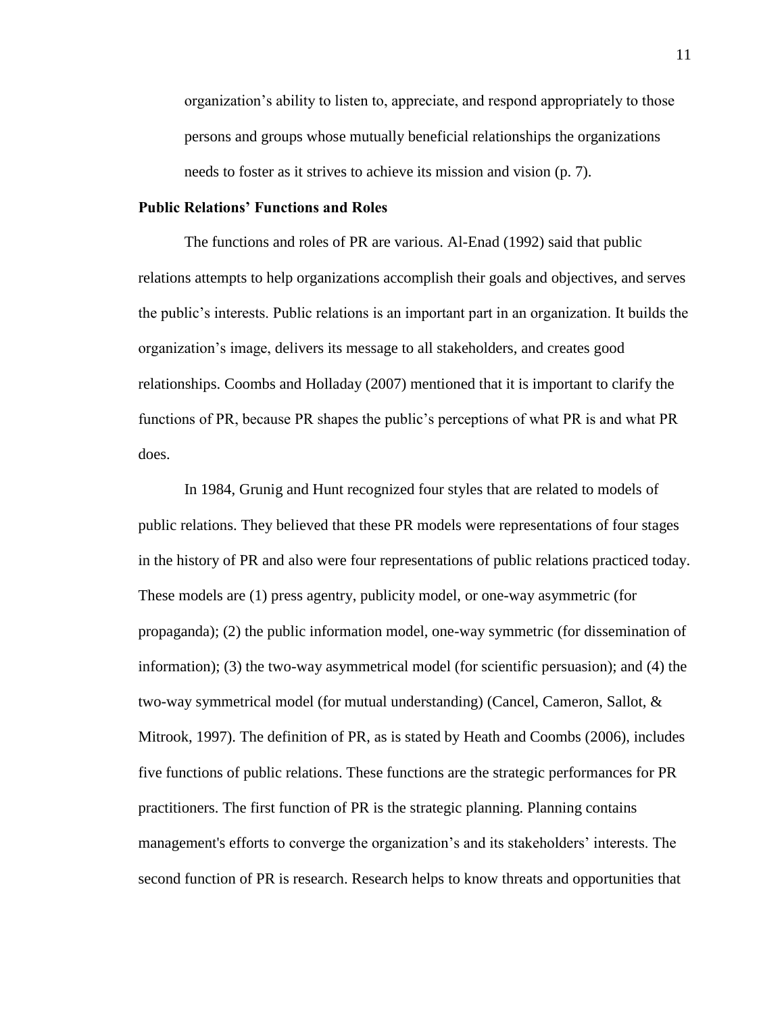organization's ability to listen to, appreciate, and respond appropriately to those persons and groups whose mutually beneficial relationships the organizations needs to foster as it strives to achieve its mission and vision (p. 7).

#### **Public Relations' Functions and Roles**

The functions and roles of PR are various. Al-Enad (1992) said that public relations attempts to help organizations accomplish their goals and objectives, and serves the public's interests. Public relations is an important part in an organization. It builds the organization's image, delivers its message to all stakeholders, and creates good relationships. Coombs and Holladay (2007) mentioned that it is important to clarify the functions of PR, because PR shapes the public's perceptions of what PR is and what PR does.

In 1984, Grunig and Hunt recognized four styles that are related to models of public relations. They believed that these PR models were representations of four stages in the history of PR and also were four representations of public relations practiced today. These models are (1) press agentry, publicity model, or one-way asymmetric (for propaganda); (2) the public information model, one-way symmetric (for dissemination of information); (3) the two-way asymmetrical model (for scientific persuasion); and (4) the two-way symmetrical model (for mutual understanding) (Cancel, Cameron, Sallot, & Mitrook, 1997). The definition of PR, as is stated by Heath and Coombs (2006), includes five functions of public relations. These functions are the strategic performances for PR practitioners. The first function of PR is the strategic planning. Planning contains management's efforts to converge the organization's and its stakeholders' interests. The second function of PR is research. Research helps to know threats and opportunities that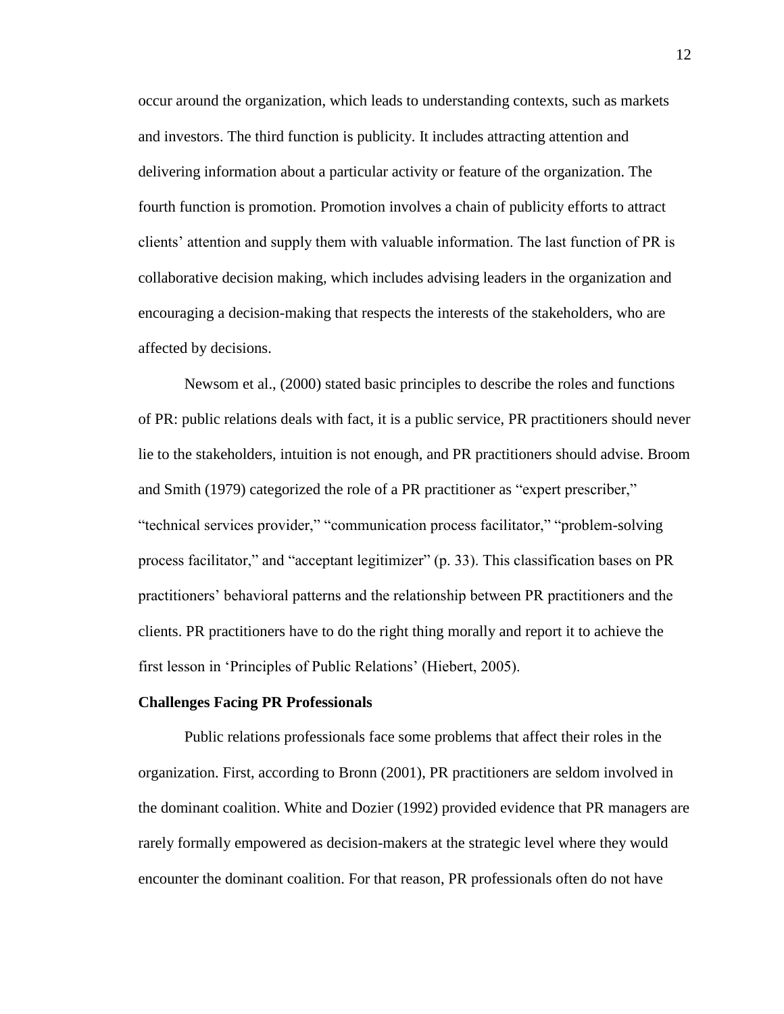occur around the organization, which leads to understanding contexts, such as markets and investors. The third function is publicity. It includes attracting attention and delivering information about a particular activity or feature of the organization. The fourth function is promotion. Promotion involves a chain of publicity efforts to attract clients' attention and supply them with valuable information. The last function of PR is collaborative decision making, which includes advising leaders in the organization and encouraging a decision-making that respects the interests of the stakeholders, who are affected by decisions.

Newsom et al., (2000) stated basic principles to describe the roles and functions of PR: public relations deals with fact, it is a public service, PR practitioners should never lie to the stakeholders, intuition is not enough, and PR practitioners should advise. Broom and Smith (1979) categorized the role of a PR practitioner as "expert prescriber," "technical services provider," "communication process facilitator," "problem-solving process facilitator," and "acceptant legitimizer" (p. 33). This classification bases on PR practitioners' behavioral patterns and the relationship between PR practitioners and the clients. PR practitioners have to do the right thing morally and report it to achieve the first lesson in 'Principles of Public Relations' (Hiebert, 2005).

#### **Challenges Facing PR Professionals**

Public relations professionals face some problems that affect their roles in the organization. First, according to Bronn (2001), PR practitioners are seldom involved in the dominant coalition. White and Dozier (1992) provided evidence that PR managers are rarely formally empowered as decision-makers at the strategic level where they would encounter the dominant coalition. For that reason, PR professionals often do not have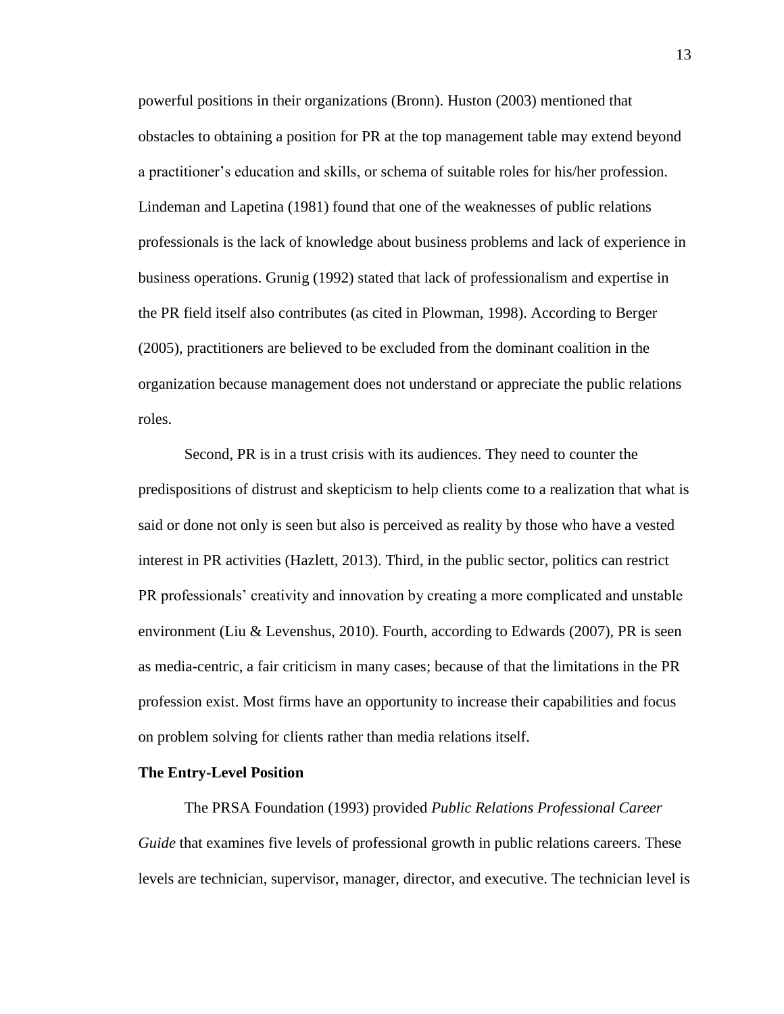powerful positions in their organizations (Bronn). Huston (2003) mentioned that obstacles to obtaining a position for PR at the top management table may extend beyond a practitioner's education and skills, or schema of suitable roles for his/her profession. Lindeman and Lapetina (1981) found that one of the weaknesses of public relations professionals is the lack of knowledge about business problems and lack of experience in business operations. Grunig (1992) stated that lack of professionalism and expertise in the PR field itself also contributes (as cited in Plowman, 1998). According to Berger (2005), practitioners are believed to be excluded from the dominant coalition in the organization because management does not understand or appreciate the public relations roles.

Second, PR is in a trust crisis with its audiences. They need to counter the predispositions of distrust and skepticism to help clients come to a realization that what is said or done not only is seen but also is perceived as reality by those who have a vested interest in PR activities (Hazlett, 2013). Third, in the public sector, politics can restrict PR professionals' creativity and innovation by creating a more complicated and unstable environment (Liu & Levenshus, 2010). Fourth, according to Edwards (2007), PR is seen as media-centric, a fair criticism in many cases; because of that the limitations in the PR profession exist. Most firms have an opportunity to increase their capabilities and focus on problem solving for clients rather than media relations itself.

#### **The Entry-Level Position**

The PRSA Foundation (1993) provided *Public Relations Professional Career Guide* that examines five levels of professional growth in public relations careers. These levels are technician, supervisor, manager, director, and executive. The technician level is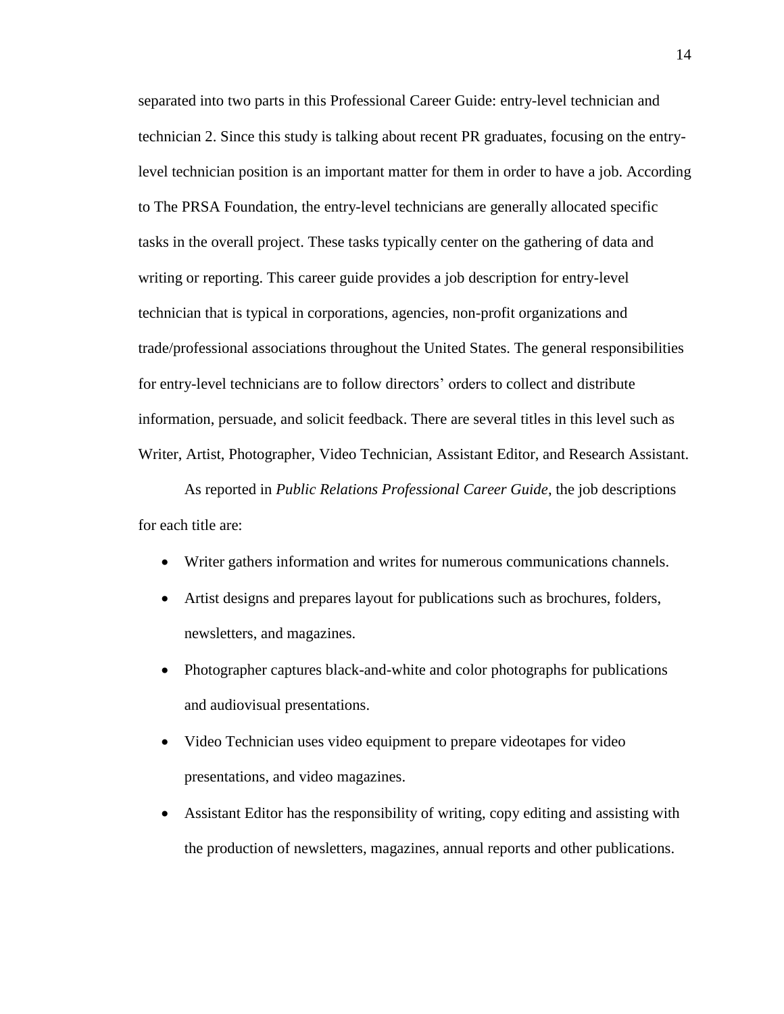separated into two parts in this Professional Career Guide: entry-level technician and technician 2. Since this study is talking about recent PR graduates, focusing on the entrylevel technician position is an important matter for them in order to have a job. According to The PRSA Foundation, the entry-level technicians are generally allocated specific tasks in the overall project. These tasks typically center on the gathering of data and writing or reporting. This career guide provides a job description for entry-level technician that is typical in corporations, agencies, non-profit organizations and trade/professional associations throughout the United States. The general responsibilities for entry-level technicians are to follow directors' orders to collect and distribute information, persuade, and solicit feedback. There are several titles in this level such as Writer, Artist, Photographer, Video Technician, Assistant Editor, and Research Assistant.

As reported in *Public Relations Professional Career Guide*, the job descriptions for each title are:

- Writer gathers information and writes for numerous communications channels.
- Artist designs and prepares layout for publications such as brochures, folders, newsletters, and magazines.
- Photographer captures black-and-white and color photographs for publications and audiovisual presentations.
- Video Technician uses video equipment to prepare videotapes for video presentations, and video magazines.
- Assistant Editor has the responsibility of writing, copy editing and assisting with the production of newsletters, magazines, annual reports and other publications.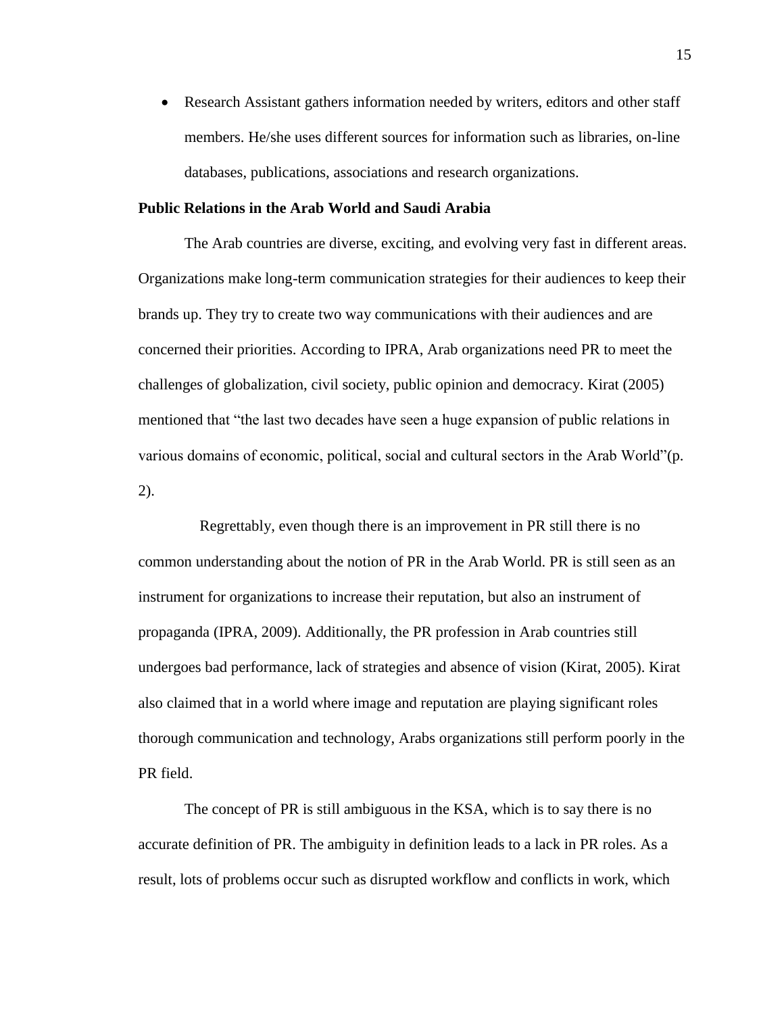Research Assistant gathers information needed by writers, editors and other staff members. He/she uses different sources for information such as libraries, on-line databases, publications, associations and research organizations.

#### **Public Relations in the Arab World and Saudi Arabia**

The Arab countries are diverse, exciting, and evolving very fast in different areas. Organizations make long-term communication strategies for their audiences to keep their brands up. They try to create two way communications with their audiences and are concerned their priorities. According to IPRA, Arab organizations need PR to meet the challenges of globalization, civil society, public opinion and democracy. Kirat (2005) mentioned that "the last two decades have seen a huge expansion of public relations in various domains of economic, political, social and cultural sectors in the Arab World"(p. 2).

 Regrettably, even though there is an improvement in PR still there is no common understanding about the notion of PR in the Arab World. PR is still seen as an instrument for organizations to increase their reputation, but also an instrument of propaganda (IPRA, 2009). Additionally, the PR profession in Arab countries still undergoes bad performance, lack of strategies and absence of vision (Kirat, 2005). Kirat also claimed that in a world where image and reputation are playing significant roles thorough communication and technology, Arabs organizations still perform poorly in the PR field.

The concept of PR is still ambiguous in the KSA, which is to say there is no accurate definition of PR. The ambiguity in definition leads to a lack in PR roles. As a result, lots of problems occur such as disrupted workflow and conflicts in work, which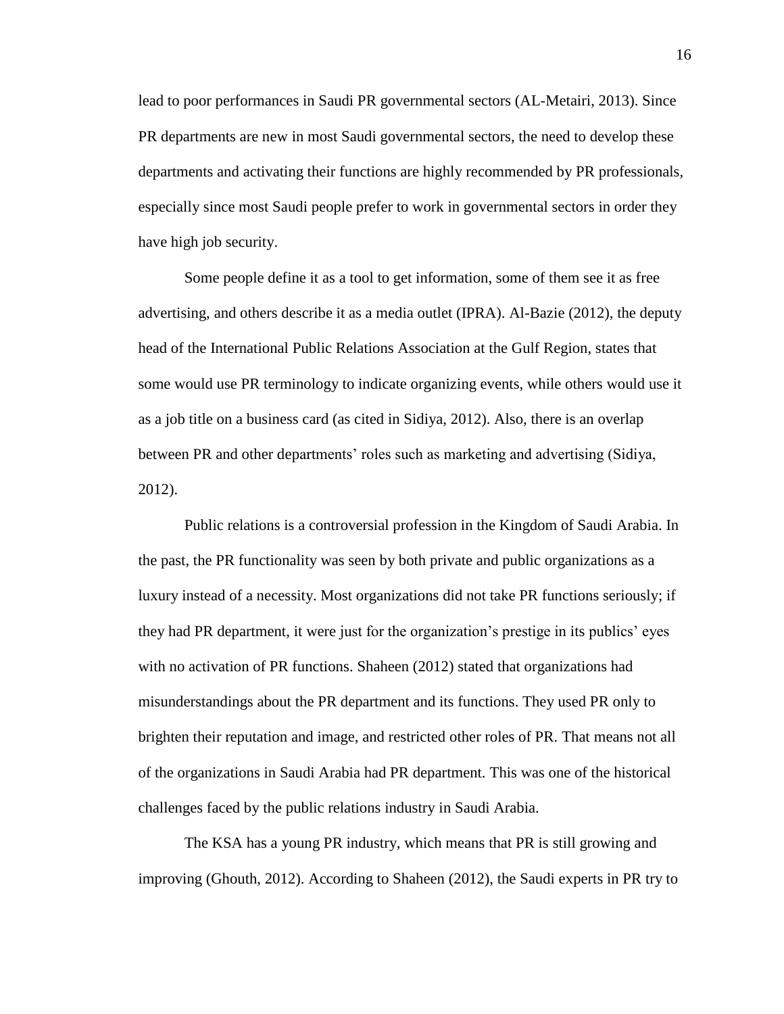lead to poor performances in Saudi PR governmental sectors (AL-Metairi, 2013). Since PR departments are new in most Saudi governmental sectors, the need to develop these departments and activating their functions are highly recommended by PR professionals, especially since most Saudi people prefer to work in governmental sectors in order they have high job security.

Some people define it as a tool to get information, some of them see it as free advertising, and others describe it as a media outlet (IPRA). Al-Bazie (2012), the deputy head of the International Public Relations Association at the Gulf Region, states that some would use PR terminology to indicate organizing events, while others would use it as a job title on a business card (as cited in Sidiya, 2012). Also, there is an overlap between PR and other departments' roles such as marketing and advertising (Sidiya, 2012).

Public relations is a controversial profession in the Kingdom of Saudi Arabia. In the past, the PR functionality was seen by both private and public organizations as a luxury instead of a necessity. Most organizations did not take PR functions seriously; if they had PR department, it were just for the organization's prestige in its publics' eyes with no activation of PR functions. Shaheen (2012) stated that organizations had misunderstandings about the PR department and its functions. They used PR only to brighten their reputation and image, and restricted other roles of PR. That means not all of the organizations in Saudi Arabia had PR department. This was one of the historical challenges faced by the public relations industry in Saudi Arabia.

The KSA has a young PR industry, which means that PR is still growing and improving (Ghouth, 2012). According to Shaheen (2012), the Saudi experts in PR try to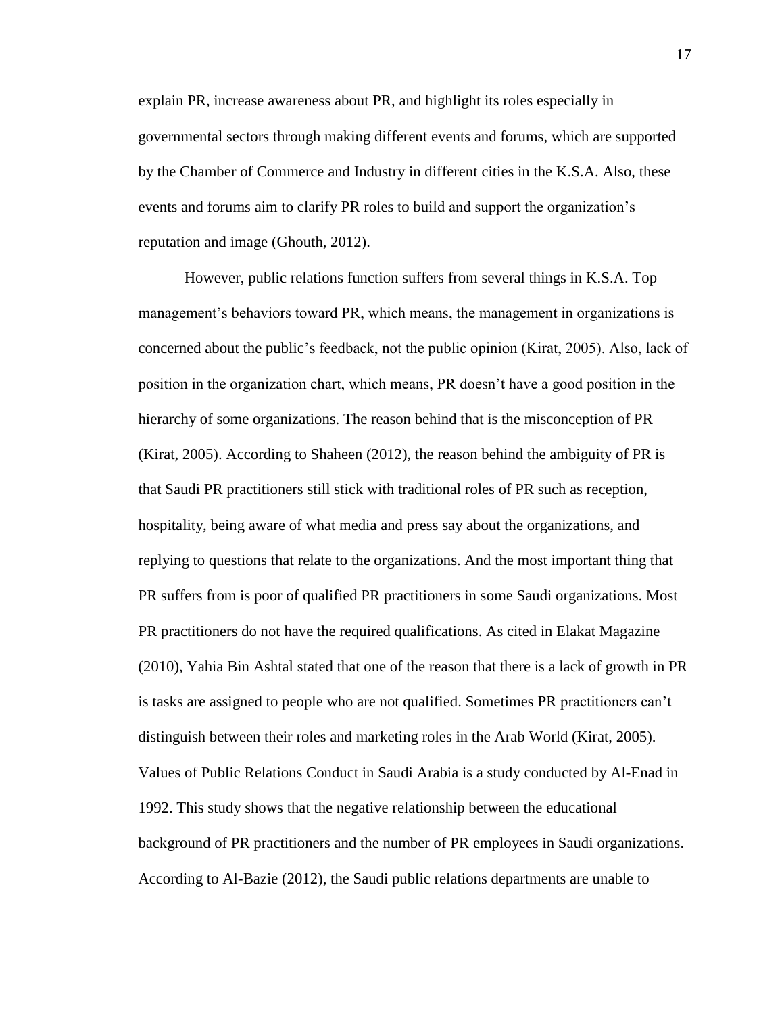explain PR, increase awareness about PR, and highlight its roles especially in governmental sectors through making different events and forums, which are supported by the Chamber of Commerce and Industry in different cities in the K.S.A. Also, these events and forums aim to clarify PR roles to build and support the organization's reputation and image (Ghouth, 2012).

However, public relations function suffers from several things in K.S.A. Top management's behaviors toward PR, which means, the management in organizations is concerned about the public's feedback, not the public opinion (Kirat, 2005). Also, lack of position in the organization chart, which means, PR doesn't have a good position in the hierarchy of some organizations. The reason behind that is the misconception of PR (Kirat, 2005). According to Shaheen (2012), the reason behind the ambiguity of PR is that Saudi PR practitioners still stick with traditional roles of PR such as reception, hospitality, being aware of what media and press say about the organizations, and replying to questions that relate to the organizations. And the most important thing that PR suffers from is poor of qualified PR practitioners in some Saudi organizations. Most PR practitioners do not have the required qualifications. As cited in Elakat Magazine (2010), Yahia Bin Ashtal stated that one of the reason that there is a lack of growth in PR is tasks are assigned to people who are not qualified. Sometimes PR practitioners can't distinguish between their roles and marketing roles in the Arab World (Kirat, 2005). Values of Public Relations Conduct in Saudi Arabia is a study conducted by Al-Enad in 1992. This study shows that the negative relationship between the educational background of PR practitioners and the number of PR employees in Saudi organizations. According to Al-Bazie (2012), the Saudi public relations departments are unable to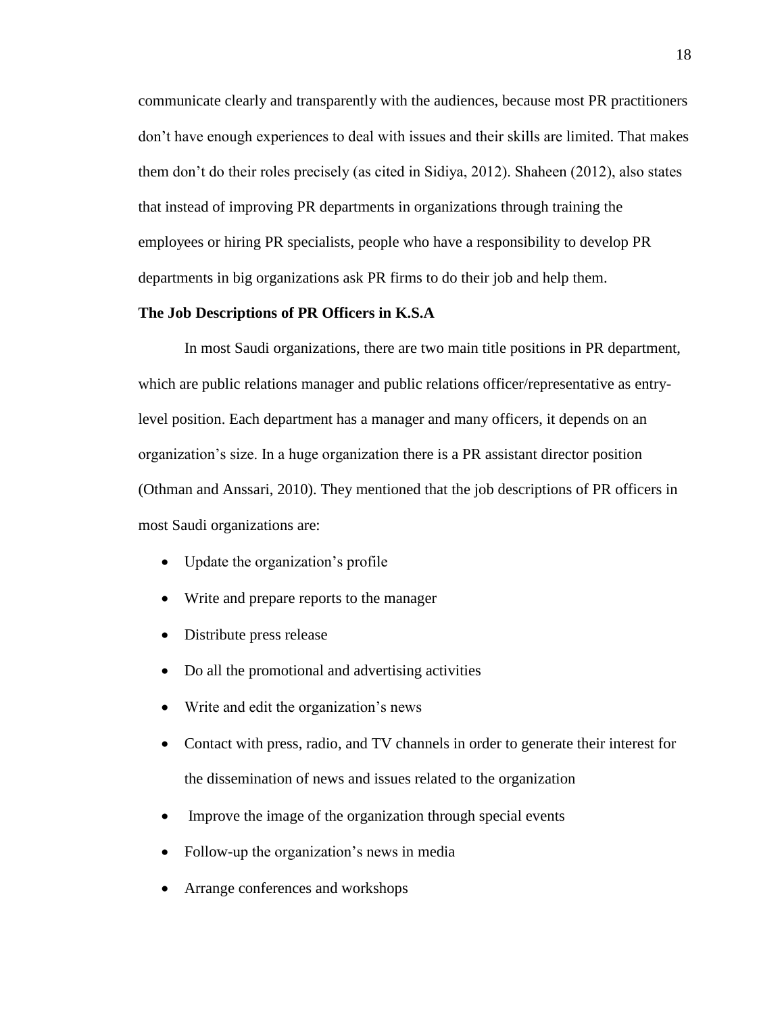communicate clearly and transparently with the audiences, because most PR practitioners don't have enough experiences to deal with issues and their skills are limited. That makes them don't do their roles precisely (as cited in Sidiya, 2012). Shaheen (2012), also states that instead of improving PR departments in organizations through training the employees or hiring PR specialists, people who have a responsibility to develop PR departments in big organizations ask PR firms to do their job and help them.

#### **The Job Descriptions of PR Officers in K.S.A**

In most Saudi organizations, there are two main title positions in PR department, which are public relations manager and public relations officer/representative as entrylevel position. Each department has a manager and many officers, it depends on an organization's size. In a huge organization there is a PR assistant director position (Othman and Anssari, 2010). They mentioned that the job descriptions of PR officers in most Saudi organizations are:

- Update the organization's profile
- Write and prepare reports to the manager
- Distribute press release
- Do all the promotional and advertising activities
- Write and edit the organization's news
- Contact with press, radio, and TV channels in order to generate their interest for the dissemination of news and issues related to the organization
- Improve the image of the organization through special events
- Follow-up the organization's news in media
- Arrange conferences and workshops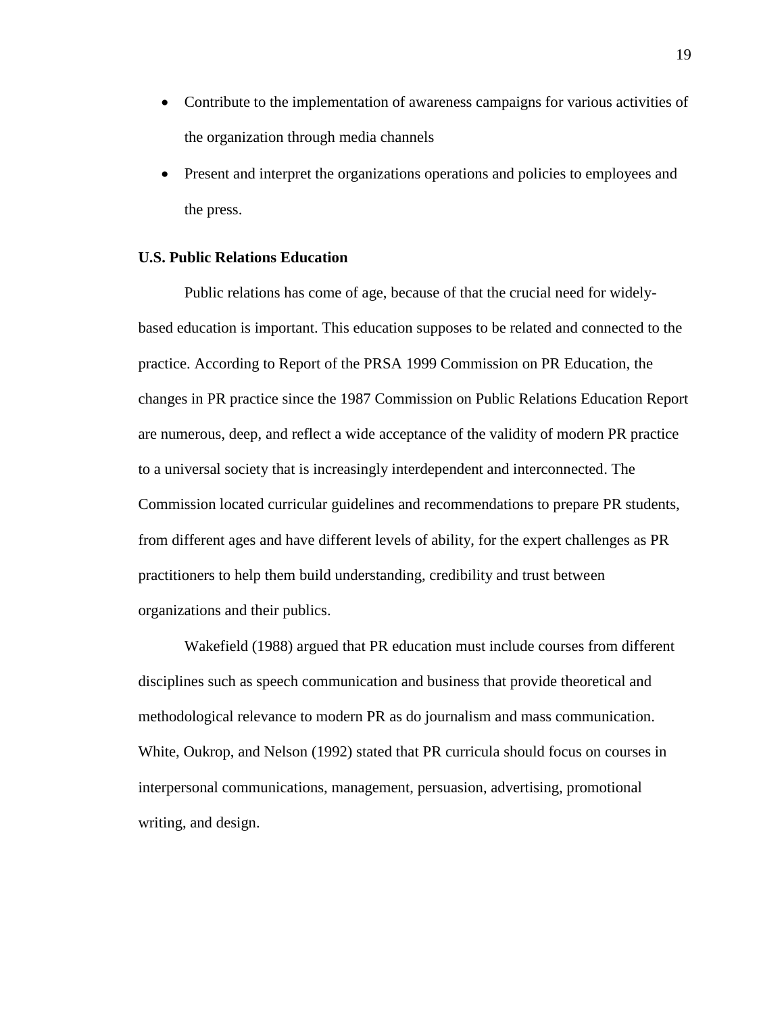- Contribute to the implementation of awareness campaigns for various activities of the organization through media channels
- Present and interpret the organizations operations and policies to employees and the press.

#### **U.S. Public Relations Education**

Public relations has come of age, because of that the crucial need for widelybased education is important. This education supposes to be related and connected to the practice. According to Report of the PRSA 1999 Commission on PR Education, the changes in PR practice since the 1987 Commission on Public Relations Education Report are numerous, deep, and reflect a wide acceptance of the validity of modern PR practice to a universal society that is increasingly interdependent and interconnected. The Commission located curricular guidelines and recommendations to prepare PR students, from different ages and have different levels of ability, for the expert challenges as PR practitioners to help them build understanding, credibility and trust between organizations and their publics.

Wakefield (1988) argued that PR education must include courses from different disciplines such as speech communication and business that provide theoretical and methodological relevance to modern PR as do journalism and mass communication. White, Oukrop, and Nelson (1992) stated that PR curricula should focus on courses in interpersonal communications, management, persuasion, advertising, promotional writing, and design.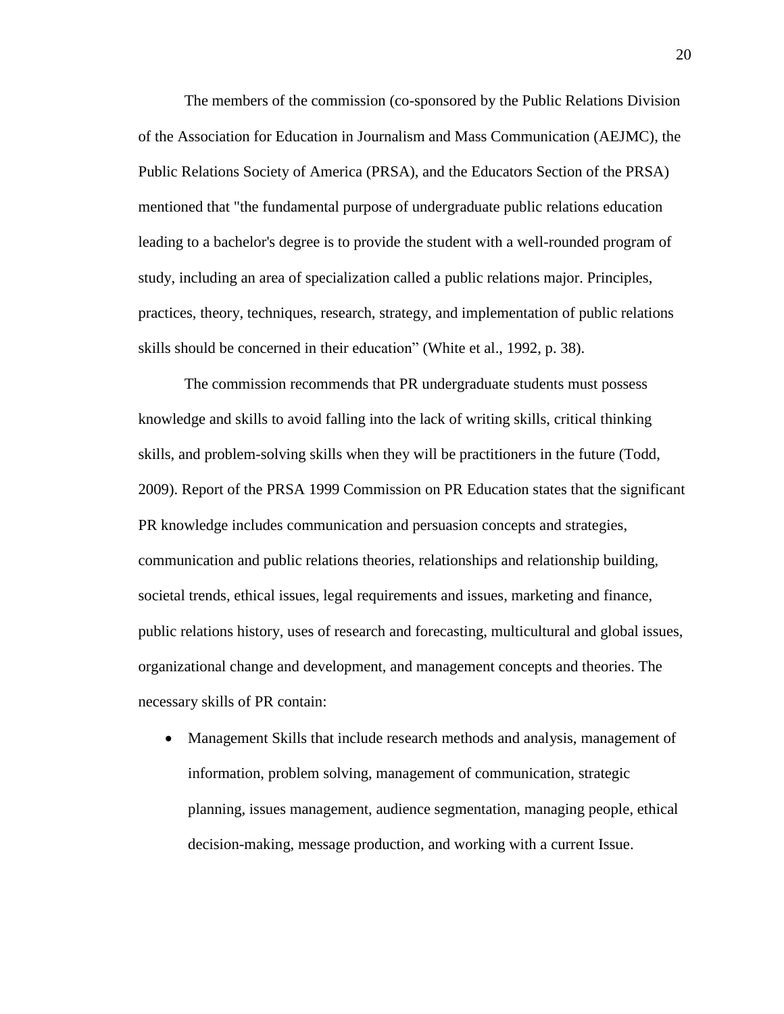The members of the commission (co-sponsored by the Public Relations Division of the Association for Education in Journalism and Mass Communication (AEJMC), the Public Relations Society of America (PRSA), and the Educators Section of the PRSA) mentioned that "the fundamental purpose of undergraduate public relations education leading to a bachelor's degree is to provide the student with a well-rounded program of study, including an area of specialization called a public relations major. Principles, practices, theory, techniques, research, strategy, and implementation of public relations skills should be concerned in their education" (White et al., 1992, p. 38).

The commission recommends that PR undergraduate students must possess knowledge and skills to avoid falling into the lack of writing skills, critical thinking skills, and problem-solving skills when they will be practitioners in the future (Todd, 2009). Report of the PRSA 1999 Commission on PR Education states that the significant PR knowledge includes communication and persuasion concepts and strategies, communication and public relations theories, relationships and relationship building, societal trends, ethical issues, legal requirements and issues, marketing and finance, public relations history, uses of research and forecasting, multicultural and global issues, organizational change and development, and management concepts and theories. The necessary skills of PR contain:

• Management Skills that include research methods and analysis, management of information, problem solving, management of communication, strategic planning, issues management, audience segmentation, managing people, ethical decision-making, message production, and working with a current Issue.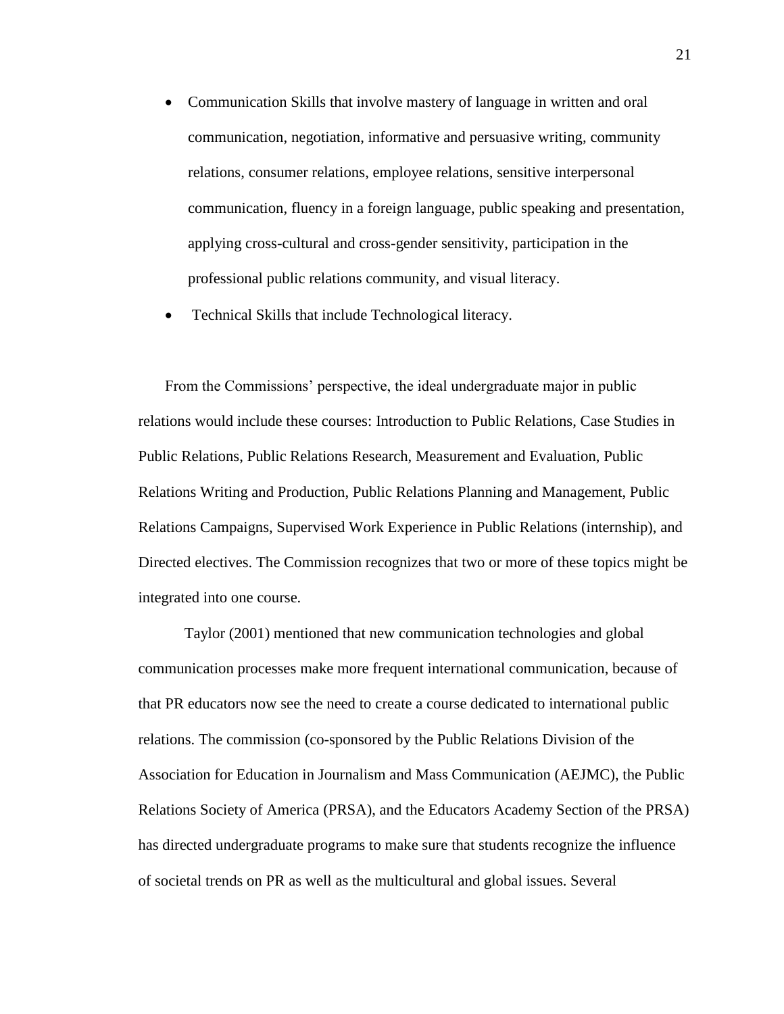- Communication Skills that involve mastery of language in written and oral communication, negotiation, informative and persuasive writing, community relations, consumer relations, employee relations, sensitive interpersonal communication, fluency in a foreign language, public speaking and presentation, applying cross-cultural and cross-gender sensitivity, participation in the professional public relations community, and visual literacy.
- Technical Skills that include Technological literacy.

From the Commissions' perspective, the ideal undergraduate major in public relations would include these courses: Introduction to Public Relations, Case Studies in Public Relations, Public Relations Research, Measurement and Evaluation, Public Relations Writing and Production, Public Relations Planning and Management, Public Relations Campaigns, Supervised Work Experience in Public Relations (internship), and Directed electives. The Commission recognizes that two or more of these topics might be integrated into one course.

Taylor (2001) mentioned that new communication technologies and global communication processes make more frequent international communication, because of that PR educators now see the need to create a course dedicated to international public relations. The commission (co-sponsored by the Public Relations Division of the Association for Education in Journalism and Mass Communication (AEJMC), the Public Relations Society of America (PRSA), and the Educators Academy Section of the PRSA) has directed undergraduate programs to make sure that students recognize the influence of societal trends on PR as well as the multicultural and global issues. Several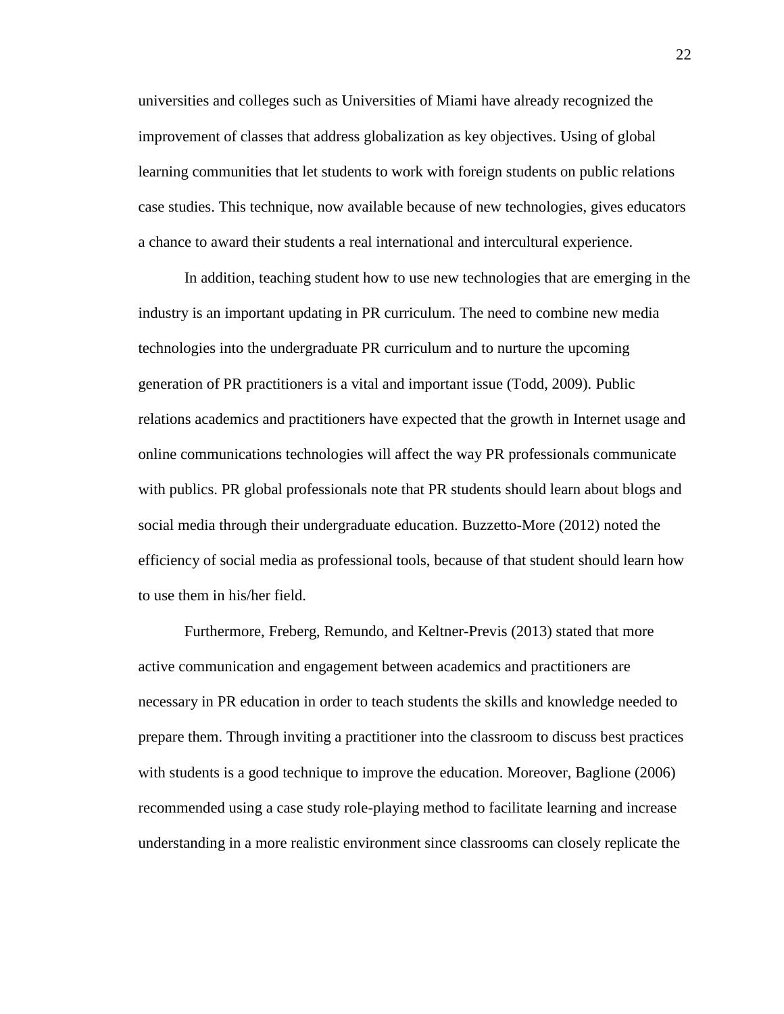universities and colleges such as Universities of Miami have already recognized the improvement of classes that address globalization as key objectives. Using of global learning communities that let students to work with foreign students on public relations case studies. This technique, now available because of new technologies, gives educators a chance to award their students a real international and intercultural experience.

In addition, teaching student how to use new technologies that are emerging in the industry is an important updating in PR curriculum. The need to combine new media technologies into the undergraduate PR curriculum and to nurture the upcoming generation of PR practitioners is a vital and important issue (Todd, 2009). Public relations academics and practitioners have expected that the growth in Internet usage and online communications technologies will affect the way PR professionals communicate with publics. PR global professionals note that PR students should learn about blogs and social media through their undergraduate education. Buzzetto-More (2012) noted the efficiency of social media as professional tools, because of that student should learn how to use them in his/her field.

Furthermore, Freberg, Remundo, and Keltner-Previs (2013) stated that more active communication and engagement between academics and practitioners are necessary in PR education in order to teach students the skills and knowledge needed to prepare them. Through inviting a practitioner into the classroom to discuss best practices with students is a good technique to improve the education. Moreover, Baglione (2006) recommended using a case study role-playing method to facilitate learning and increase understanding in a more realistic environment since classrooms can closely replicate the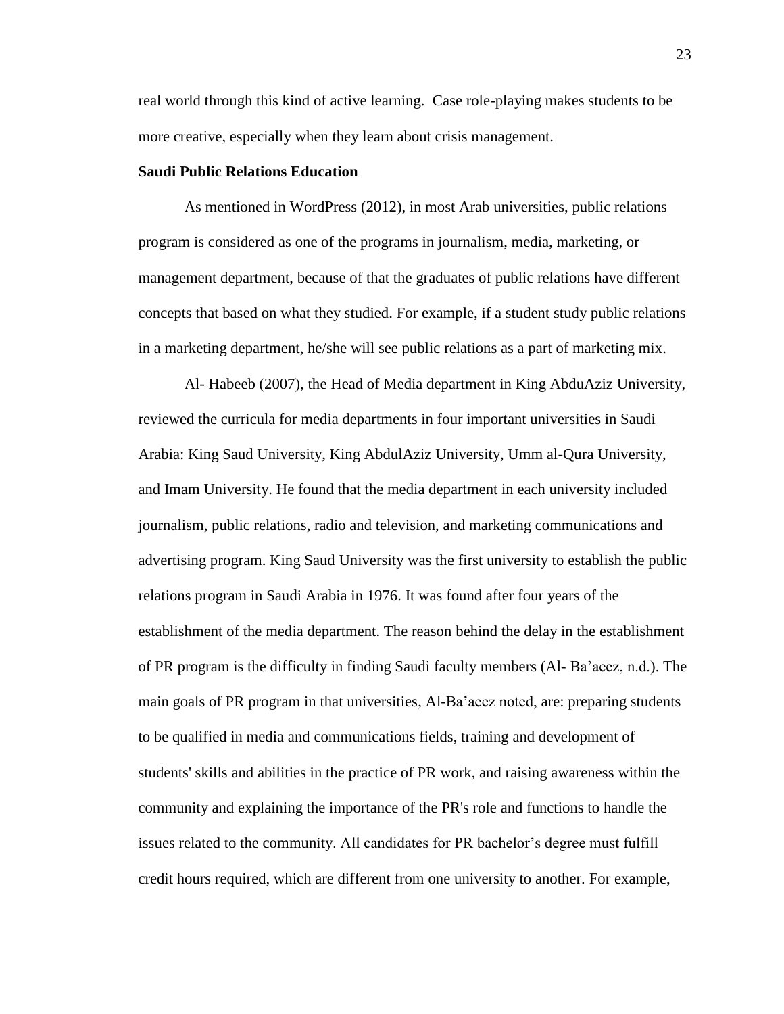real world through this kind of active learning. Case role-playing makes students to be more creative, especially when they learn about crisis management.

#### **Saudi Public Relations Education**

As mentioned in WordPress (2012), in most Arab universities, public relations program is considered as one of the programs in journalism, media, marketing, or management department, because of that the graduates of public relations have different concepts that based on what they studied. For example, if a student study public relations in a marketing department, he/she will see public relations as a part of marketing mix.

Al- Habeeb (2007), the Head of Media department in King AbduAziz University, reviewed the curricula for media departments in four important universities in Saudi Arabia: King Saud University, King AbdulAziz University, Umm al-Qura University, and Imam University. He found that the media department in each university included journalism, public relations, radio and television, and marketing communications and advertising program. King Saud University was the first university to establish the public relations program in Saudi Arabia in 1976. It was found after four years of the establishment of the media department. The reason behind the delay in the establishment of PR program is the difficulty in finding Saudi faculty members (Al- Ba'aeez, n.d.). The main goals of PR program in that universities, Al-Ba'aeez noted, are: preparing students to be qualified in media and communications fields, training and development of students' skills and abilities in the practice of PR work, and raising awareness within the community and explaining the importance of the PR's role and functions to handle the issues related to the community. All candidates for PR bachelor's degree must fulfill credit hours required, which are different from one university to another. For example,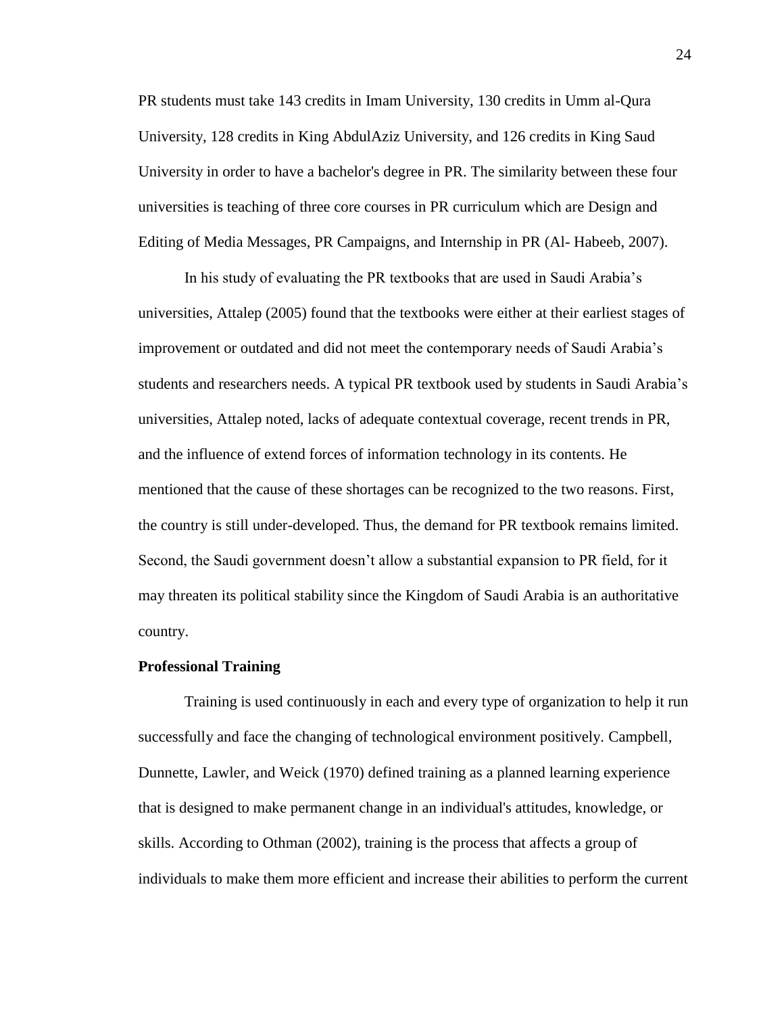PR students must take 143 credits in Imam University, 130 credits in Umm al-Qura University, 128 credits in King AbdulAziz University, and 126 credits in King Saud University in order to have a bachelor's degree in PR. The similarity between these four universities is teaching of three core courses in PR curriculum which are Design and Editing of Media Messages, PR Campaigns, and Internship in PR (Al- Habeeb, 2007).

In his study of evaluating the PR textbooks that are used in Saudi Arabia's universities, Attalep (2005) found that the textbooks were either at their earliest stages of improvement or outdated and did not meet the contemporary needs of Saudi Arabia's students and researchers needs. A typical PR textbook used by students in Saudi Arabia's universities, Attalep noted, lacks of adequate contextual coverage, recent trends in PR, and the influence of extend forces of information technology in its contents. He mentioned that the cause of these shortages can be recognized to the two reasons. First, the country is still under-developed. Thus, the demand for PR textbook remains limited. Second, the Saudi government doesn't allow a substantial expansion to PR field, for it may threaten its political stability since the Kingdom of Saudi Arabia is an authoritative country.

## **Professional Training**

Training is used continuously in each and every type of organization to help it run successfully and face the changing of technological environment positively. Campbell, Dunnette, Lawler, and Weick (1970) defined training as a planned learning experience that is designed to make permanent change in an individual's attitudes, knowledge, or skills. According to Othman (2002), training is the process that affects a group of individuals to make them more efficient and increase their abilities to perform the current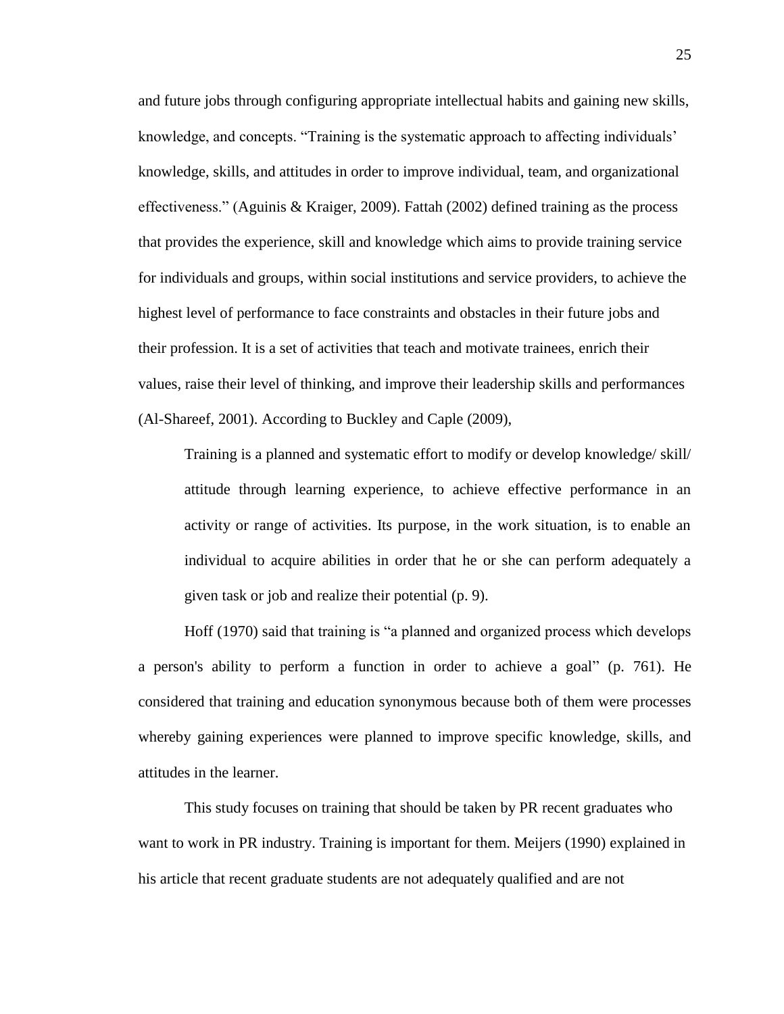and future jobs through configuring appropriate intellectual habits and gaining new skills, knowledge, and concepts. "Training is the systematic approach to affecting individuals' knowledge, skills, and attitudes in order to improve individual, team, and organizational effectiveness." (Aguinis & Kraiger, 2009). Fattah (2002) defined training as the process that provides the experience, skill and knowledge which aims to provide training service for individuals and groups, within social institutions and service providers, to achieve the highest level of performance to face constraints and obstacles in their future jobs and their profession. It is a set of activities that teach and motivate trainees, enrich their values, raise their level of thinking, and improve their leadership skills and performances (Al-Shareef, 2001). According to Buckley and Caple (2009),

Training is a planned and systematic effort to modify or develop knowledge/ skill/ attitude through learning experience, to achieve effective performance in an activity or range of activities. Its purpose, in the work situation, is to enable an individual to acquire abilities in order that he or she can perform adequately a given task or job and realize their potential (p. 9).

Hoff (1970) said that training is "a planned and organized process which develops a person's ability to perform a function in order to achieve a goal" (p. 761). He considered that training and education synonymous because both of them were processes whereby gaining experiences were planned to improve specific knowledge, skills, and attitudes in the learner.

This study focuses on training that should be taken by PR recent graduates who want to work in PR industry. Training is important for them. Meijers (1990) explained in his article that recent graduate students are not adequately qualified and are not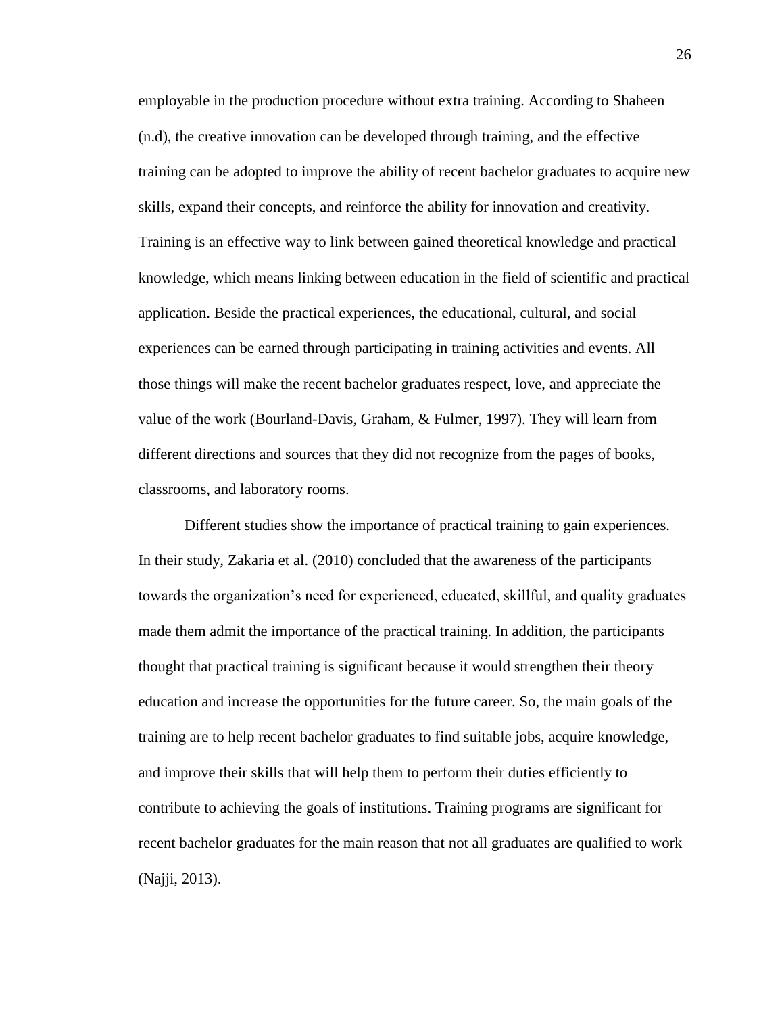employable in the production procedure without extra training. According to Shaheen (n.d), the creative innovation can be developed through training, and the effective training can be adopted to improve the ability of recent bachelor graduates to acquire new skills, expand their concepts, and reinforce the ability for innovation and creativity. Training is an effective way to link between gained theoretical knowledge and practical knowledge, which means linking between education in the field of scientific and practical application. Beside the practical experiences, the educational, cultural, and social experiences can be earned through participating in training activities and events. All those things will make the recent bachelor graduates respect, love, and appreciate the value of the work (Bourland-Davis, Graham, & Fulmer, 1997). They will learn from different directions and sources that they did not recognize from the pages of books, classrooms, and laboratory rooms.

Different studies show the importance of practical training to gain experiences. In their study, Zakaria et al. (2010) concluded that the awareness of the participants towards the organization's need for experienced, educated, skillful, and quality graduates made them admit the importance of the practical training. In addition, the participants thought that practical training is significant because it would strengthen their theory education and increase the opportunities for the future career. So, the main goals of the training are to help recent bachelor graduates to find suitable jobs, acquire knowledge, and improve their skills that will help them to perform their duties efficiently to contribute to achieving the goals of institutions. Training programs are significant for recent bachelor graduates for the main reason that not all graduates are qualified to work (Najji, 2013).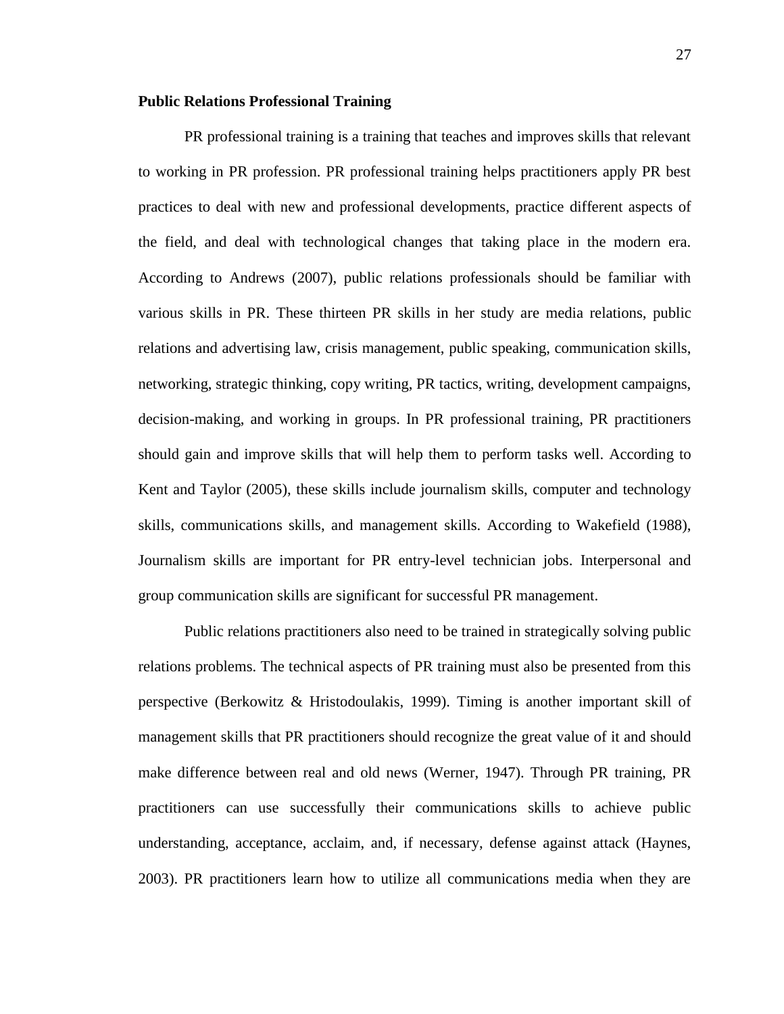#### **Public Relations Professional Training**

PR professional training is a training that teaches and improves skills that relevant to working in PR profession. PR professional training helps practitioners apply PR best practices to deal with new and professional developments, practice different aspects of the field, and deal with technological changes that taking place in the modern era. According to Andrews (2007), public relations professionals should be familiar with various skills in PR. These thirteen PR skills in her study are media relations, public relations and advertising law, crisis management, public speaking, communication skills, networking, strategic thinking, copy writing, PR tactics, writing, development campaigns, decision-making, and working in groups. In PR professional training, PR practitioners should gain and improve skills that will help them to perform tasks well. According to Kent and Taylor (2005), these skills include journalism skills, computer and technology skills, communications skills, and management skills. According to Wakefield (1988), Journalism skills are important for PR entry-level technician jobs. Interpersonal and group communication skills are significant for successful PR management.

Public relations practitioners also need to be trained in strategically solving public relations problems. The technical aspects of PR training must also be presented from this perspective (Berkowitz & Hristodoulakis, 1999). Timing is another important skill of management skills that PR practitioners should recognize the great value of it and should make difference between real and old news (Werner, 1947). Through PR training, PR practitioners can use successfully their communications skills to achieve public understanding, acceptance, acclaim, and, if necessary, defense against attack (Haynes, 2003). PR practitioners learn how to utilize all communications media when they are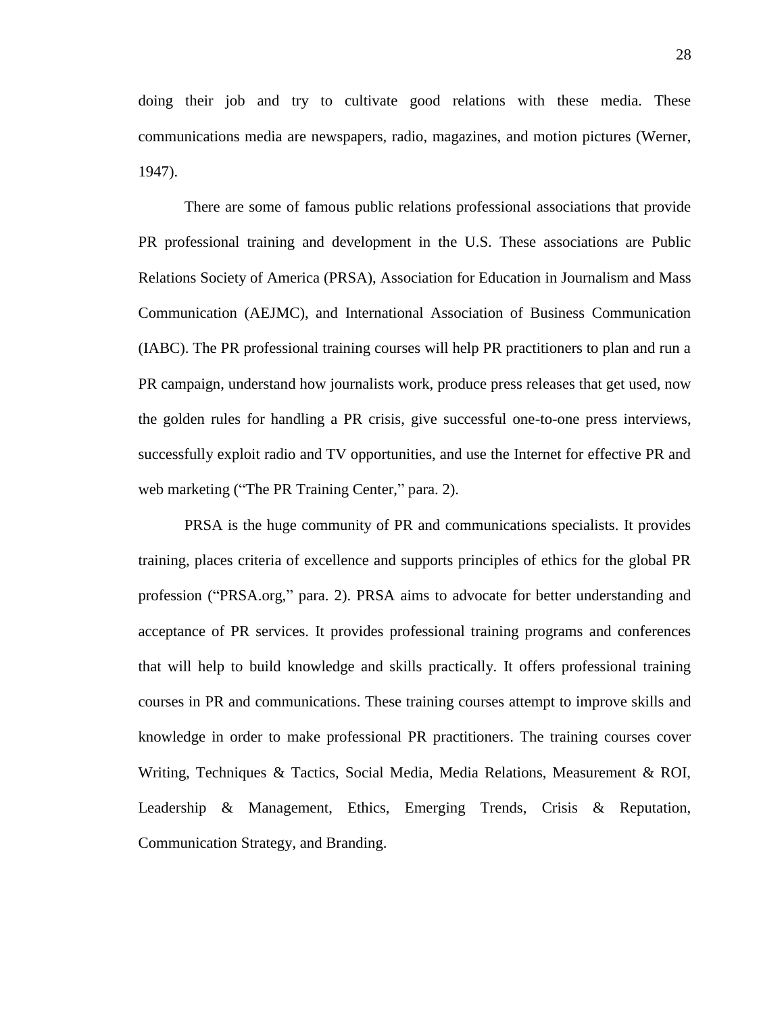doing their job and try to cultivate good relations with these media. These communications media are newspapers, radio, magazines, and motion pictures (Werner, 1947).

There are some of famous public relations professional associations that provide PR professional training and development in the U.S. These associations are Public Relations Society of America (PRSA), Association for Education in Journalism and Mass Communication (AEJMC), and International Association of Business Communication (IABC). The PR professional training courses will help PR practitioners to plan and run a PR campaign, understand how journalists work, produce press releases that get used, now the golden rules for handling a PR crisis, give successful one-to-one press interviews, successfully exploit radio and TV opportunities, and use the Internet for effective PR and web marketing ("The PR Training Center," para. 2).

PRSA is the huge community of PR and communications specialists. It provides training, places criteria of excellence and supports principles of ethics for the global PR profession ("PRSA.org," para. 2). PRSA aims to advocate for better understanding and acceptance of PR services. It provides professional training programs and conferences that will help to build knowledge and skills practically. It offers professional training courses in PR and communications. These training courses attempt to improve skills and knowledge in order to make professional PR practitioners. The training courses cover Writing, Techniques & Tactics, Social Media, Media Relations, Measurement & ROI, Leadership & Management, Ethics, Emerging Trends, Crisis & Reputation, Communication Strategy, and Branding.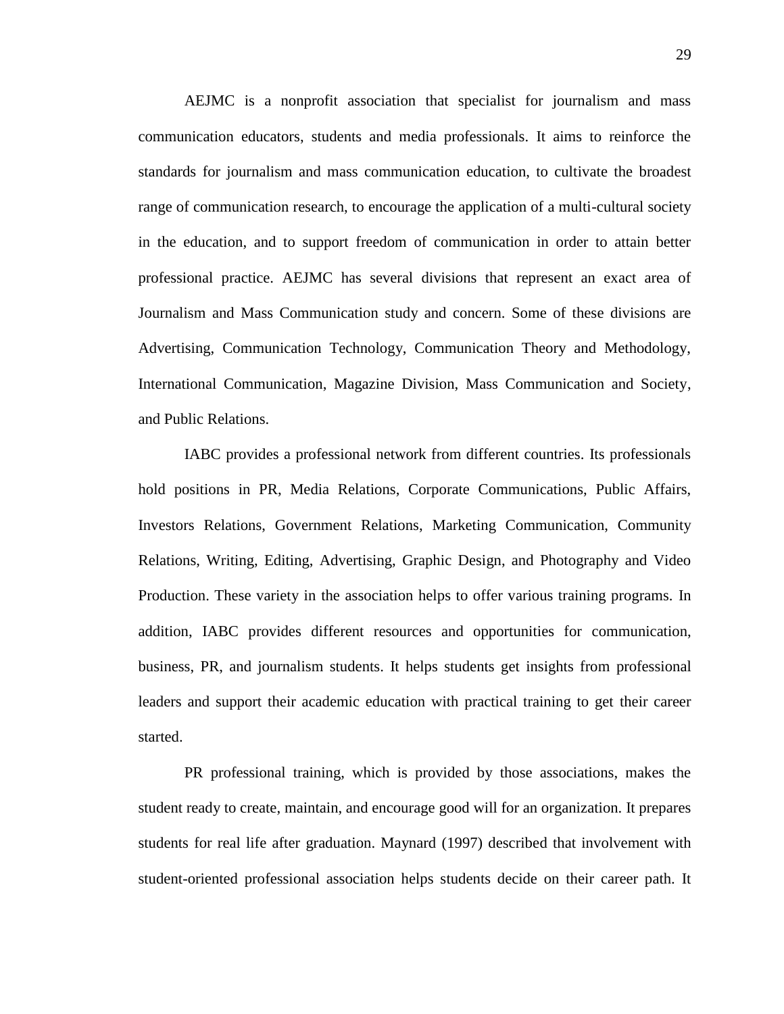AEJMC is a nonprofit association that specialist for journalism and mass communication educators, students and media professionals. It aims to reinforce the standards for journalism and mass communication education, to cultivate the broadest range of communication research, to encourage the application of a multi-cultural society in the education, and to support freedom of communication in order to attain better professional practice. AEJMC has several divisions that represent an exact area of Journalism and Mass Communication study and concern. Some of these divisions are Advertising, Communication Technology, Communication Theory and Methodology, International Communication, Magazine Division, Mass Communication and Society, and Public Relations.

IABC provides a professional network from different countries. Its professionals hold positions in PR, Media Relations, Corporate Communications, Public Affairs, Investors Relations, Government Relations, Marketing Communication, Community Relations, Writing, Editing, Advertising, Graphic Design, and Photography and Video Production. These variety in the association helps to offer various training programs. In addition, IABC provides different resources and opportunities for communication, business, PR, and journalism students. It helps students get insights from professional leaders and support their academic education with practical training to get their career started.

PR professional training, which is provided by those associations, makes the student ready to create, maintain, and encourage good will for an organization. It prepares students for real life after graduation. Maynard (1997) described that involvement with student-oriented professional association helps students decide on their career path. It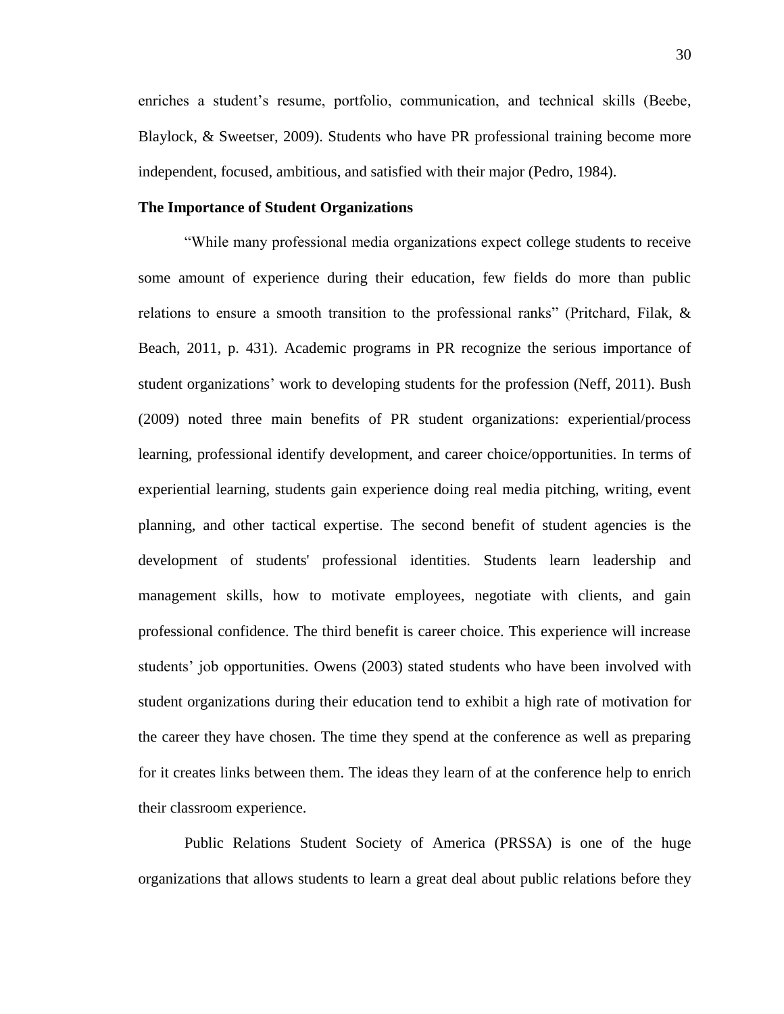enriches a student's resume, portfolio, communication, and technical skills (Beebe, Blaylock, & Sweetser, 2009). Students who have PR professional training become more independent, focused, ambitious, and satisfied with their major (Pedro, 1984).

#### **The Importance of Student Organizations**

"While many professional media organizations expect college students to receive some amount of experience during their education, few fields do more than public relations to ensure a smooth transition to the professional ranks" (Pritchard, Filak, & Beach, 2011, p. 431). Academic programs in PR recognize the serious importance of student organizations' work to developing students for the profession (Neff, 2011). Bush (2009) noted three main benefits of PR student organizations: experiential/process learning, professional identify development, and career choice/opportunities. In terms of experiential learning, students gain experience doing real media pitching, writing, event planning, and other tactical expertise. The second benefit of student agencies is the development of students' professional identities. Students learn leadership and management skills, how to motivate employees, negotiate with clients, and gain professional confidence. The third benefit is career choice. This experience will increase students' job opportunities. Owens (2003) stated students who have been involved with student organizations during their education tend to exhibit a high rate of motivation for the career they have chosen. The time they spend at the conference as well as preparing for it creates links between them. The ideas they learn of at the conference help to enrich their classroom experience.

Public Relations Student Society of America (PRSSA) is one of the huge organizations that allows students to learn a great deal about public relations before they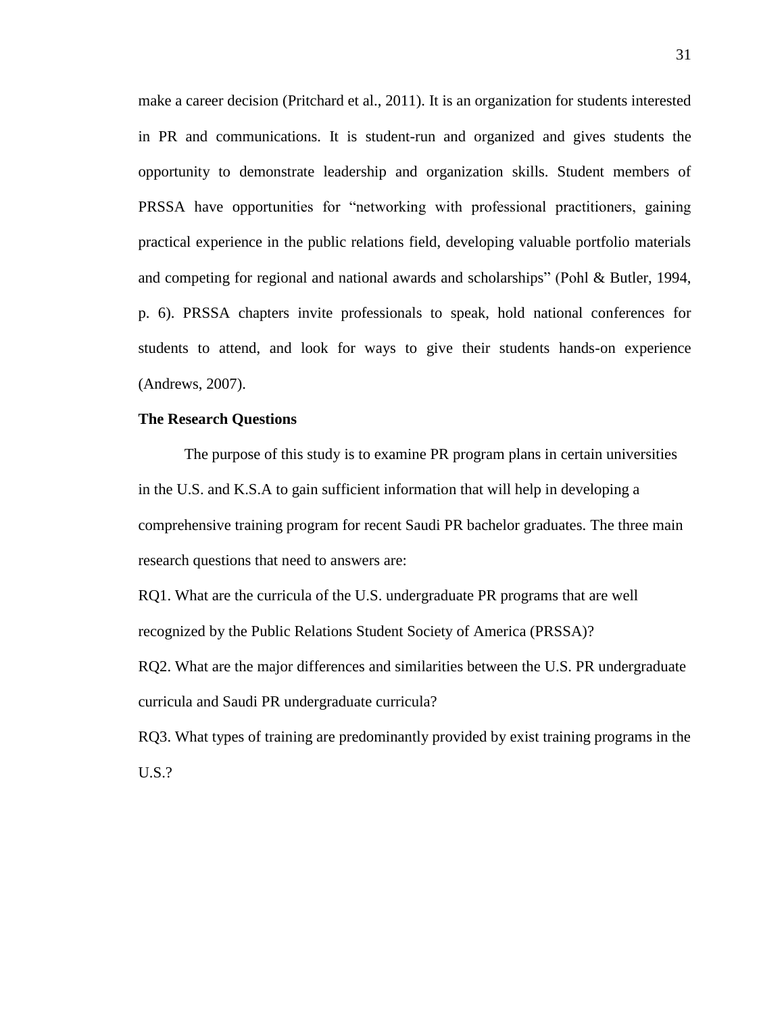make a career decision (Pritchard et al., 2011). It is an organization for students interested in PR and communications. It is student-run and organized and gives students the opportunity to demonstrate leadership and organization skills. Student members of PRSSA have opportunities for "networking with professional practitioners, gaining practical experience in the public relations field, developing valuable portfolio materials and competing for regional and national awards and scholarships" (Pohl & Butler, 1994, p. 6). PRSSA chapters invite professionals to speak, hold national conferences for students to attend, and look for ways to give their students hands-on experience (Andrews, 2007).

#### **The Research Questions**

The purpose of this study is to examine PR program plans in certain universities in the U.S. and K.S.A to gain sufficient information that will help in developing a comprehensive training program for recent Saudi PR bachelor graduates. The three main research questions that need to answers are:

RQ1. What are the curricula of the U.S. undergraduate PR programs that are well recognized by the Public Relations Student Society of America (PRSSA)?

RQ2. What are the major differences and similarities between the U.S. PR undergraduate curricula and Saudi PR undergraduate curricula?

RQ3. What types of training are predominantly provided by exist training programs in the U.S.?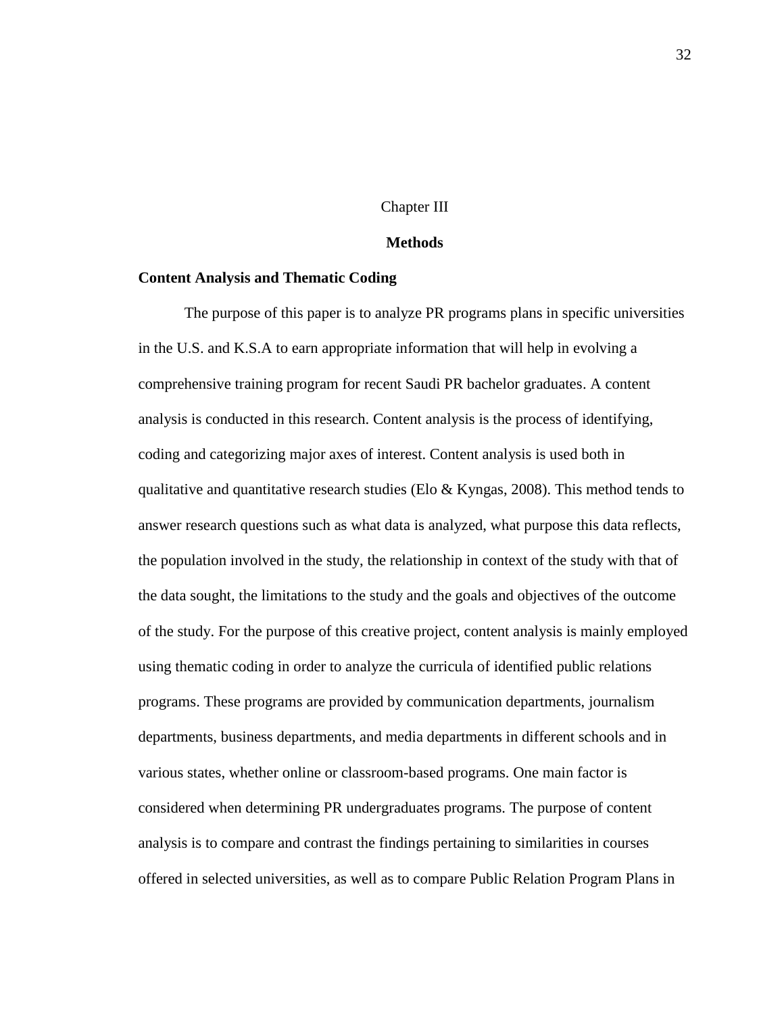#### Chapter III

#### **Methods**

#### **Content Analysis and Thematic Coding**

The purpose of this paper is to analyze PR programs plans in specific universities in the U.S. and K.S.A to earn appropriate information that will help in evolving a comprehensive training program for recent Saudi PR bachelor graduates. A content analysis is conducted in this research. Content analysis is the process of identifying, coding and categorizing major axes of interest. Content analysis is used both in qualitative and quantitative research studies (Elo & Kyngas, 2008). This method tends to answer research questions such as what data is analyzed, what purpose this data reflects, the population involved in the study, the relationship in context of the study with that of the data sought, the limitations to the study and the goals and objectives of the outcome of the study. For the purpose of this creative project, content analysis is mainly employed using thematic coding in order to analyze the curricula of identified public relations programs. These programs are provided by communication departments, journalism departments, business departments, and media departments in different schools and in various states, whether online or classroom-based programs. One main factor is considered when determining PR undergraduates programs. The purpose of content analysis is to compare and contrast the findings pertaining to similarities in courses offered in selected universities, as well as to compare Public Relation Program Plans in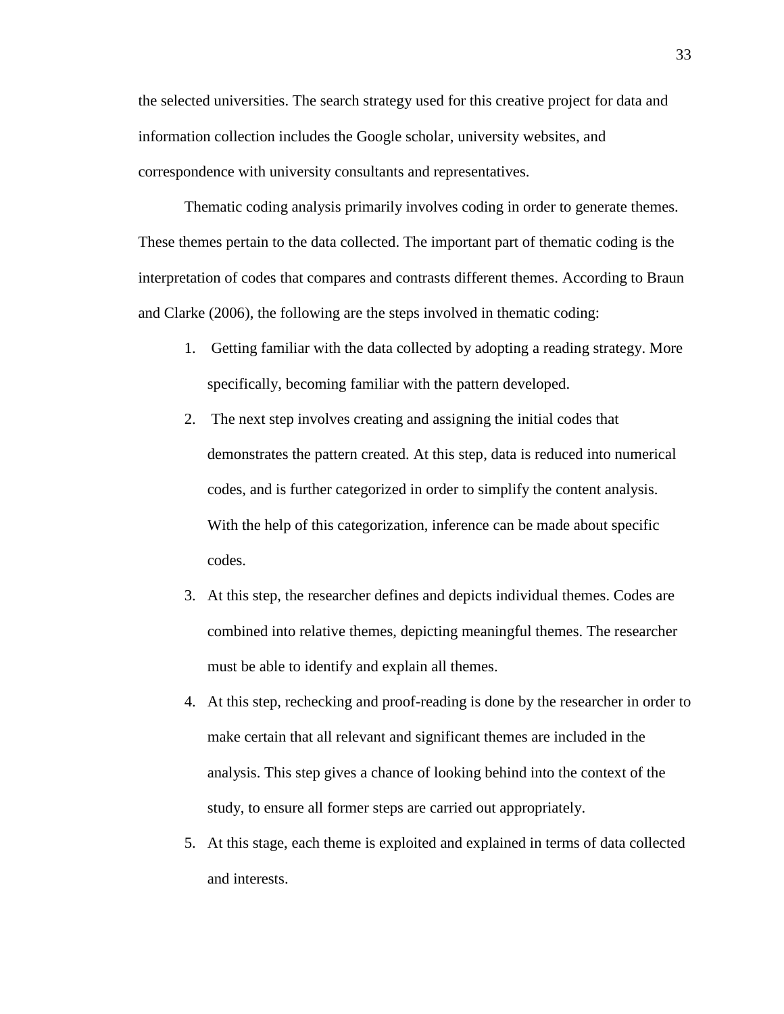the selected universities. The search strategy used for this creative project for data and information collection includes the Google scholar, university websites, and correspondence with university consultants and representatives.

Thematic coding analysis primarily involves coding in order to generate themes. These themes pertain to the data collected. The important part of thematic coding is the interpretation of codes that compares and contrasts different themes. According to Braun and Clarke (2006), the following are the steps involved in thematic coding:

- 1. Getting familiar with the data collected by adopting a reading strategy. More specifically, becoming familiar with the pattern developed.
- 2. The next step involves creating and assigning the initial codes that demonstrates the pattern created. At this step, data is reduced into numerical codes, and is further categorized in order to simplify the content analysis. With the help of this categorization, inference can be made about specific codes.
- 3. At this step, the researcher defines and depicts individual themes. Codes are combined into relative themes, depicting meaningful themes. The researcher must be able to identify and explain all themes.
- 4. At this step, rechecking and proof-reading is done by the researcher in order to make certain that all relevant and significant themes are included in the analysis. This step gives a chance of looking behind into the context of the study, to ensure all former steps are carried out appropriately.
- 5. At this stage, each theme is exploited and explained in terms of data collected and interests.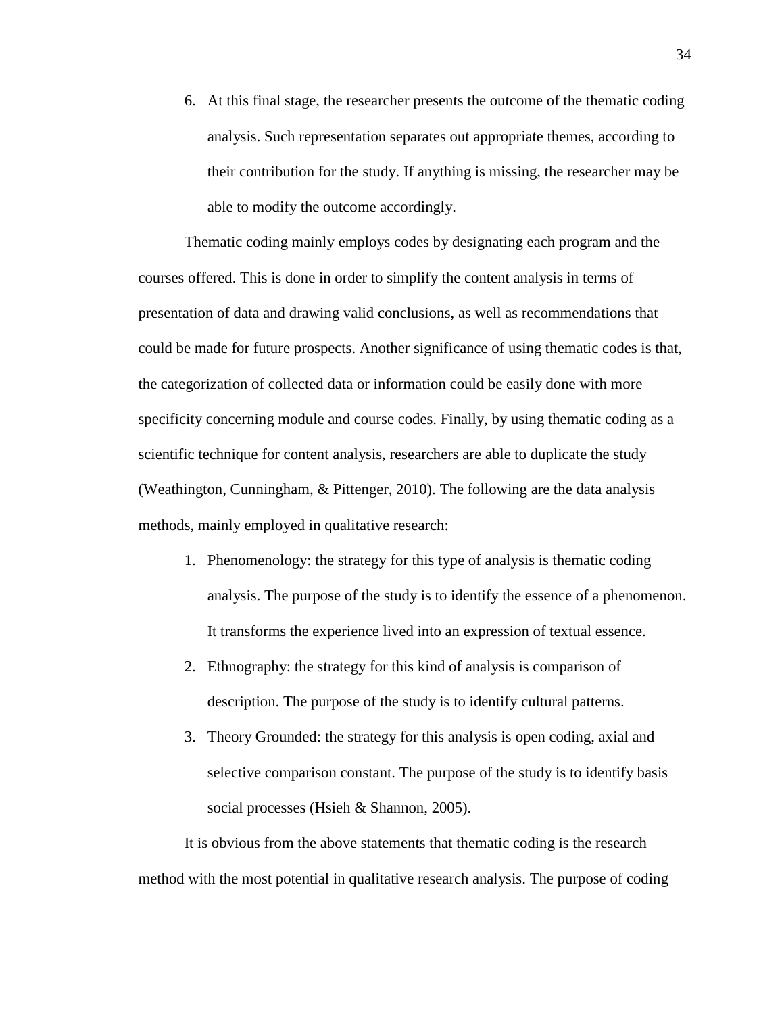6. At this final stage, the researcher presents the outcome of the thematic coding analysis. Such representation separates out appropriate themes, according to their contribution for the study. If anything is missing, the researcher may be able to modify the outcome accordingly.

Thematic coding mainly employs codes by designating each program and the courses offered. This is done in order to simplify the content analysis in terms of presentation of data and drawing valid conclusions, as well as recommendations that could be made for future prospects. Another significance of using thematic codes is that, the categorization of collected data or information could be easily done with more specificity concerning module and course codes. Finally, by using thematic coding as a scientific technique for content analysis, researchers are able to duplicate the study (Weathington, Cunningham, & Pittenger, 2010). The following are the data analysis methods, mainly employed in qualitative research:

- 1. Phenomenology: the strategy for this type of analysis is thematic coding analysis. The purpose of the study is to identify the essence of a phenomenon. It transforms the experience lived into an expression of textual essence.
- 2. Ethnography: the strategy for this kind of analysis is comparison of description. The purpose of the study is to identify cultural patterns.
- 3. Theory Grounded: the strategy for this analysis is open coding, axial and selective comparison constant. The purpose of the study is to identify basis social processes (Hsieh & Shannon, 2005).

It is obvious from the above statements that thematic coding is the research method with the most potential in qualitative research analysis. The purpose of coding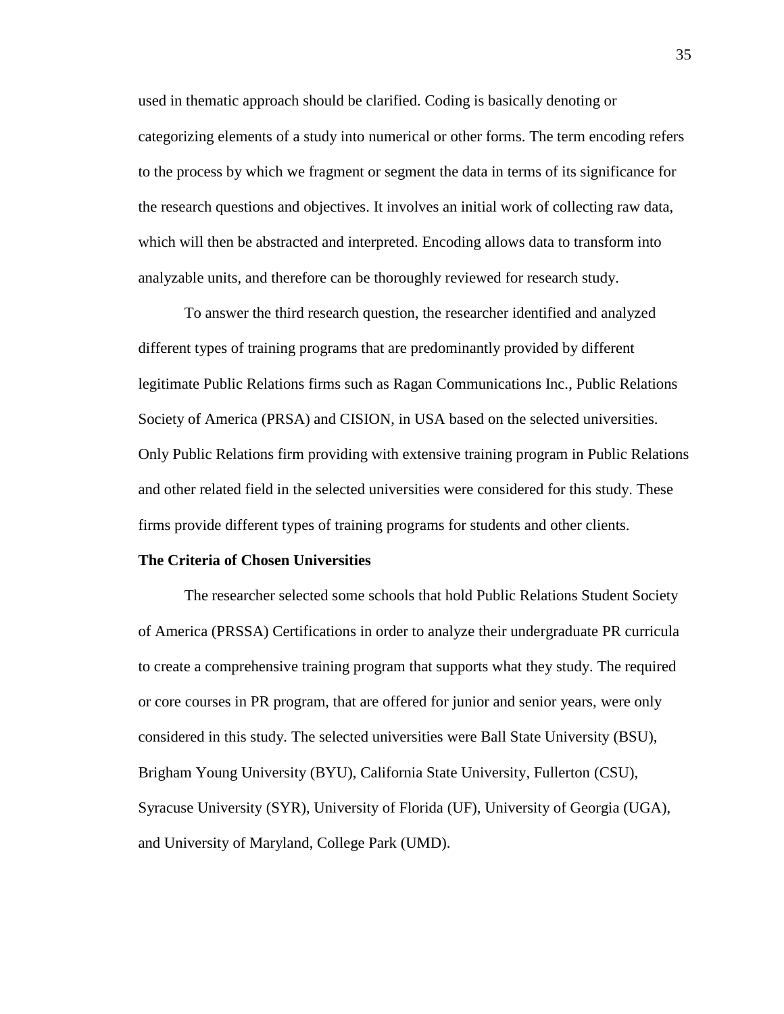used in thematic approach should be clarified. Coding is basically denoting or categorizing elements of a study into numerical or other forms. The term encoding refers to the process by which we fragment or segment the data in terms of its significance for the research questions and objectives. It involves an initial work of collecting raw data, which will then be abstracted and interpreted. Encoding allows data to transform into analyzable units, and therefore can be thoroughly reviewed for research study.

To answer the third research question, the researcher identified and analyzed different types of training programs that are predominantly provided by different legitimate Public Relations firms such as Ragan Communications Inc., Public Relations Society of America (PRSA) and CISION, in USA based on the selected universities. Only Public Relations firm providing with extensive training program in Public Relations and other related field in the selected universities were considered for this study. These firms provide different types of training programs for students and other clients.

#### **The Criteria of Chosen Universities**

The researcher selected some schools that hold Public Relations Student Society of America (PRSSA) Certifications in order to analyze their undergraduate PR curricula to create a comprehensive training program that supports what they study. The required or core courses in PR program, that are offered for junior and senior years, were only considered in this study. The selected universities were Ball State University (BSU), Brigham Young University (BYU), California State University, Fullerton (CSU), Syracuse University (SYR), University of Florida (UF), University of Georgia (UGA), and University of Maryland, College Park (UMD).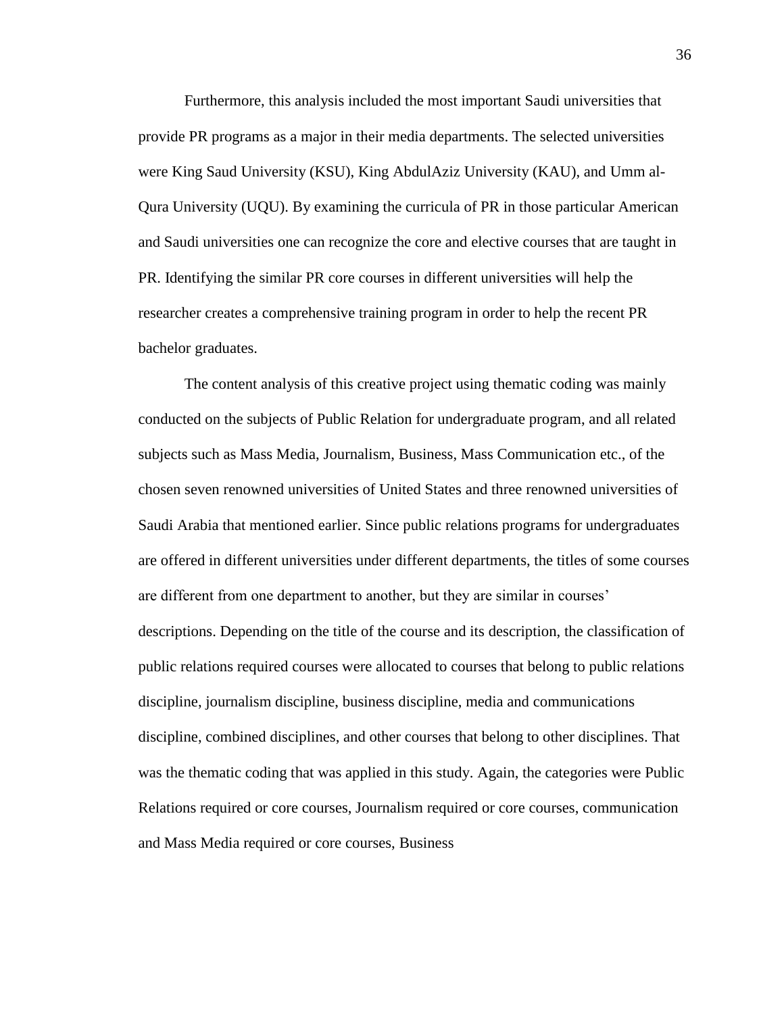Furthermore, this analysis included the most important Saudi universities that provide PR programs as a major in their media departments. The selected universities were King Saud University (KSU), King AbdulAziz University (KAU), and Umm al-Qura University (UQU). By examining the curricula of PR in those particular American and Saudi universities one can recognize the core and elective courses that are taught in PR. Identifying the similar PR core courses in different universities will help the researcher creates a comprehensive training program in order to help the recent PR bachelor graduates.

The content analysis of this creative project using thematic coding was mainly conducted on the subjects of Public Relation for undergraduate program, and all related subjects such as Mass Media, Journalism, Business, Mass Communication etc., of the chosen seven renowned universities of United States and three renowned universities of Saudi Arabia that mentioned earlier. Since public relations programs for undergraduates are offered in different universities under different departments, the titles of some courses are different from one department to another, but they are similar in courses' descriptions. Depending on the title of the course and its description, the classification of public relations required courses were allocated to courses that belong to public relations discipline, journalism discipline, business discipline, media and communications discipline, combined disciplines, and other courses that belong to other disciplines. That was the thematic coding that was applied in this study. Again, the categories were Public Relations required or core courses, Journalism required or core courses, communication and Mass Media required or core courses, Business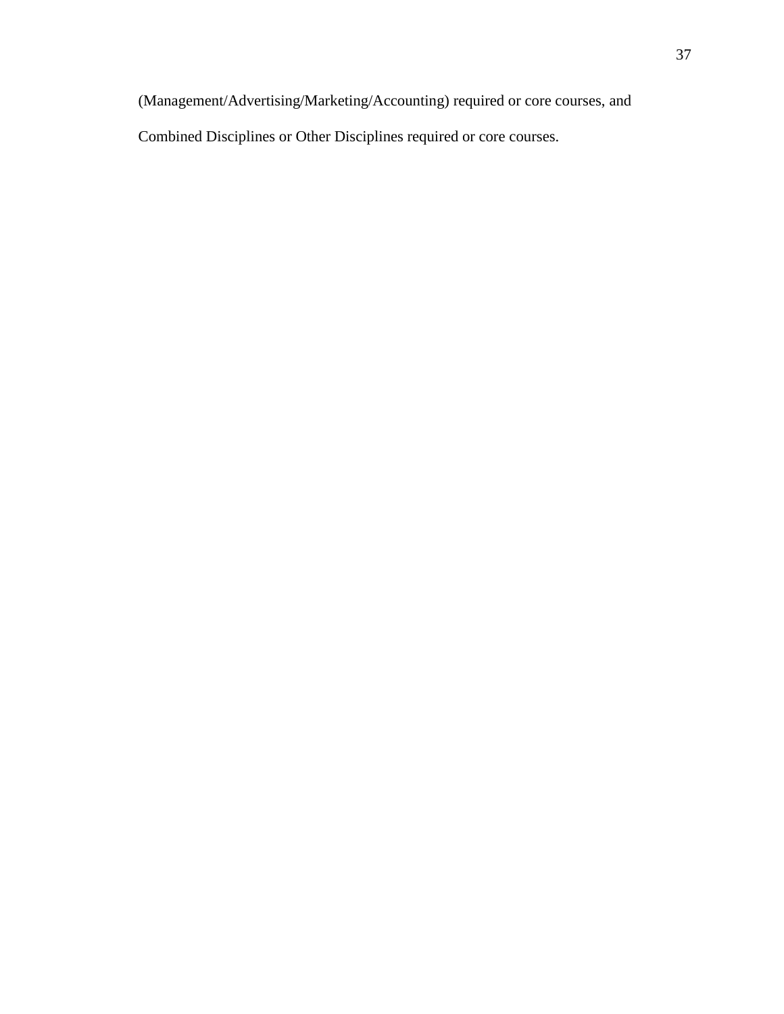(Management/Advertising/Marketing/Accounting) required or core courses, and

Combined Disciplines or Other Disciplines required or core courses.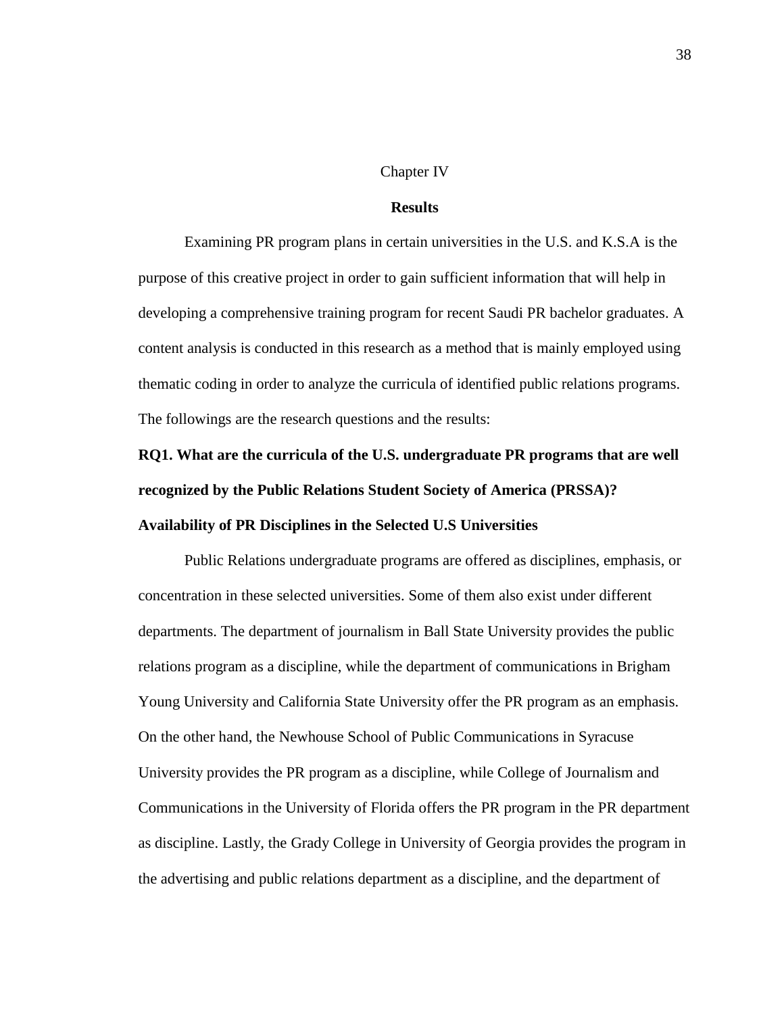#### Chapter IV

## **Results**

Examining PR program plans in certain universities in the U.S. and K.S.A is the purpose of this creative project in order to gain sufficient information that will help in developing a comprehensive training program for recent Saudi PR bachelor graduates. A content analysis is conducted in this research as a method that is mainly employed using thematic coding in order to analyze the curricula of identified public relations programs. The followings are the research questions and the results:

# **RQ1. What are the curricula of the U.S. undergraduate PR programs that are well recognized by the Public Relations Student Society of America (PRSSA)? Availability of PR Disciplines in the Selected U.S Universities**

Public Relations undergraduate programs are offered as disciplines, emphasis, or concentration in these selected universities. Some of them also exist under different departments. The department of journalism in Ball State University provides the public relations program as a discipline, while the department of communications in Brigham Young University and California State University offer the PR program as an emphasis. On the other hand, the Newhouse School of Public Communications in Syracuse University provides the PR program as a discipline, while College of Journalism and Communications in the University of Florida offers the PR program in the PR department as discipline. Lastly, the Grady College in University of Georgia provides the program in the advertising and public relations department as a discipline, and the department of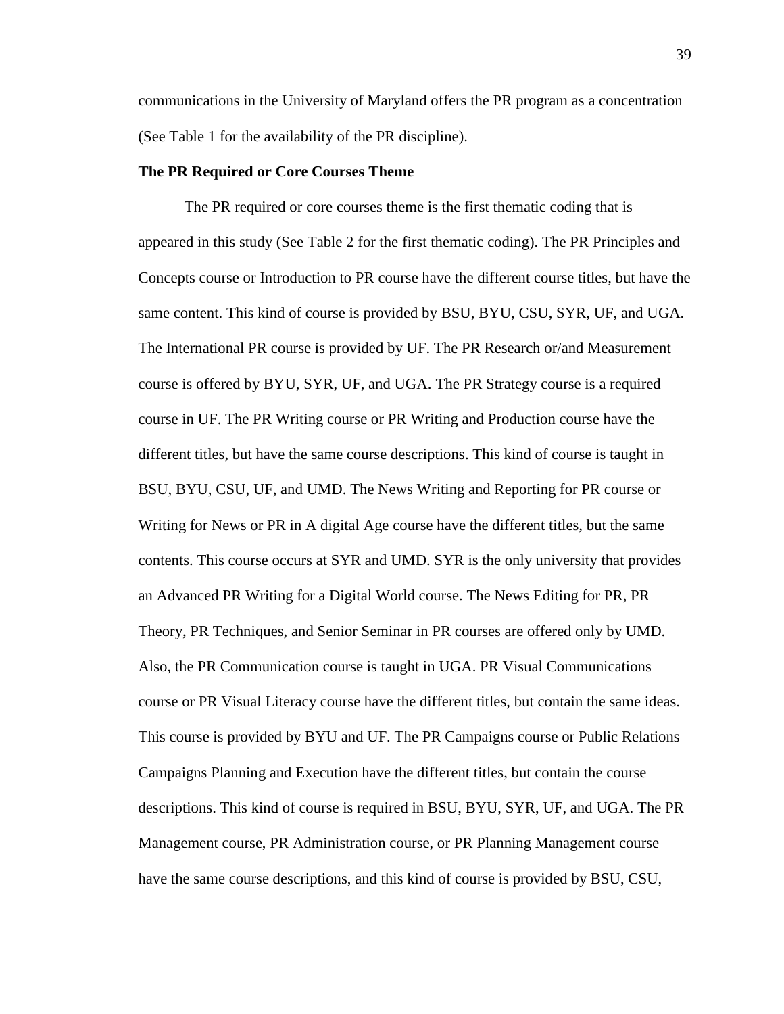communications in the University of Maryland offers the PR program as a concentration (See Table 1 for the availability of the PR discipline).

#### **The PR Required or Core Courses Theme**

The PR required or core courses theme is the first thematic coding that is appeared in this study (See Table 2 for the first thematic coding). The PR Principles and Concepts course or Introduction to PR course have the different course titles, but have the same content. This kind of course is provided by BSU, BYU, CSU, SYR, UF, and UGA. The International PR course is provided by UF. The PR Research or/and Measurement course is offered by BYU, SYR, UF, and UGA. The PR Strategy course is a required course in UF. The PR Writing course or PR Writing and Production course have the different titles, but have the same course descriptions. This kind of course is taught in BSU, BYU, CSU, UF, and UMD. The News Writing and Reporting for PR course or Writing for News or PR in A digital Age course have the different titles, but the same contents. This course occurs at SYR and UMD. SYR is the only university that provides an Advanced PR Writing for a Digital World course. The News Editing for PR, PR Theory, PR Techniques, and Senior Seminar in PR courses are offered only by UMD. Also, the PR Communication course is taught in UGA. PR Visual Communications course or PR Visual Literacy course have the different titles, but contain the same ideas. This course is provided by BYU and UF. The PR Campaigns course or Public Relations Campaigns Planning and Execution have the different titles, but contain the course descriptions. This kind of course is required in BSU, BYU, SYR, UF, and UGA. The PR Management course, PR Administration course, or PR Planning Management course have the same course descriptions, and this kind of course is provided by BSU, CSU,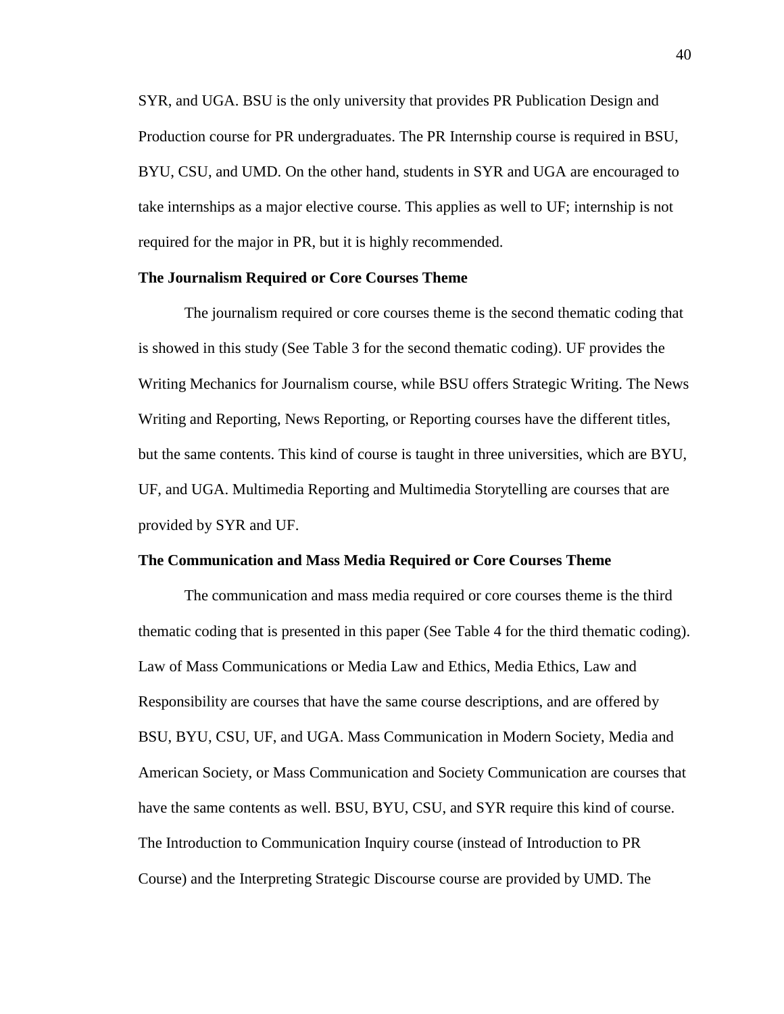SYR, and UGA. BSU is the only university that provides PR Publication Design and Production course for PR undergraduates. The PR Internship course is required in BSU, BYU, CSU, and UMD. On the other hand, students in SYR and UGA are encouraged to take internships as a major elective course. This applies as well to UF; internship is not required for the major in PR, but it is highly recommended.

## **The Journalism Required or Core Courses Theme**

The journalism required or core courses theme is the second thematic coding that is showed in this study (See Table 3 for the second thematic coding). UF provides the Writing Mechanics for Journalism course, while BSU offers Strategic Writing. The News Writing and Reporting, News Reporting, or Reporting courses have the different titles, but the same contents. This kind of course is taught in three universities, which are BYU, UF, and UGA. Multimedia Reporting and Multimedia Storytelling are courses that are provided by SYR and UF.

#### **The Communication and Mass Media Required or Core Courses Theme**

The communication and mass media required or core courses theme is the third thematic coding that is presented in this paper (See Table 4 for the third thematic coding). Law of Mass Communications or Media Law and Ethics, Media Ethics, Law and Responsibility are courses that have the same course descriptions, and are offered by BSU, BYU, CSU, UF, and UGA. Mass Communication in Modern Society, Media and American Society, or Mass Communication and Society Communication are courses that have the same contents as well. BSU, BYU, CSU, and SYR require this kind of course. The Introduction to Communication Inquiry course (instead of Introduction to PR Course) and the Interpreting Strategic Discourse course are provided by UMD. The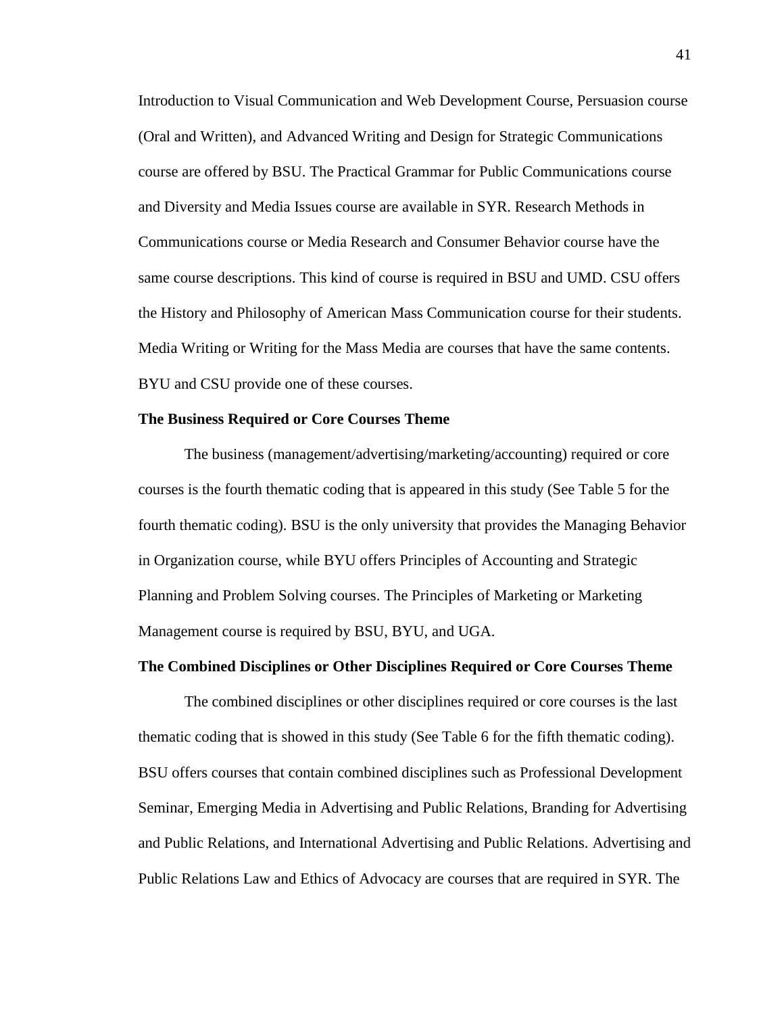Introduction to Visual Communication and Web Development Course, Persuasion course (Oral and Written), and Advanced Writing and Design for Strategic Communications course are offered by BSU. The Practical Grammar for Public Communications course and Diversity and Media Issues course are available in SYR. Research Methods in Communications course or Media Research and Consumer Behavior course have the same course descriptions. This kind of course is required in BSU and UMD. CSU offers the History and Philosophy of American Mass Communication course for their students. Media Writing or Writing for the Mass Media are courses that have the same contents. BYU and CSU provide one of these courses.

## **The Business Required or Core Courses Theme**

The business (management/advertising/marketing/accounting) required or core courses is the fourth thematic coding that is appeared in this study (See Table 5 for the fourth thematic coding). BSU is the only university that provides the Managing Behavior in Organization course, while BYU offers Principles of Accounting and Strategic Planning and Problem Solving courses. The Principles of Marketing or Marketing Management course is required by BSU, BYU, and UGA.

#### **The Combined Disciplines or Other Disciplines Required or Core Courses Theme**

The combined disciplines or other disciplines required or core courses is the last thematic coding that is showed in this study (See Table 6 for the fifth thematic coding). BSU offers courses that contain combined disciplines such as Professional Development Seminar, Emerging Media in Advertising and Public Relations, Branding for Advertising and Public Relations, and International Advertising and Public Relations. Advertising and Public Relations Law and Ethics of Advocacy are courses that are required in SYR. The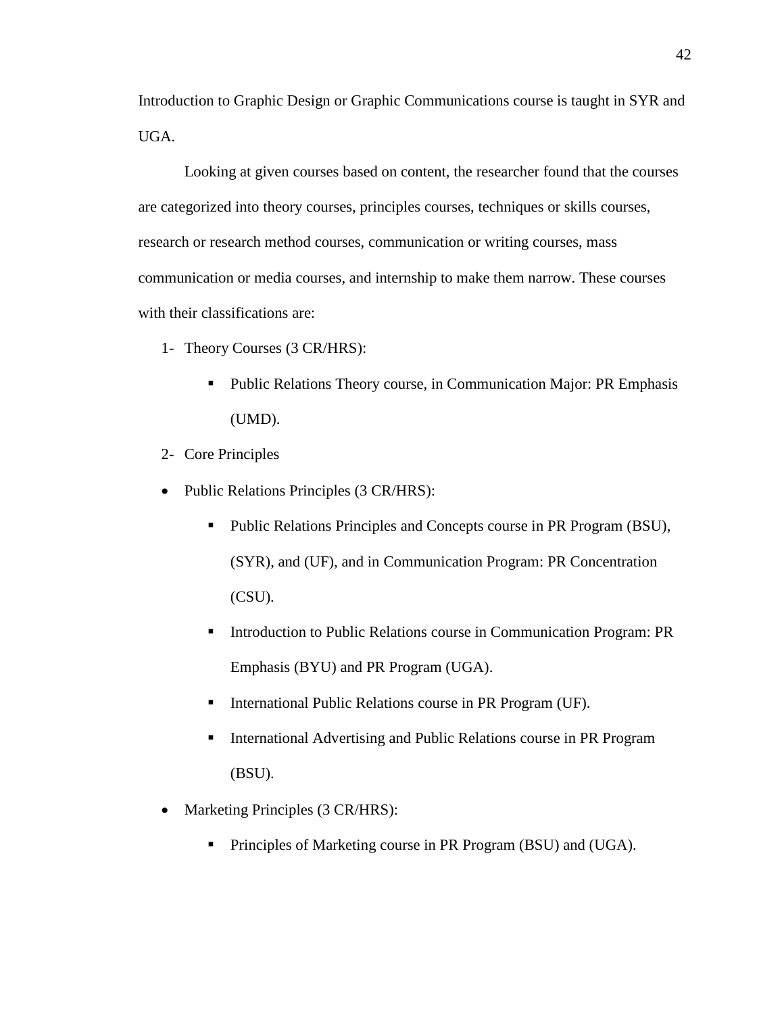Introduction to Graphic Design or Graphic Communications course is taught in SYR and UGA.

Looking at given courses based on content, the researcher found that the courses are categorized into theory courses, principles courses, techniques or skills courses, research or research method courses, communication or writing courses, mass communication or media courses, and internship to make them narrow. These courses with their classifications are:

- 1- Theory Courses (3 CR/HRS):
	- **Public Relations Theory course, in Communication Major: PR Emphasis** (UMD).
- 2- Core Principles
- Public Relations Principles (3 CR/HRS):
	- Public Relations Principles and Concepts course in PR Program (BSU), (SYR), and (UF), and in Communication Program: PR Concentration (CSU).
	- Introduction to Public Relations course in Communication Program: PR Emphasis (BYU) and PR Program (UGA).
	- International Public Relations course in PR Program (UF).
	- **International Advertising and Public Relations course in PR Program** (BSU).
- Marketing Principles (3 CR/HRS):
	- **Principles of Marketing course in PR Program (BSU) and (UGA).**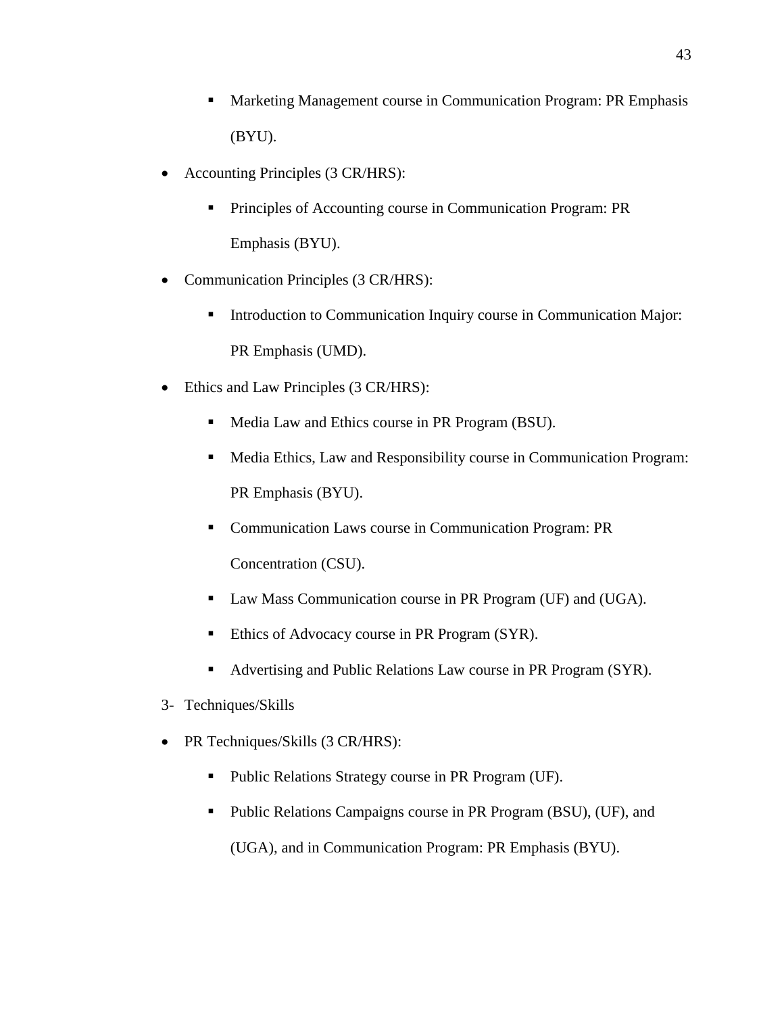- Marketing Management course in Communication Program: PR Emphasis (BYU).
- Accounting Principles (3 CR/HRS):
	- Principles of Accounting course in Communication Program: PR Emphasis (BYU).
- Communication Principles (3 CR/HRS):
	- Introduction to Communication Inquiry course in Communication Major: PR Emphasis (UMD).
- Ethics and Law Principles (3 CR/HRS):
	- **Media Law and Ethics course in PR Program (BSU).**
	- Media Ethics, Law and Responsibility course in Communication Program: PR Emphasis (BYU).
	- Communication Laws course in Communication Program: PR Concentration (CSU).
	- Law Mass Communication course in PR Program (UF) and (UGA).
	- Ethics of Advocacy course in PR Program (SYR).
	- Advertising and Public Relations Law course in PR Program (SYR).
- 3- Techniques/Skills
- PR Techniques/Skills (3 CR/HRS):
	- Public Relations Strategy course in PR Program (UF).
	- **Public Relations Campaigns course in PR Program (BSU), (UF), and**

(UGA), and in Communication Program: PR Emphasis (BYU).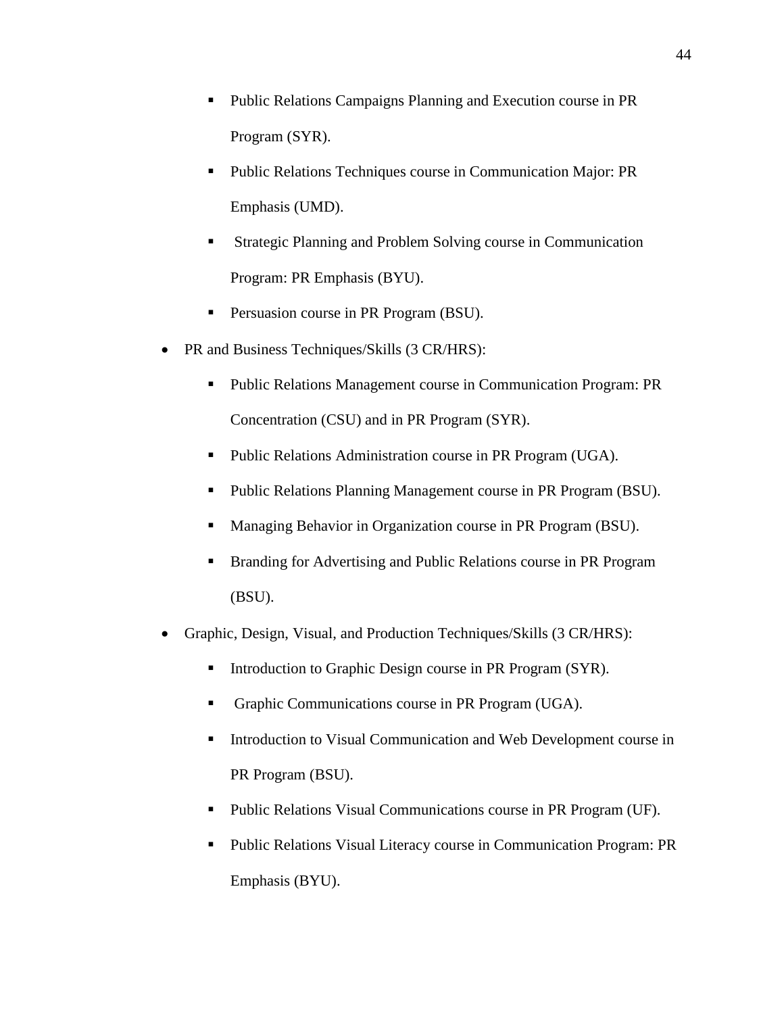- Public Relations Campaigns Planning and Execution course in PR Program (SYR).
- Public Relations Techniques course in Communication Major: PR Emphasis (UMD).
- Strategic Planning and Problem Solving course in Communication Program: PR Emphasis (BYU).
- **Persuasion course in PR Program (BSU).**
- PR and Business Techniques/Skills (3 CR/HRS):
	- **Public Relations Management course in Communication Program: PR** Concentration (CSU) and in PR Program (SYR).
	- Public Relations Administration course in PR Program (UGA).
	- Public Relations Planning Management course in PR Program (BSU).
	- Managing Behavior in Organization course in PR Program (BSU).
	- Branding for Advertising and Public Relations course in PR Program (BSU).
- Graphic, Design, Visual, and Production Techniques/Skills (3 CR/HRS):
	- Introduction to Graphic Design course in PR Program (SYR).
	- Graphic Communications course in PR Program (UGA).
	- Introduction to Visual Communication and Web Development course in PR Program (BSU).
	- Public Relations Visual Communications course in PR Program (UF).
	- Public Relations Visual Literacy course in Communication Program: PR Emphasis (BYU).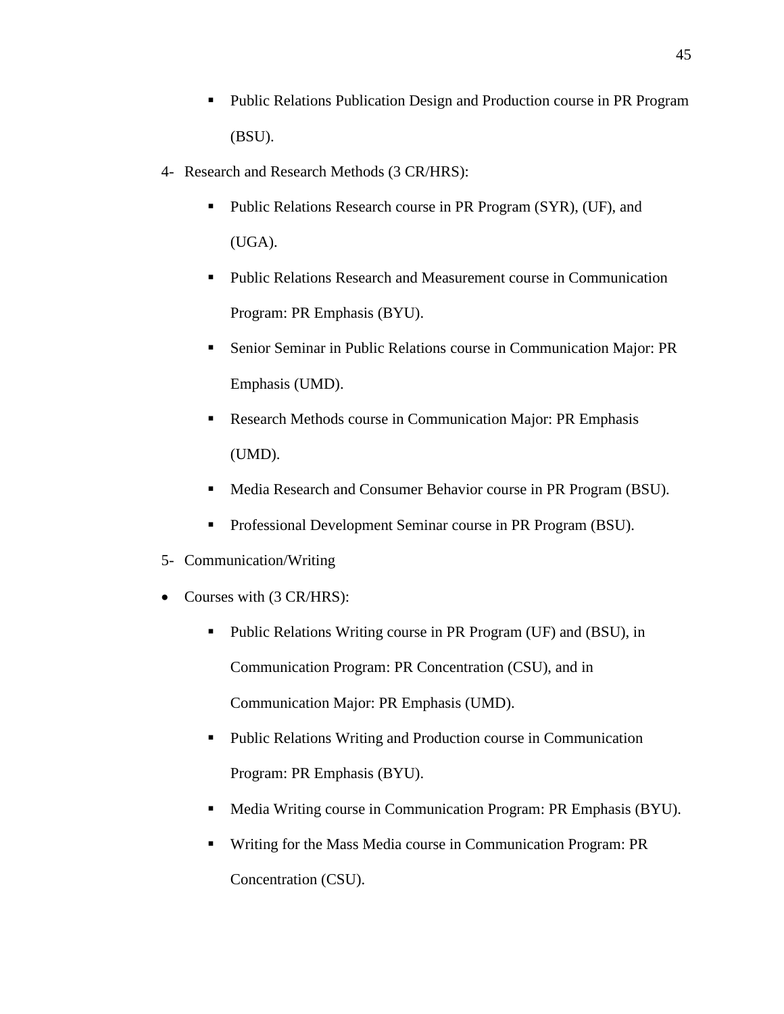- Public Relations Publication Design and Production course in PR Program (BSU).
- 4- Research and Research Methods (3 CR/HRS):
	- Public Relations Research course in PR Program (SYR), (UF), and (UGA).
	- Public Relations Research and Measurement course in Communication Program: PR Emphasis (BYU).
	- Senior Seminar in Public Relations course in Communication Major: PR Emphasis (UMD).
	- Research Methods course in Communication Major: PR Emphasis (UMD).
	- Media Research and Consumer Behavior course in PR Program (BSU).
	- **Professional Development Seminar course in PR Program (BSU).**
- 5- Communication/Writing
- Courses with (3 CR/HRS):
	- Public Relations Writing course in PR Program (UF) and (BSU), in Communication Program: PR Concentration (CSU), and in Communication Major: PR Emphasis (UMD).
	- **Public Relations Writing and Production course in Communication** Program: PR Emphasis (BYU).
	- **Media Writing course in Communication Program: PR Emphasis (BYU).**
	- Writing for the Mass Media course in Communication Program: PR Concentration (CSU).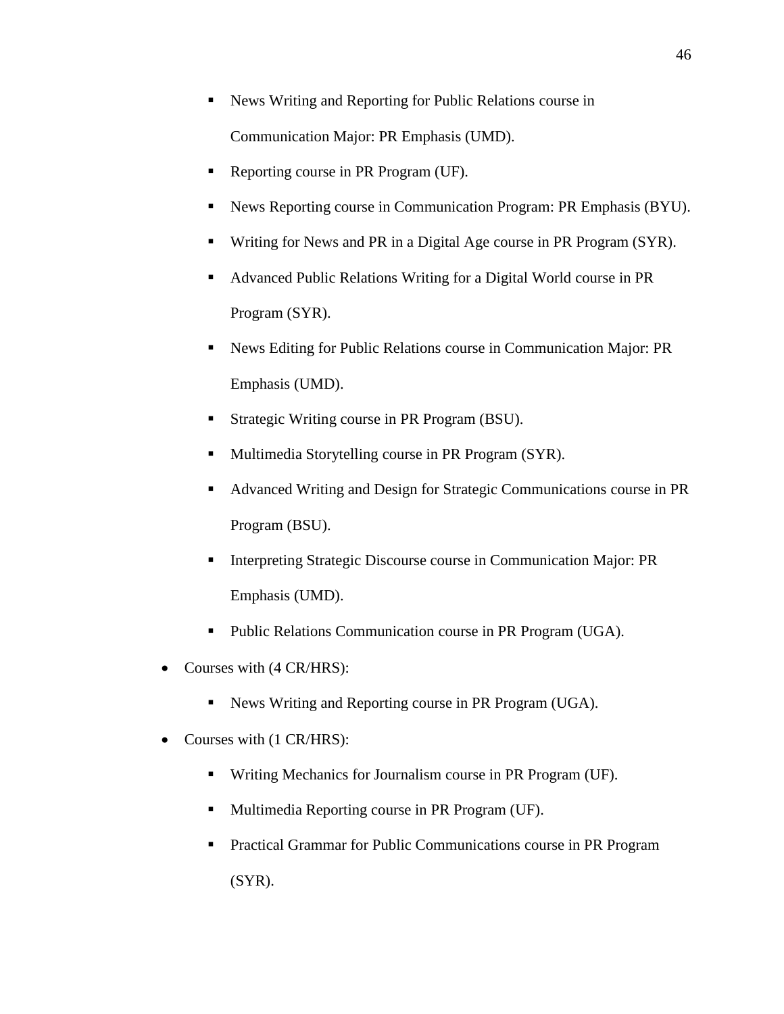- News Writing and Reporting for Public Relations course in Communication Major: PR Emphasis (UMD).
- Reporting course in PR Program (UF).
- News Reporting course in Communication Program: PR Emphasis (BYU).
- Writing for News and PR in a Digital Age course in PR Program (SYR).
- Advanced Public Relations Writing for a Digital World course in PR Program (SYR).
- News Editing for Public Relations course in Communication Major: PR Emphasis (UMD).
- Strategic Writing course in PR Program (BSU).
- Multimedia Storytelling course in PR Program (SYR).
- Advanced Writing and Design for Strategic Communications course in PR Program (BSU).
- Interpreting Strategic Discourse course in Communication Major: PR Emphasis (UMD).
- Public Relations Communication course in PR Program (UGA).
- Courses with (4 CR/HRS):
	- News Writing and Reporting course in PR Program (UGA).
- Courses with (1 CR/HRS):
	- Writing Mechanics for Journalism course in PR Program (UF).
	- Multimedia Reporting course in PR Program (UF).
	- Practical Grammar for Public Communications course in PR Program (SYR).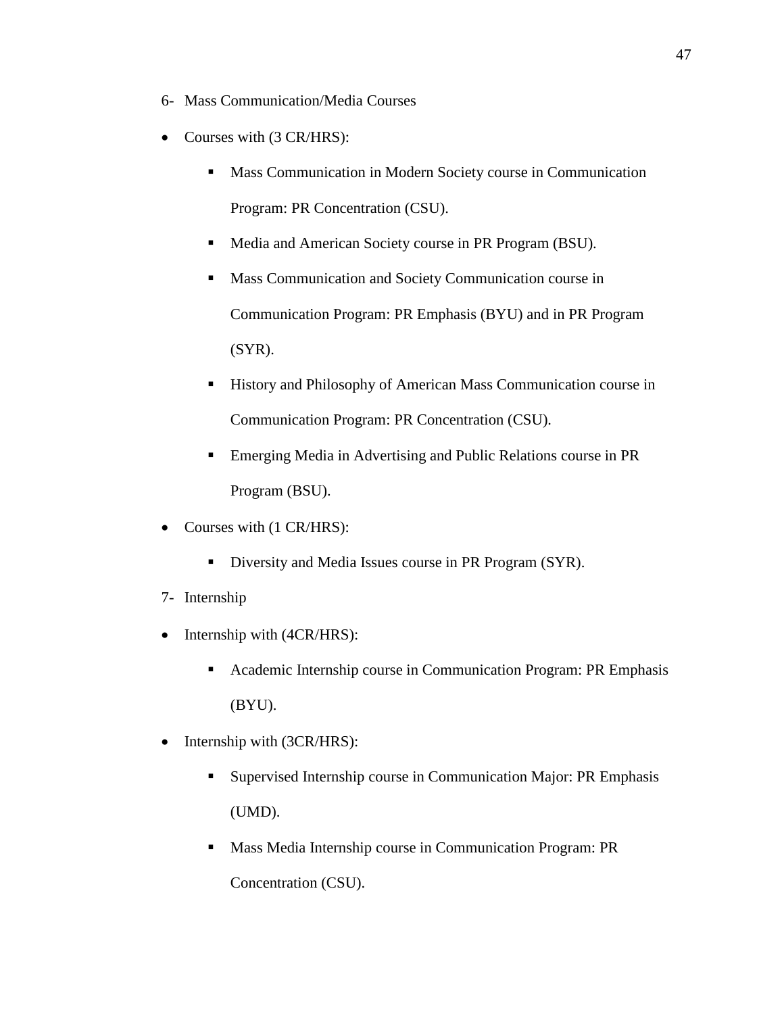- 6- Mass Communication/Media Courses
- Courses with (3 CR/HRS):
	- **Mass Communication in Modern Society course in Communication** Program: PR Concentration (CSU).
	- **Media and American Society course in PR Program (BSU).**
	- **Mass Communication and Society Communication course in** Communication Program: PR Emphasis (BYU) and in PR Program  $(SYR)$ .
	- **History and Philosophy of American Mass Communication course in** Communication Program: PR Concentration (CSU).
	- Emerging Media in Advertising and Public Relations course in PR Program (BSU).
- Courses with (1 CR/HRS):
	- Diversity and Media Issues course in PR Program (SYR).
- 7- Internship
- $\bullet$  Internship with (4CR/HRS):
	- Academic Internship course in Communication Program: PR Emphasis (BYU).
- Internship with (3CR/HRS):
	- Supervised Internship course in Communication Major: PR Emphasis (UMD).
	- **Mass Media Internship course in Communication Program: PR** Concentration (CSU).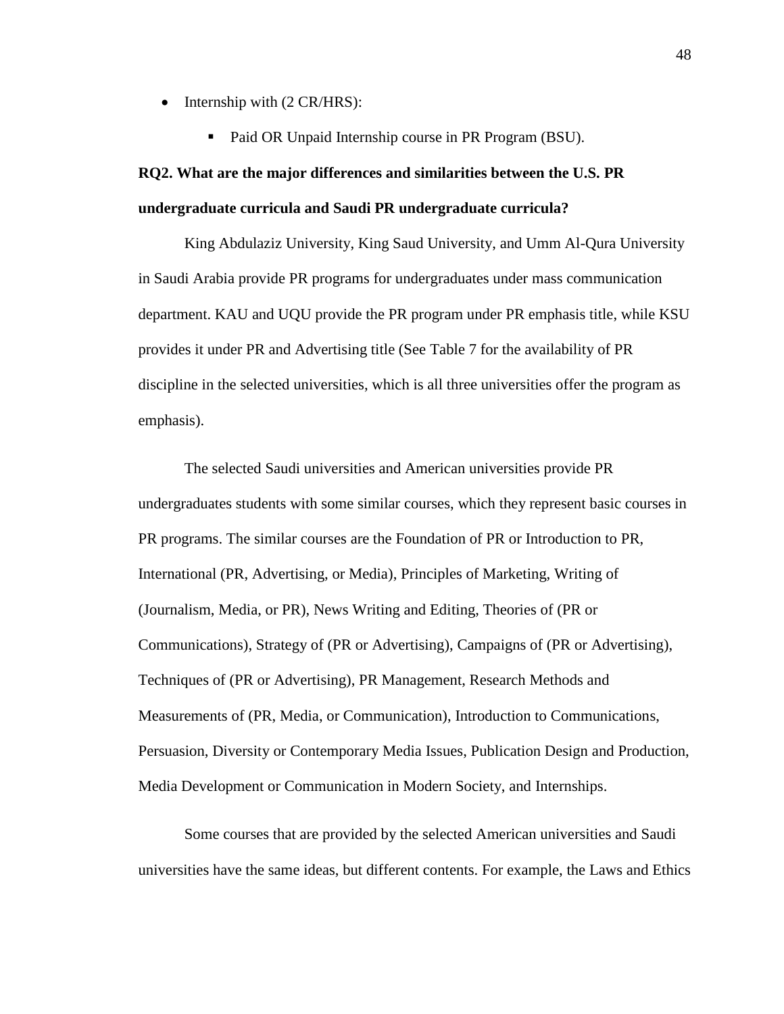- $\bullet$  Internship with (2 CR/HRS):
	- Paid OR Unpaid Internship course in PR Program (BSU).

## **RQ2. What are the major differences and similarities between the U.S. PR undergraduate curricula and Saudi PR undergraduate curricula?**

King Abdulaziz University, King Saud University, and Umm Al-Qura University in Saudi Arabia provide PR programs for undergraduates under mass communication department. KAU and UQU provide the PR program under PR emphasis title, while KSU provides it under PR and Advertising title (See Table 7 for the availability of PR discipline in the selected universities, which is all three universities offer the program as emphasis).

The selected Saudi universities and American universities provide PR undergraduates students with some similar courses, which they represent basic courses in PR programs. The similar courses are the Foundation of PR or Introduction to PR, International (PR, Advertising, or Media), Principles of Marketing, Writing of (Journalism, Media, or PR), News Writing and Editing, Theories of (PR or Communications), Strategy of (PR or Advertising), Campaigns of (PR or Advertising), Techniques of (PR or Advertising), PR Management, Research Methods and Measurements of (PR, Media, or Communication), Introduction to Communications, Persuasion, Diversity or Contemporary Media Issues, Publication Design and Production, Media Development or Communication in Modern Society, and Internships.

Some courses that are provided by the selected American universities and Saudi universities have the same ideas, but different contents. For example, the Laws and Ethics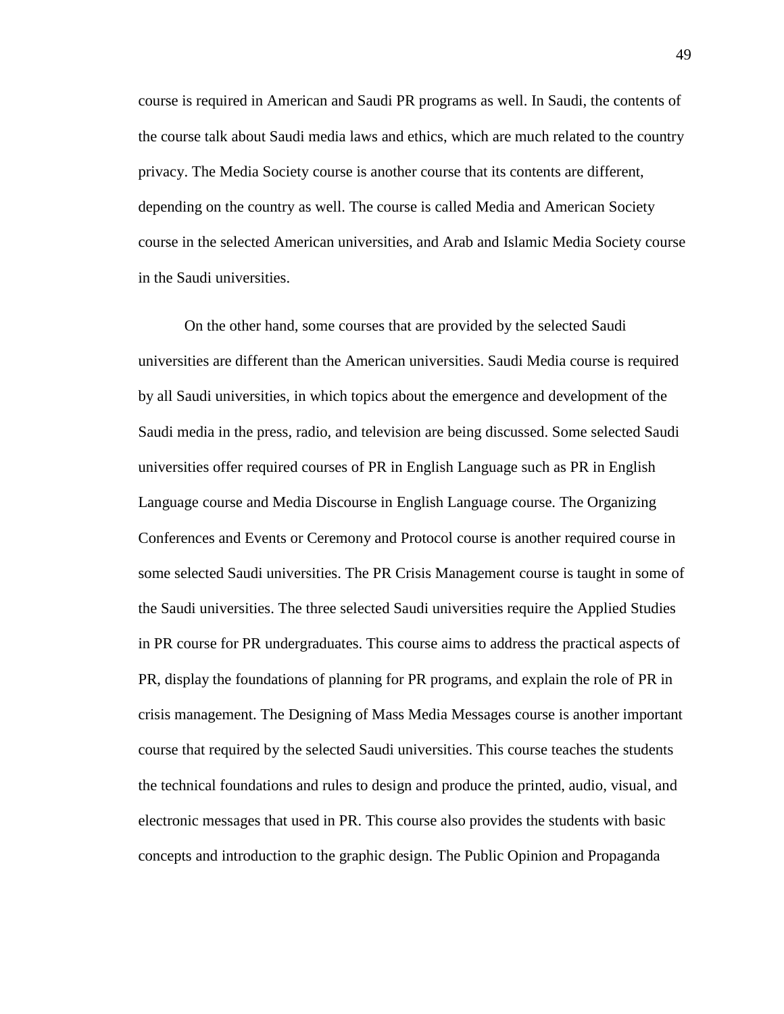course is required in American and Saudi PR programs as well. In Saudi, the contents of the course talk about Saudi media laws and ethics, which are much related to the country privacy. The Media Society course is another course that its contents are different, depending on the country as well. The course is called Media and American Society course in the selected American universities, and Arab and Islamic Media Society course in the Saudi universities.

On the other hand, some courses that are provided by the selected Saudi universities are different than the American universities. Saudi Media course is required by all Saudi universities, in which topics about the emergence and development of the Saudi media in the press, radio, and television are being discussed. Some selected Saudi universities offer required courses of PR in English Language such as PR in English Language course and Media Discourse in English Language course. The Organizing Conferences and Events or Ceremony and Protocol course is another required course in some selected Saudi universities. The PR Crisis Management course is taught in some of the Saudi universities. The three selected Saudi universities require the Applied Studies in PR course for PR undergraduates. This course aims to address the practical aspects of PR, display the foundations of planning for PR programs, and explain the role of PR in crisis management. The Designing of Mass Media Messages course is another important course that required by the selected Saudi universities. This course teaches the students the technical foundations and rules to design and produce the printed, audio, visual, and electronic messages that used in PR. This course also provides the students with basic concepts and introduction to the graphic design. The Public Opinion and Propaganda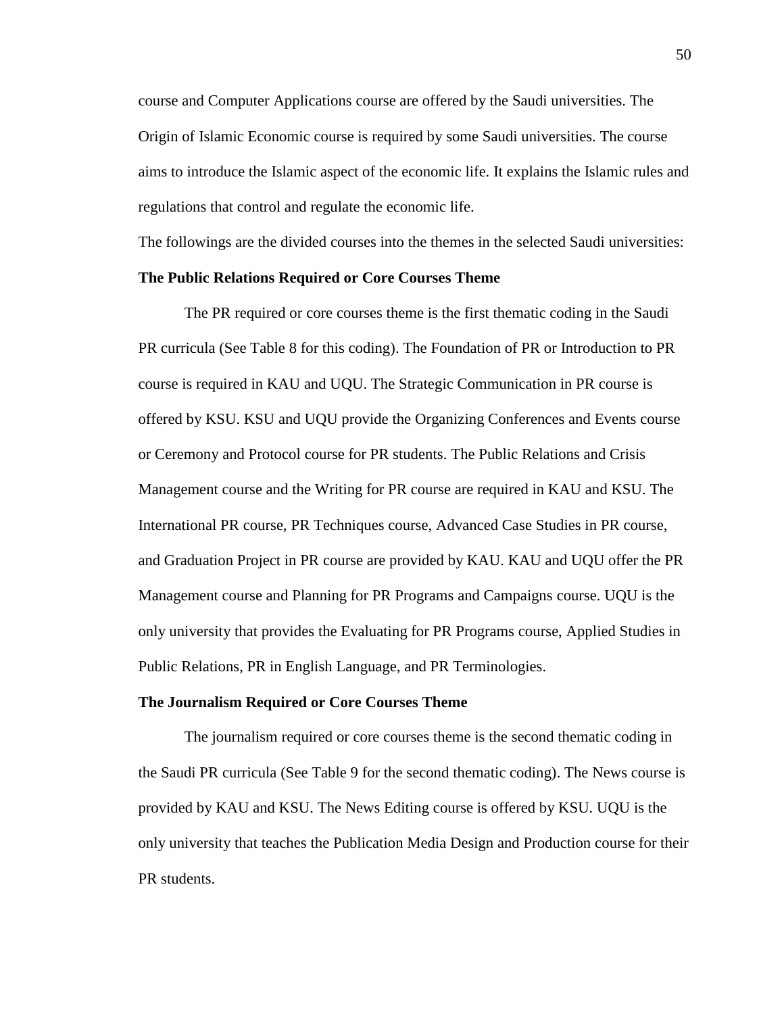course and Computer Applications course are offered by the Saudi universities. The Origin of Islamic Economic course is required by some Saudi universities. The course aims to introduce the Islamic aspect of the economic life. It explains the Islamic rules and regulations that control and regulate the economic life.

The followings are the divided courses into the themes in the selected Saudi universities:

## **The Public Relations Required or Core Courses Theme**

The PR required or core courses theme is the first thematic coding in the Saudi PR curricula (See Table 8 for this coding). The Foundation of PR or Introduction to PR course is required in KAU and UQU. The Strategic Communication in PR course is offered by KSU. KSU and UQU provide the Organizing Conferences and Events course or Ceremony and Protocol course for PR students. The Public Relations and Crisis Management course and the Writing for PR course are required in KAU and KSU. The International PR course, PR Techniques course, Advanced Case Studies in PR course, and Graduation Project in PR course are provided by KAU. KAU and UQU offer the PR Management course and Planning for PR Programs and Campaigns course. UQU is the only university that provides the Evaluating for PR Programs course, Applied Studies in Public Relations, PR in English Language, and PR Terminologies.

#### **The Journalism Required or Core Courses Theme**

The journalism required or core courses theme is the second thematic coding in the Saudi PR curricula (See Table 9 for the second thematic coding). The News course is provided by KAU and KSU. The News Editing course is offered by KSU. UQU is the only university that teaches the Publication Media Design and Production course for their PR students.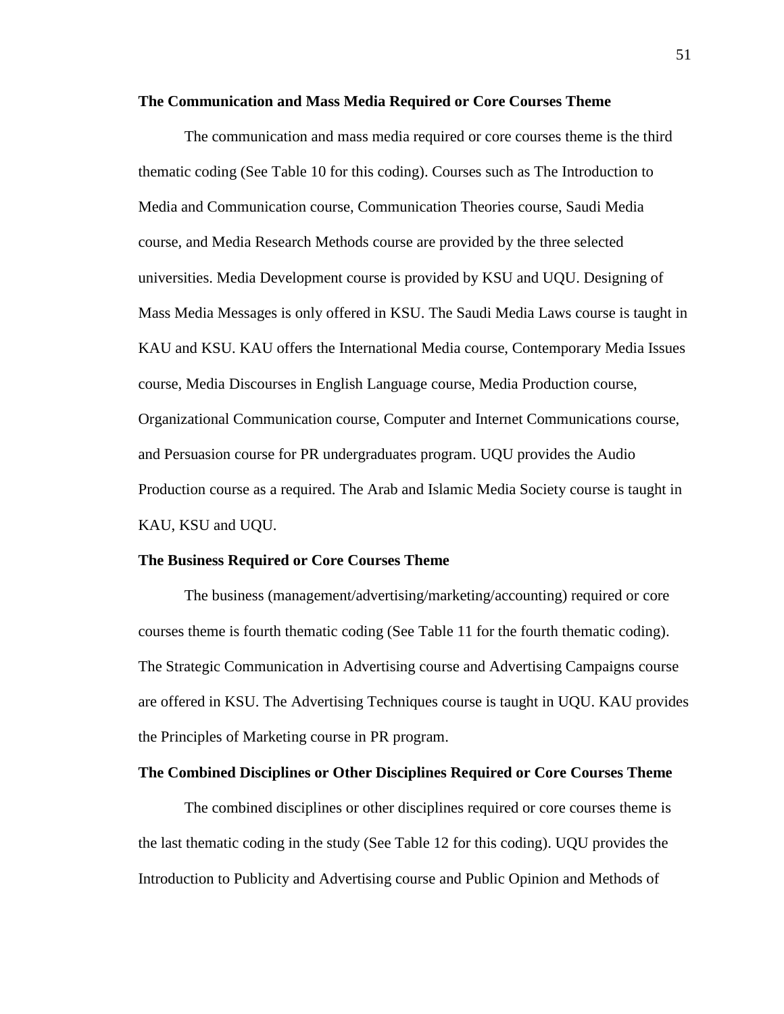#### **The Communication and Mass Media Required or Core Courses Theme**

The communication and mass media required or core courses theme is the third thematic coding (See Table 10 for this coding). Courses such as The Introduction to Media and Communication course, Communication Theories course, Saudi Media course, and Media Research Methods course are provided by the three selected universities. Media Development course is provided by KSU and UQU. Designing of Mass Media Messages is only offered in KSU. The Saudi Media Laws course is taught in KAU and KSU. KAU offers the International Media course, Contemporary Media Issues course, Media Discourses in English Language course, Media Production course, Organizational Communication course, Computer and Internet Communications course, and Persuasion course for PR undergraduates program. UQU provides the Audio Production course as a required. The Arab and Islamic Media Society course is taught in KAU, KSU and UQU.

#### **The Business Required or Core Courses Theme**

The business (management/advertising/marketing/accounting) required or core courses theme is fourth thematic coding (See Table 11 for the fourth thematic coding). The Strategic Communication in Advertising course and Advertising Campaigns course are offered in KSU. The Advertising Techniques course is taught in UQU. KAU provides the Principles of Marketing course in PR program.

## **The Combined Disciplines or Other Disciplines Required or Core Courses Theme**

The combined disciplines or other disciplines required or core courses theme is the last thematic coding in the study (See Table 12 for this coding). UQU provides the Introduction to Publicity and Advertising course and Public Opinion and Methods of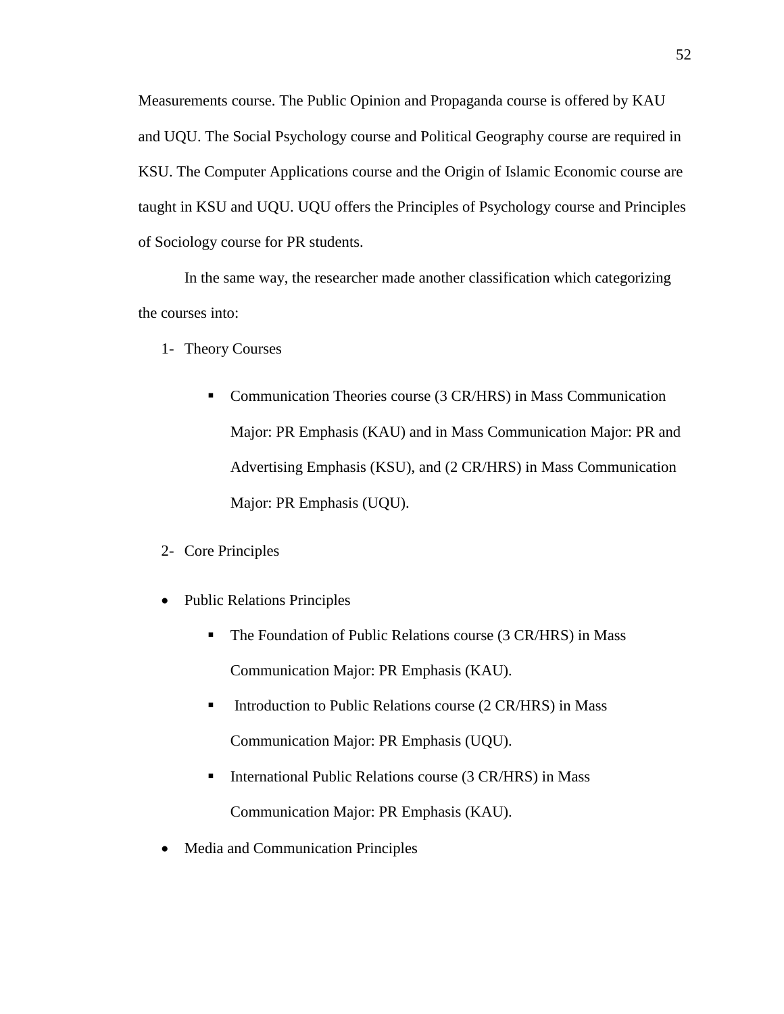Measurements course. The Public Opinion and Propaganda course is offered by KAU and UQU. The Social Psychology course and Political Geography course are required in KSU. The Computer Applications course and the Origin of Islamic Economic course are taught in KSU and UQU. UQU offers the Principles of Psychology course and Principles of Sociology course for PR students.

In the same way, the researcher made another classification which categorizing the courses into:

- 1- Theory Courses
	- Communication Theories course (3 CR/HRS) in Mass Communication Major: PR Emphasis (KAU) and in Mass Communication Major: PR and Advertising Emphasis (KSU), and (2 CR/HRS) in Mass Communication Major: PR Emphasis (UQU).

## 2- Core Principles

- Public Relations Principles
	- The Foundation of Public Relations course (3 CR/HRS) in Mass Communication Major: PR Emphasis (KAU).
	- Introduction to Public Relations course  $(2 \text{ CR/HRS})$  in Mass Communication Major: PR Emphasis (UQU).
	- International Public Relations course (3 CR/HRS) in Mass

Communication Major: PR Emphasis (KAU).

• Media and Communication Principles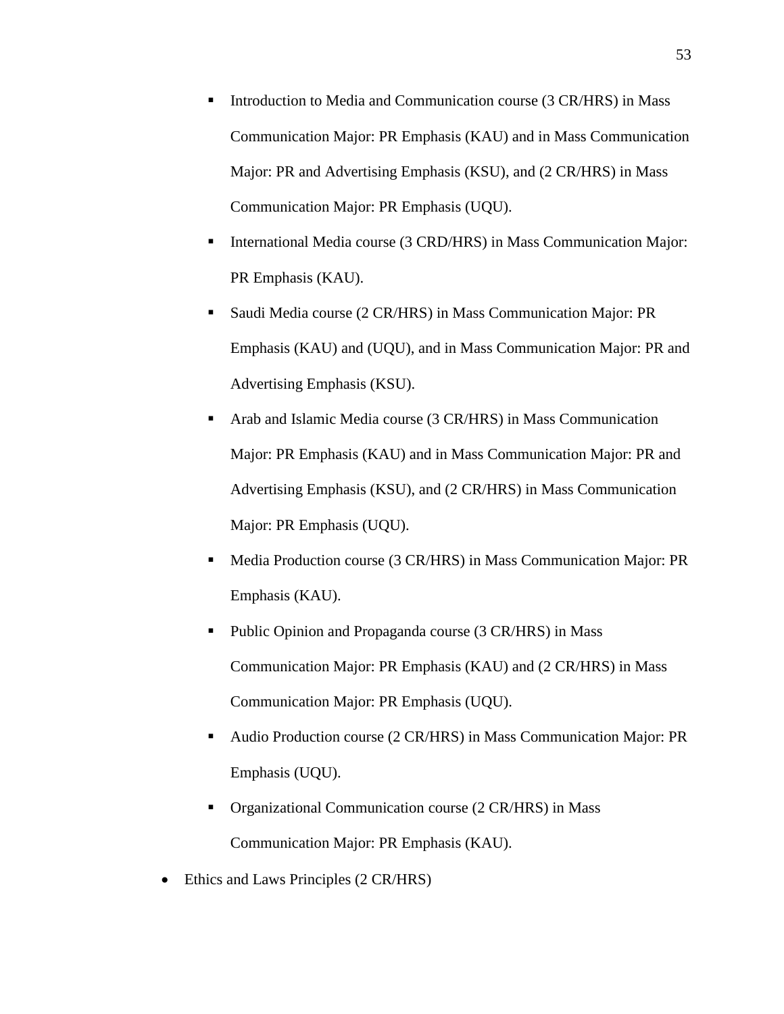- Introduction to Media and Communication course (3 CR/HRS) in Mass Communication Major: PR Emphasis (KAU) and in Mass Communication Major: PR and Advertising Emphasis (KSU), and (2 CR/HRS) in Mass Communication Major: PR Emphasis (UQU).
- International Media course (3 CRD/HRS) in Mass Communication Major: PR Emphasis (KAU).
- Saudi Media course (2 CR/HRS) in Mass Communication Major: PR Emphasis (KAU) and (UQU), and in Mass Communication Major: PR and Advertising Emphasis (KSU).
- Arab and Islamic Media course (3 CR/HRS) in Mass Communication Major: PR Emphasis (KAU) and in Mass Communication Major: PR and Advertising Emphasis (KSU), and (2 CR/HRS) in Mass Communication Major: PR Emphasis (UQU).
- Media Production course (3 CR/HRS) in Mass Communication Major: PR Emphasis (KAU).
- Public Opinion and Propaganda course (3 CR/HRS) in Mass Communication Major: PR Emphasis (KAU) and (2 CR/HRS) in Mass Communication Major: PR Emphasis (UQU).
- Audio Production course (2 CR/HRS) in Mass Communication Major: PR Emphasis (UQU).
- Organizational Communication course (2 CR/HRS) in Mass Communication Major: PR Emphasis (KAU).
- Ethics and Laws Principles (2 CR/HRS)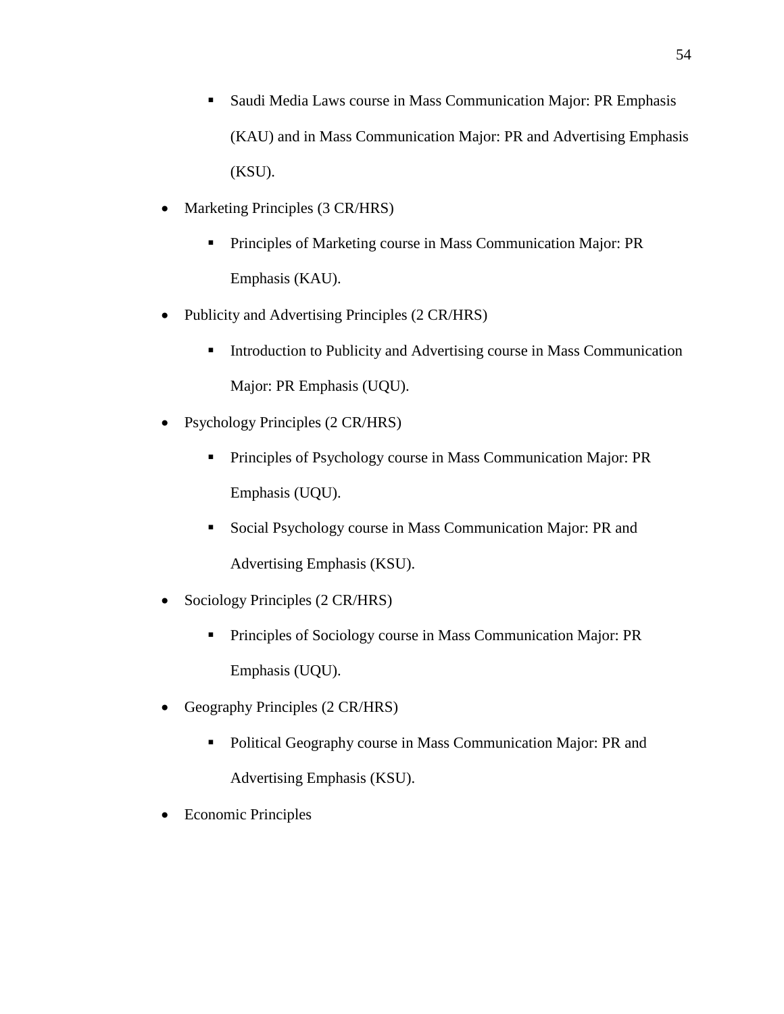- Saudi Media Laws course in Mass Communication Major: PR Emphasis (KAU) and in Mass Communication Major: PR and Advertising Emphasis (KSU).
- Marketing Principles (3 CR/HRS)
	- **Principles of Marketing course in Mass Communication Major: PR** Emphasis (KAU).
- Publicity and Advertising Principles (2 CR/HRS)
	- Introduction to Publicity and Advertising course in Mass Communication Major: PR Emphasis (UQU).
- Psychology Principles (2 CR/HRS)
	- **Principles of Psychology course in Mass Communication Major: PR** Emphasis (UQU).
	- Social Psychology course in Mass Communication Major: PR and Advertising Emphasis (KSU).
- Sociology Principles (2 CR/HRS)
	- **Principles of Sociology course in Mass Communication Major: PR** Emphasis (UQU).
- Geography Principles (2 CR/HRS)
	- **Political Geography course in Mass Communication Major: PR and** Advertising Emphasis (KSU).
- Economic Principles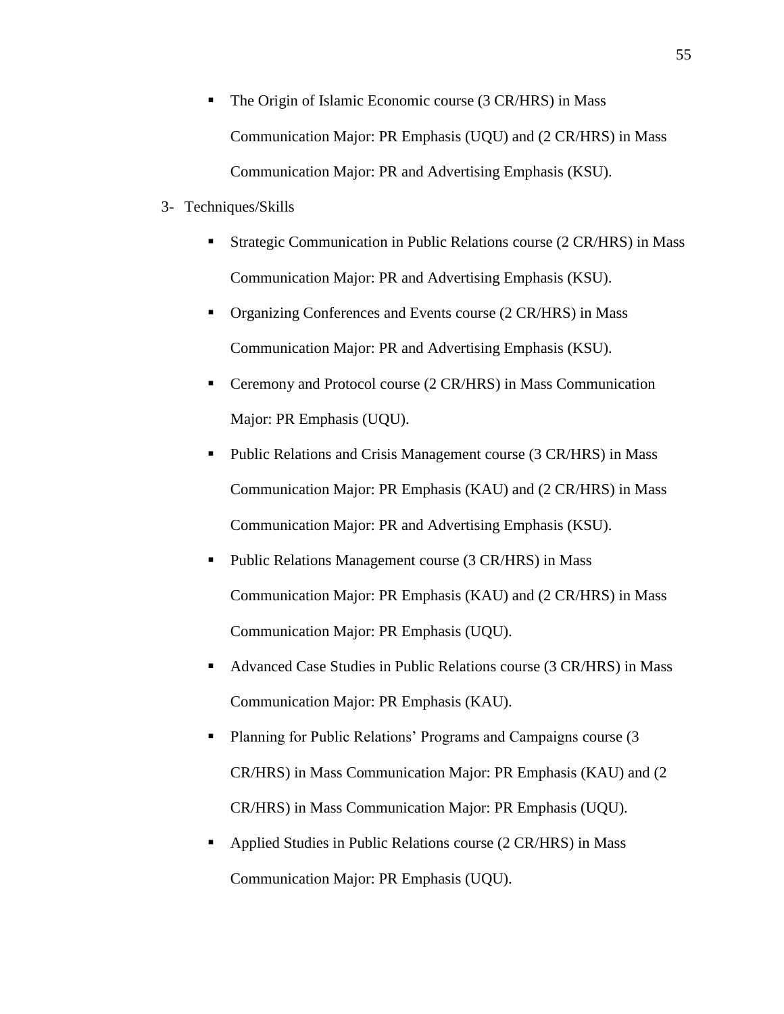- The Origin of Islamic Economic course (3 CR/HRS) in Mass Communication Major: PR Emphasis (UQU) and (2 CR/HRS) in Mass Communication Major: PR and Advertising Emphasis (KSU).
- 3- Techniques/Skills
	- Strategic Communication in Public Relations course (2 CR/HRS) in Mass Communication Major: PR and Advertising Emphasis (KSU).
	- Organizing Conferences and Events course (2 CR/HRS) in Mass Communication Major: PR and Advertising Emphasis (KSU).
	- Ceremony and Protocol course (2 CR/HRS) in Mass Communication Major: PR Emphasis (UQU).
	- Public Relations and Crisis Management course (3 CR/HRS) in Mass Communication Major: PR Emphasis (KAU) and (2 CR/HRS) in Mass Communication Major: PR and Advertising Emphasis (KSU).
	- Public Relations Management course (3 CR/HRS) in Mass Communication Major: PR Emphasis (KAU) and (2 CR/HRS) in Mass Communication Major: PR Emphasis (UQU).
	- Advanced Case Studies in Public Relations course (3 CR/HRS) in Mass Communication Major: PR Emphasis (KAU).
	- Planning for Public Relations' Programs and Campaigns course (3 CR/HRS) in Mass Communication Major: PR Emphasis (KAU) and (2 CR/HRS) in Mass Communication Major: PR Emphasis (UQU).
	- Applied Studies in Public Relations course (2 CR/HRS) in Mass Communication Major: PR Emphasis (UQU).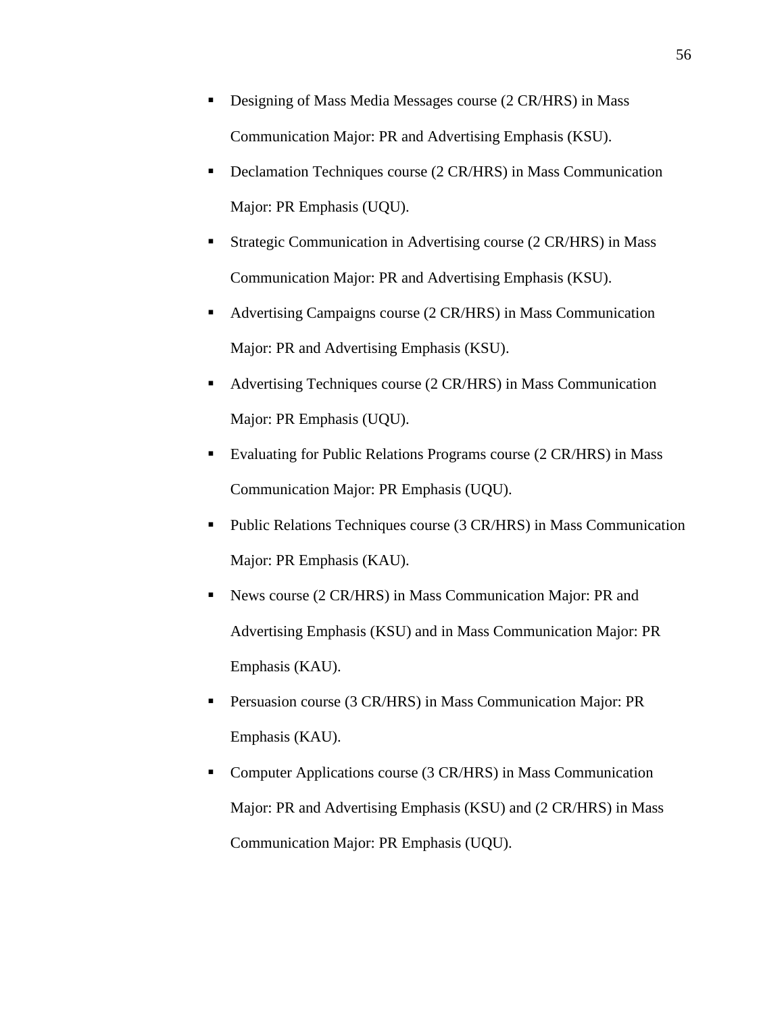- Designing of Mass Media Messages course (2 CR/HRS) in Mass Communication Major: PR and Advertising Emphasis (KSU).
- Declamation Techniques course (2 CR/HRS) in Mass Communication Major: PR Emphasis (UQU).
- Strategic Communication in Advertising course (2 CR/HRS) in Mass Communication Major: PR and Advertising Emphasis (KSU).
- Advertising Campaigns course (2 CR/HRS) in Mass Communication Major: PR and Advertising Emphasis (KSU).
- Advertising Techniques course (2 CR/HRS) in Mass Communication Major: PR Emphasis (UQU).
- Evaluating for Public Relations Programs course (2 CR/HRS) in Mass Communication Major: PR Emphasis (UQU).
- Public Relations Techniques course (3 CR/HRS) in Mass Communication Major: PR Emphasis (KAU).
- News course (2 CR/HRS) in Mass Communication Major: PR and Advertising Emphasis (KSU) and in Mass Communication Major: PR Emphasis (KAU).
- Persuasion course (3 CR/HRS) in Mass Communication Major: PR Emphasis (KAU).
- Computer Applications course (3 CR/HRS) in Mass Communication Major: PR and Advertising Emphasis (KSU) and (2 CR/HRS) in Mass Communication Major: PR Emphasis (UQU).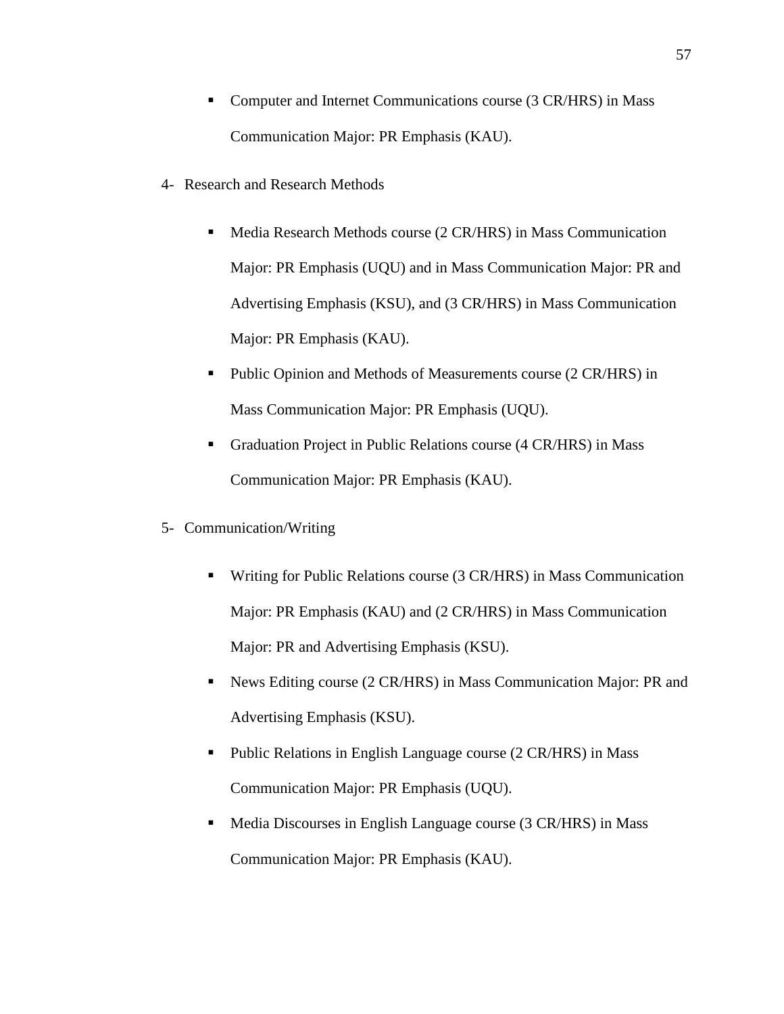- Computer and Internet Communications course (3 CR/HRS) in Mass Communication Major: PR Emphasis (KAU).
- 4- Research and Research Methods
	- Media Research Methods course (2 CR/HRS) in Mass Communication Major: PR Emphasis (UQU) and in Mass Communication Major: PR and Advertising Emphasis (KSU), and (3 CR/HRS) in Mass Communication Major: PR Emphasis (KAU).
	- Public Opinion and Methods of Measurements course (2 CR/HRS) in Mass Communication Major: PR Emphasis (UQU).
	- Graduation Project in Public Relations course (4 CR/HRS) in Mass Communication Major: PR Emphasis (KAU).
- 5- Communication/Writing
	- Writing for Public Relations course (3 CR/HRS) in Mass Communication Major: PR Emphasis (KAU) and (2 CR/HRS) in Mass Communication Major: PR and Advertising Emphasis (KSU).
	- News Editing course (2 CR/HRS) in Mass Communication Major: PR and Advertising Emphasis (KSU).
	- Public Relations in English Language course (2 CR/HRS) in Mass Communication Major: PR Emphasis (UQU).
	- Media Discourses in English Language course (3 CR/HRS) in Mass Communication Major: PR Emphasis (KAU).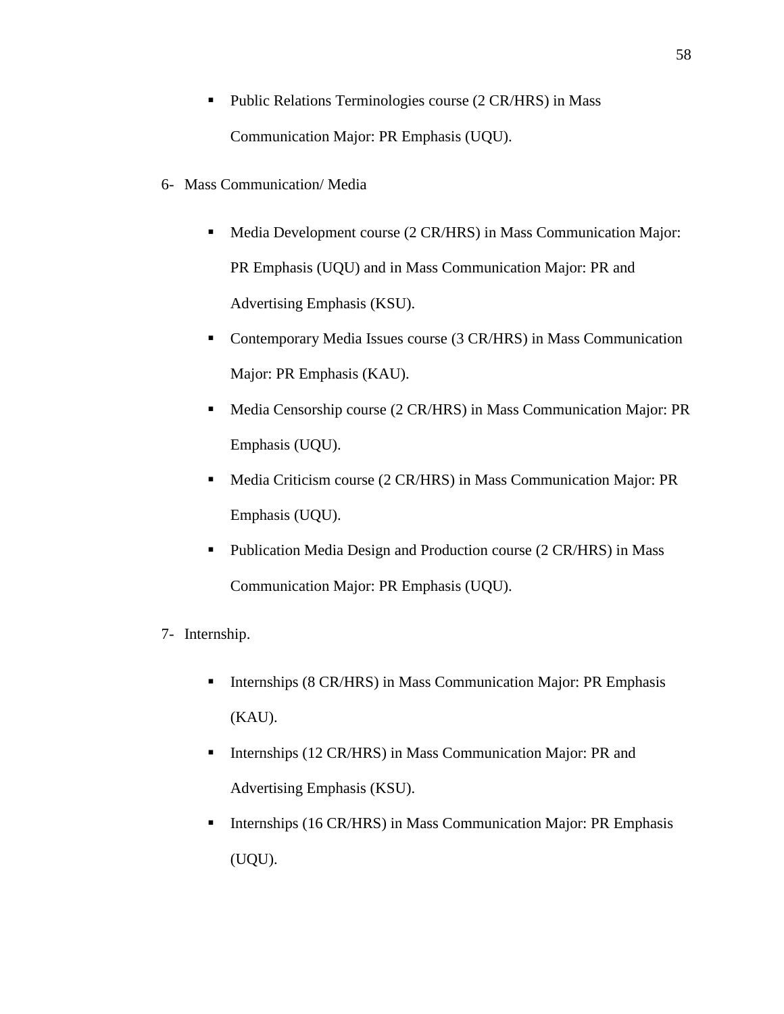- Public Relations Terminologies course (2 CR/HRS) in Mass Communication Major: PR Emphasis (UQU).
- 6- Mass Communication/ Media
	- Media Development course (2 CR/HRS) in Mass Communication Major: PR Emphasis (UQU) and in Mass Communication Major: PR and Advertising Emphasis (KSU).
	- Contemporary Media Issues course (3 CR/HRS) in Mass Communication Major: PR Emphasis (KAU).
	- Media Censorship course (2 CR/HRS) in Mass Communication Major: PR Emphasis (UQU).
	- Media Criticism course (2 CR/HRS) in Mass Communication Major: PR Emphasis (UQU).
	- Publication Media Design and Production course (2 CR/HRS) in Mass Communication Major: PR Emphasis (UQU).
- 7- Internship.
	- Internships (8 CR/HRS) in Mass Communication Major: PR Emphasis (KAU).
	- Internships (12 CR/HRS) in Mass Communication Major: PR and Advertising Emphasis (KSU).
	- Internships (16 CR/HRS) in Mass Communication Major: PR Emphasis (UQU).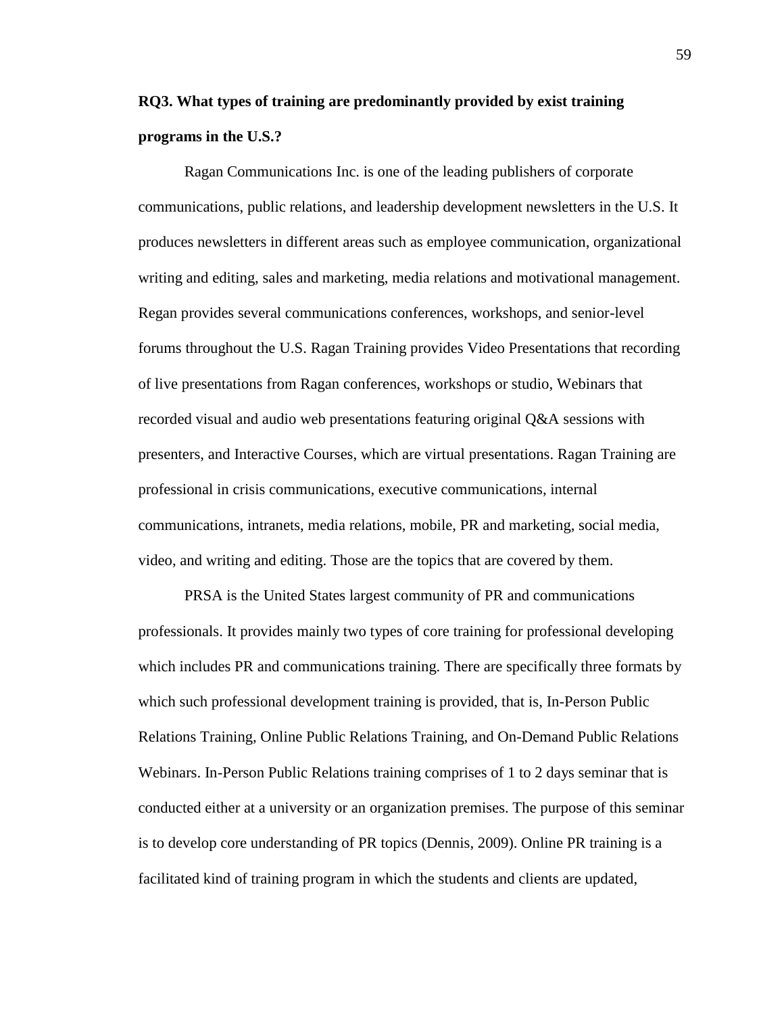## **RQ3. What types of training are predominantly provided by exist training programs in the U.S.?**

Ragan Communications Inc. is one of the leading publishers of corporate communications, public relations, and leadership development newsletters in the U.S. It produces newsletters in different areas such as employee communication, organizational writing and editing, sales and marketing, media relations and motivational management. Regan provides several communications conferences, workshops, and senior-level forums throughout the U.S. Ragan Training provides Video Presentations that recording of live presentations from Ragan conferences, workshops or studio, Webinars that recorded visual and audio web presentations featuring original Q&A sessions with presenters, and Interactive Courses, which are virtual presentations. Ragan Training are professional in crisis communications, executive communications, internal communications, intranets, media relations, mobile, PR and marketing, social media, video, and writing and editing. Those are the topics that are covered by them.

PRSA is the United States largest community of PR and communications professionals. It provides mainly two types of core training for professional developing which includes PR and communications training. There are specifically three formats by which such professional development training is provided, that is, In-Person Public Relations Training, Online Public Relations Training, and On-Demand Public Relations Webinars. In-Person Public Relations training comprises of 1 to 2 days seminar that is conducted either at a university or an organization premises. The purpose of this seminar is to develop core understanding of PR topics (Dennis, 2009). Online PR training is a facilitated kind of training program in which the students and clients are updated,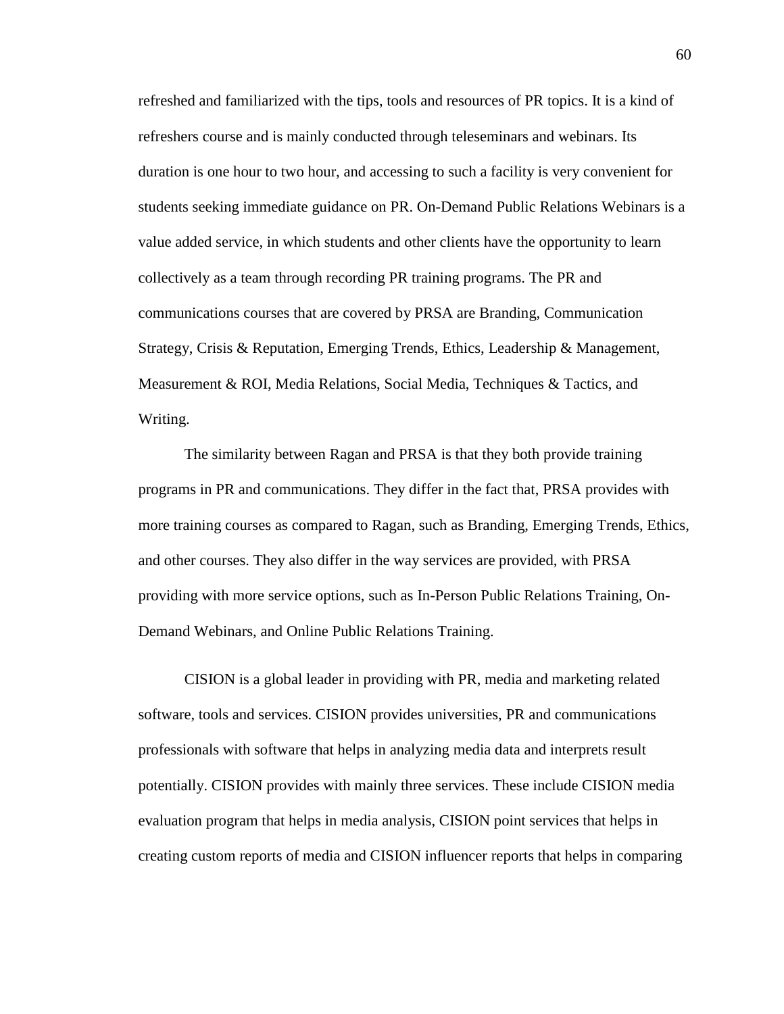refreshed and familiarized with the tips, tools and resources of PR topics. It is a kind of refreshers course and is mainly conducted through teleseminars and webinars. Its duration is one hour to two hour, and accessing to such a facility is very convenient for students seeking immediate guidance on PR. On-Demand Public Relations Webinars is a value added service, in which students and other clients have the opportunity to learn collectively as a team through recording PR training programs. The PR and communications courses that are covered by PRSA are Branding, Communication Strategy, Crisis & Reputation, Emerging Trends, Ethics, Leadership & Management, Measurement & ROI, Media Relations, Social Media, Techniques & Tactics, and Writing.

The similarity between Ragan and PRSA is that they both provide training programs in PR and communications. They differ in the fact that, PRSA provides with more training courses as compared to Ragan, such as Branding, Emerging Trends, Ethics, and other courses. They also differ in the way services are provided, with PRSA providing with more service options, such as [In-Person Public Relations Training,](http://www.prsa.org/Learning/Calendar/list/inperson) On-Demand Webinars, and Online Public Relations Training.

CISION is a global leader in providing with PR, media and marketing related software, tools and services. CISION provides universities, PR and communications professionals with software that helps in analyzing media data and interprets result potentially. CISION provides with mainly three services. These include CISION media evaluation program that helps in media analysis, CISION point services that helps in creating custom reports of media and CISION influencer reports that helps in comparing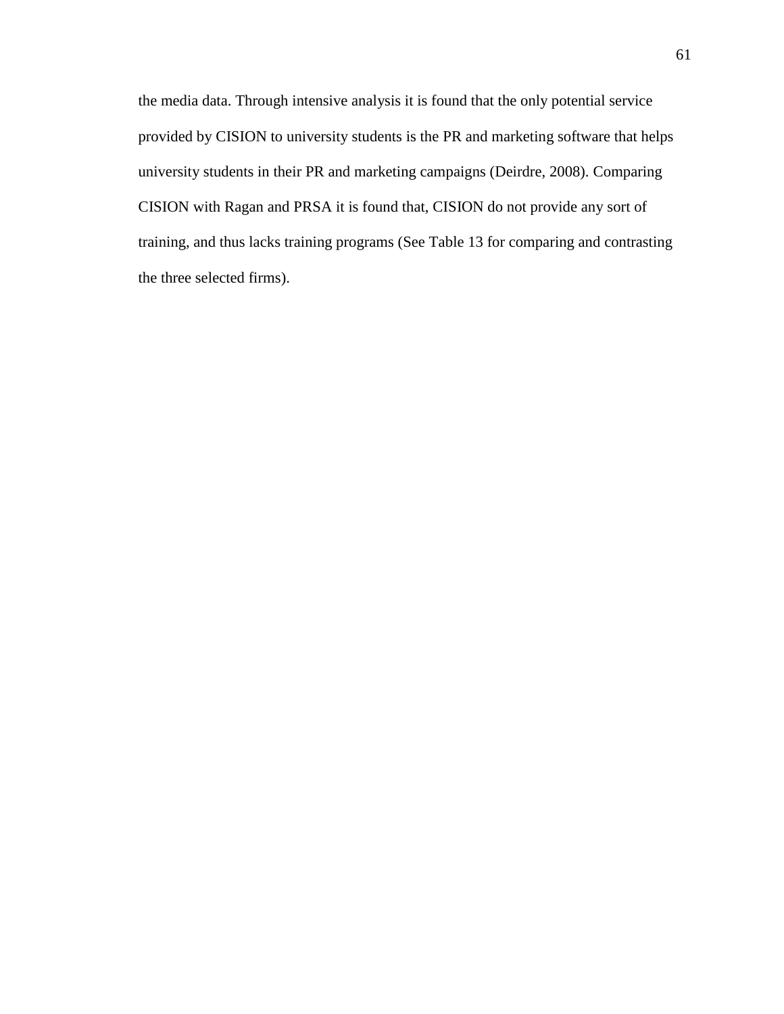the media data. Through intensive analysis it is found that the only potential service provided by CISION to university students is the PR and marketing software that helps university students in their PR and marketing campaigns (Deirdre, 2008). Comparing CISION with Ragan and PRSA it is found that, CISION do not provide any sort of training, and thus lacks training programs (See Table 13 for comparing and contrasting the three selected firms).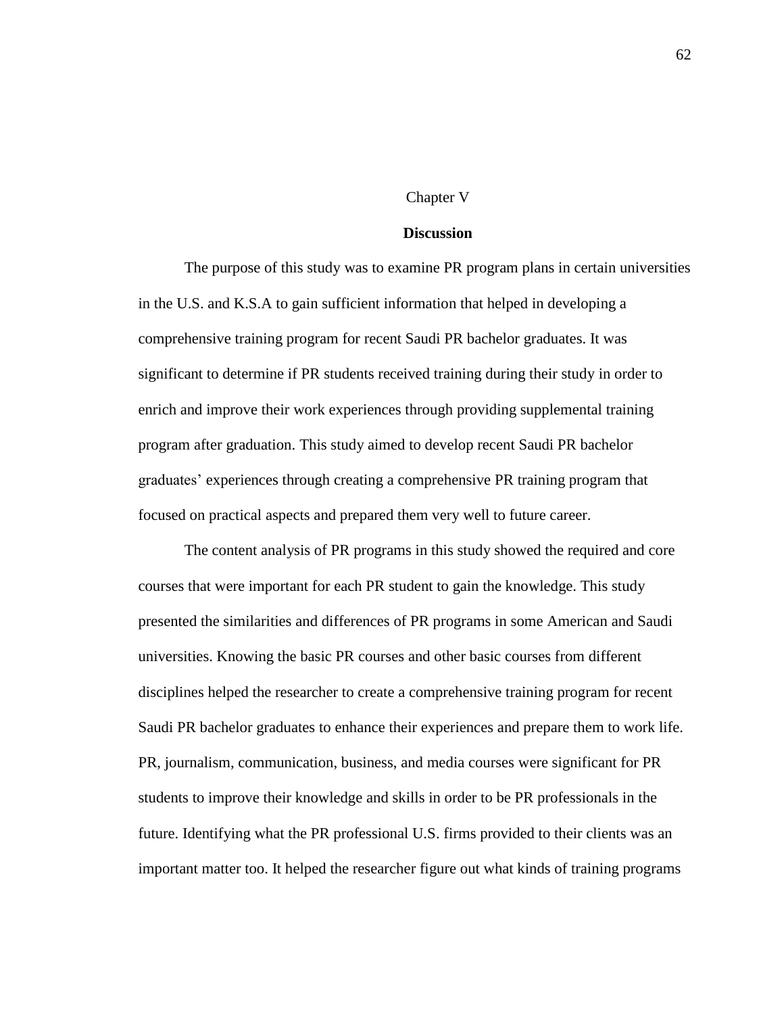#### Chapter V

## **Discussion**

The purpose of this study was to examine PR program plans in certain universities in the U.S. and K.S.A to gain sufficient information that helped in developing a comprehensive training program for recent Saudi PR bachelor graduates. It was significant to determine if PR students received training during their study in order to enrich and improve their work experiences through providing supplemental training program after graduation. This study aimed to develop recent Saudi PR bachelor graduates' experiences through creating a comprehensive PR training program that focused on practical aspects and prepared them very well to future career.

The content analysis of PR programs in this study showed the required and core courses that were important for each PR student to gain the knowledge. This study presented the similarities and differences of PR programs in some American and Saudi universities. Knowing the basic PR courses and other basic courses from different disciplines helped the researcher to create a comprehensive training program for recent Saudi PR bachelor graduates to enhance their experiences and prepare them to work life. PR, journalism, communication, business, and media courses were significant for PR students to improve their knowledge and skills in order to be PR professionals in the future. Identifying what the PR professional U.S. firms provided to their clients was an important matter too. It helped the researcher figure out what kinds of training programs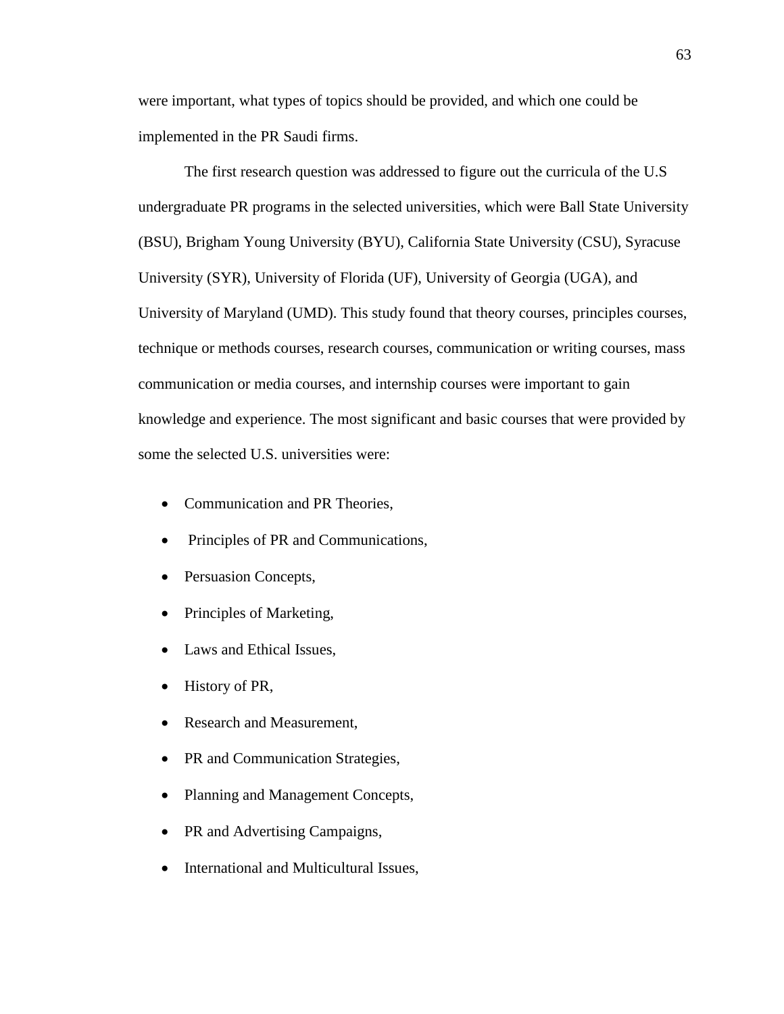were important, what types of topics should be provided, and which one could be implemented in the PR Saudi firms.

The first research question was addressed to figure out the curricula of the U.S undergraduate PR programs in the selected universities, which were Ball State University (BSU), Brigham Young University (BYU), California State University (CSU), Syracuse University (SYR), University of Florida (UF), University of Georgia (UGA), and University of Maryland (UMD). This study found that theory courses, principles courses, technique or methods courses, research courses, communication or writing courses, mass communication or media courses, and internship courses were important to gain knowledge and experience. The most significant and basic courses that were provided by some the selected U.S. universities were:

- Communication and PR Theories,
- Principles of PR and Communications,
- Persuasion Concepts,
- Principles of Marketing,
- Laws and Ethical Issues,
- History of PR,
- Research and Measurement,
- PR and Communication Strategies,
- Planning and Management Concepts,
- PR and Advertising Campaigns,
- International and Multicultural Issues,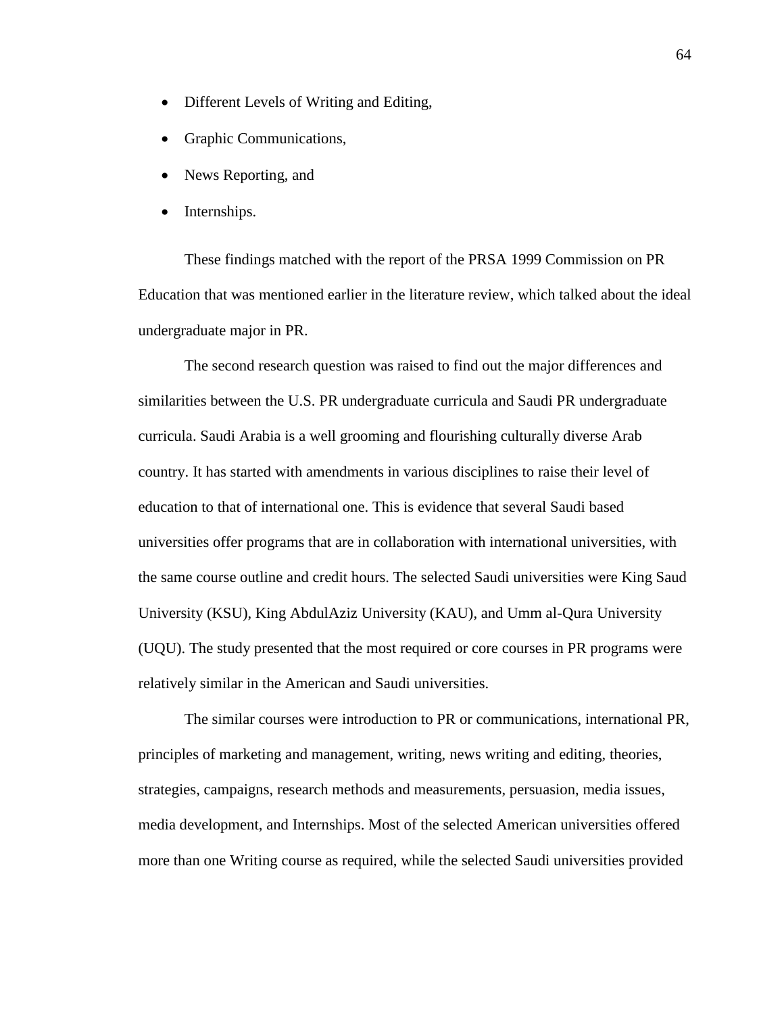- Different Levels of Writing and Editing,
- Graphic Communications,
- News Reporting, and
- Internships.

These findings matched with the report of the PRSA 1999 Commission on PR Education that was mentioned earlier in the literature review, which talked about the ideal undergraduate major in PR.

The second research question was raised to find out the major differences and similarities between the U.S. PR undergraduate curricula and Saudi PR undergraduate curricula. Saudi Arabia is a well grooming and flourishing culturally diverse Arab country. It has started with amendments in various disciplines to raise their level of education to that of international one. This is evidence that several Saudi based universities offer programs that are in collaboration with international universities, with the same course outline and credit hours. The selected Saudi universities were King Saud University (KSU), King AbdulAziz University (KAU), and Umm al-Qura University (UQU). The study presented that the most required or core courses in PR programs were relatively similar in the American and Saudi universities.

The similar courses were introduction to PR or communications, international PR, principles of marketing and management, writing, news writing and editing, theories, strategies, campaigns, research methods and measurements, persuasion, media issues, media development, and Internships. Most of the selected American universities offered more than one Writing course as required, while the selected Saudi universities provided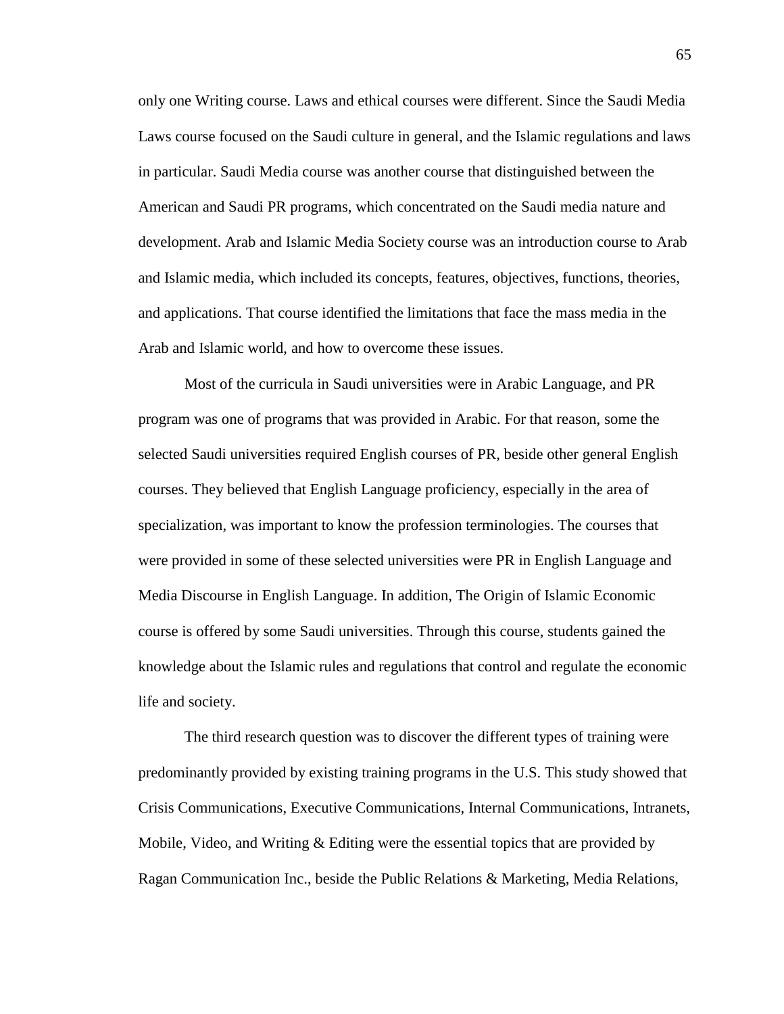only one Writing course. Laws and ethical courses were different. Since the Saudi Media Laws course focused on the Saudi culture in general, and the Islamic regulations and laws in particular. Saudi Media course was another course that distinguished between the American and Saudi PR programs, which concentrated on the Saudi media nature and development. Arab and Islamic Media Society course was an introduction course to Arab and Islamic media, which included its concepts, features, objectives, functions, theories, and applications. That course identified the limitations that face the mass media in the Arab and Islamic world, and how to overcome these issues.

Most of the curricula in Saudi universities were in Arabic Language, and PR program was one of programs that was provided in Arabic. For that reason, some the selected Saudi universities required English courses of PR, beside other general English courses. They believed that English Language proficiency, especially in the area of specialization, was important to know the profession terminologies. The courses that were provided in some of these selected universities were PR in English Language and Media Discourse in English Language. In addition, The Origin of Islamic Economic course is offered by some Saudi universities. Through this course, students gained the knowledge about the Islamic rules and regulations that control and regulate the economic life and society.

The third research question was to discover the different types of training were predominantly provided by existing training programs in the U.S. This study showed that Crisis Communications, Executive Communications, Internal Communications, Intranets, Mobile, Video, and Writing  $&$  Editing were the essential topics that are provided by Ragan Communication Inc., beside the Public Relations & Marketing, Media Relations,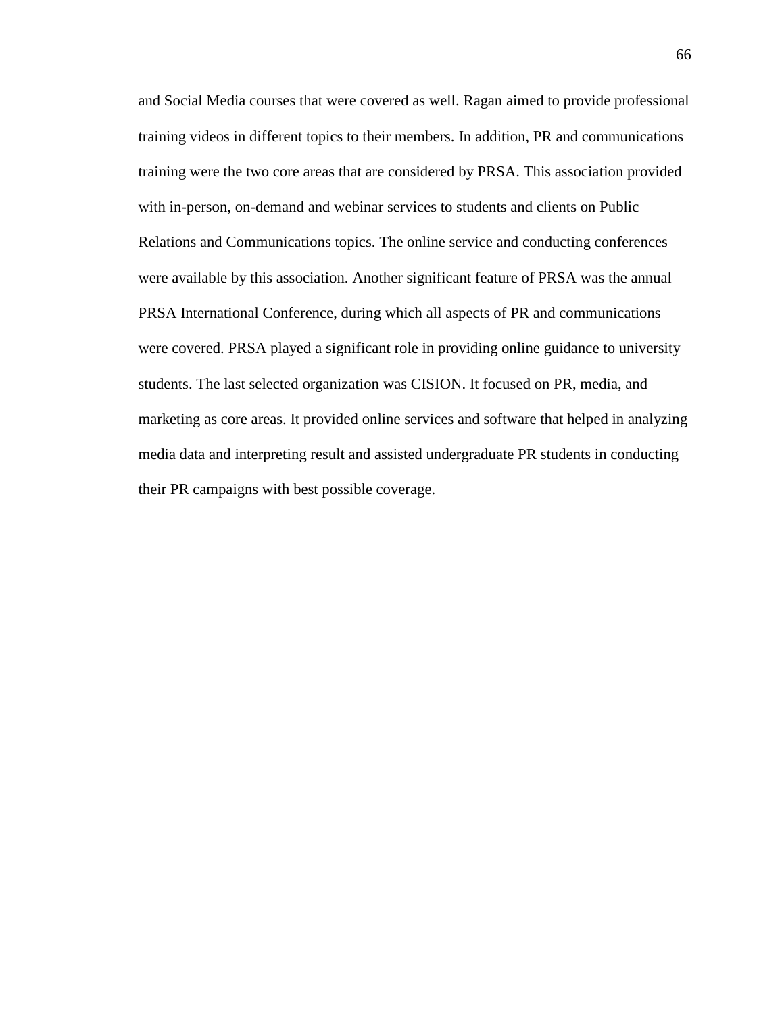and Social Media courses that were covered as well. Ragan aimed to provide professional training videos in different topics to their members. In addition, PR and communications training were the two core areas that are considered by PRSA. This association provided with in-person, on-demand and webinar services to students and clients on Public Relations and Communications topics. The online service and conducting conferences were available by this association. Another significant feature of PRSA was the annual PRSA International Conference, during which all aspects of PR and communications were covered. PRSA played a significant role in providing online guidance to university students. The last selected organization was CISION. It focused on PR, media, and marketing as core areas. It provided online services and software that helped in analyzing media data and interpreting result and assisted undergraduate PR students in conducting their PR campaigns with best possible coverage.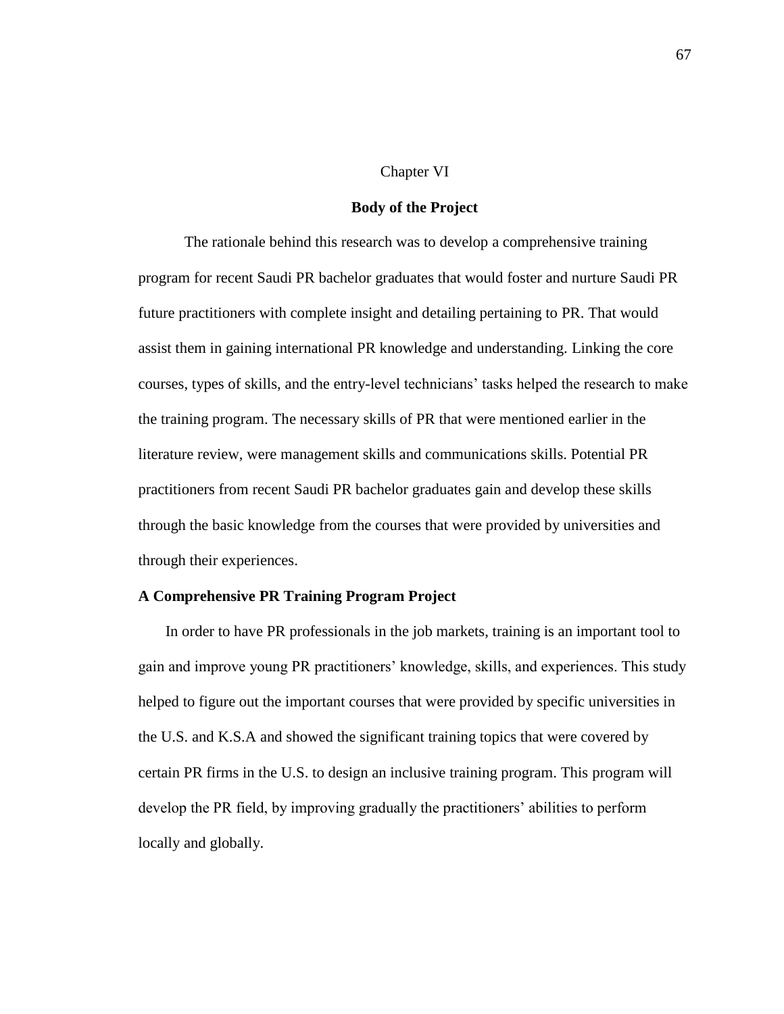#### Chapter VI

#### **Body of the Project**

The rationale behind this research was to develop a comprehensive training program for recent Saudi PR bachelor graduates that would foster and nurture Saudi PR future practitioners with complete insight and detailing pertaining to PR. That would assist them in gaining international PR knowledge and understanding. Linking the core courses, types of skills, and the entry-level technicians' tasks helped the research to make the training program. The necessary skills of PR that were mentioned earlier in the literature review, were management skills and communications skills. Potential PR practitioners from recent Saudi PR bachelor graduates gain and develop these skills through the basic knowledge from the courses that were provided by universities and through their experiences.

## **A Comprehensive PR Training Program Project**

In order to have PR professionals in the job markets, training is an important tool to gain and improve young PR practitioners' knowledge, skills, and experiences. This study helped to figure out the important courses that were provided by specific universities in the U.S. and K.S.A and showed the significant training topics that were covered by certain PR firms in the U.S. to design an inclusive training program. This program will develop the PR field, by improving gradually the practitioners' abilities to perform locally and globally.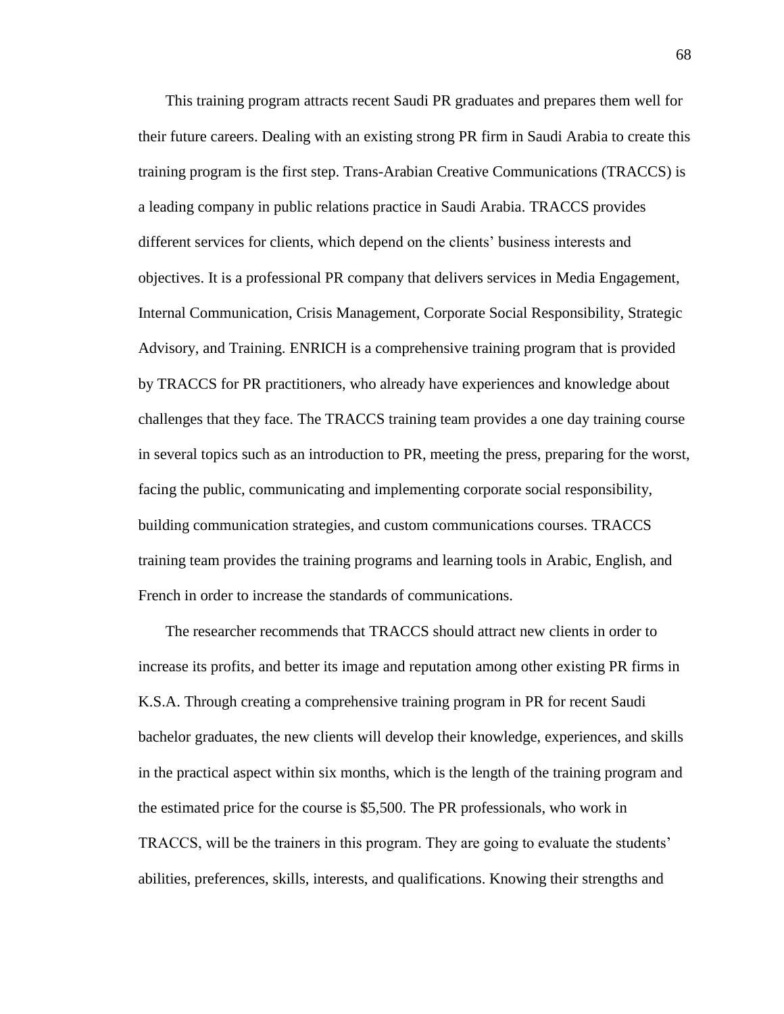This training program attracts recent Saudi PR graduates and prepares them well for their future careers. Dealing with an existing strong PR firm in Saudi Arabia to create this training program is the first step. Trans-Arabian Creative Communications (TRACCS) is a leading company in public relations practice in Saudi Arabia. TRACCS provides different services for clients, which depend on the clients' business interests and objectives. It is a professional PR company that delivers services in Media Engagement, Internal Communication, Crisis Management, Corporate Social Responsibility, Strategic Advisory, and Training. ENRICH is a comprehensive training program that is provided by TRACCS for PR practitioners, who already have experiences and knowledge about challenges that they face. The TRACCS training team provides a one day training course in several topics such as an introduction to PR, meeting the press, preparing for the worst, facing the public, communicating and implementing corporate social responsibility, building communication strategies, and custom communications courses. TRACCS training team provides the training programs and learning tools in Arabic, English, and French in order to increase the standards of communications.

The researcher recommends that TRACCS should attract new clients in order to increase its profits, and better its image and reputation among other existing PR firms in K.S.A. Through creating a comprehensive training program in PR for recent Saudi bachelor graduates, the new clients will develop their knowledge, experiences, and skills in the practical aspect within six months, which is the length of the training program and the estimated price for the course is \$5,500. The PR professionals, who work in TRACCS, will be the trainers in this program. They are going to evaluate the students' abilities, preferences, skills, interests, and qualifications. Knowing their strengths and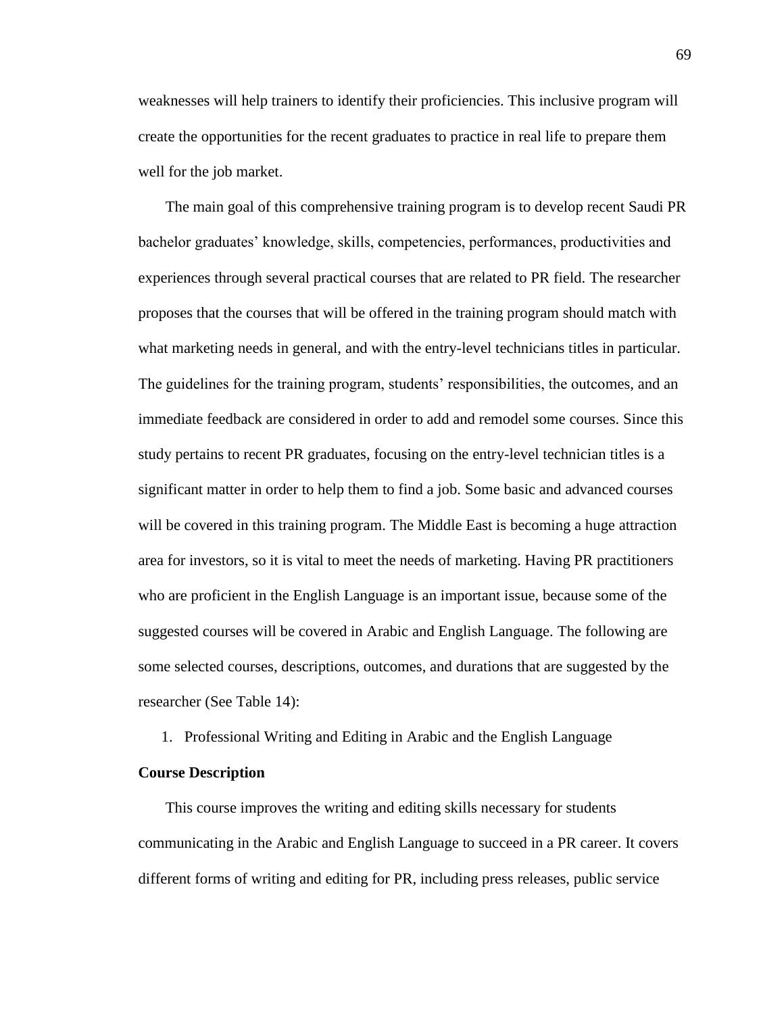weaknesses will help trainers to identify their proficiencies. This inclusive program will create the opportunities for the recent graduates to practice in real life to prepare them well for the job market.

The main goal of this comprehensive training program is to develop recent Saudi PR bachelor graduates' knowledge, skills, competencies, performances, productivities and experiences through several practical courses that are related to PR field. The researcher proposes that the courses that will be offered in the training program should match with what marketing needs in general, and with the entry-level technicians titles in particular. The guidelines for the training program, students' responsibilities, the outcomes, and an immediate feedback are considered in order to add and remodel some courses. Since this study pertains to recent PR graduates, focusing on the entry-level technician titles is a significant matter in order to help them to find a job. Some basic and advanced courses will be covered in this training program. The Middle East is becoming a huge attraction area for investors, so it is vital to meet the needs of marketing. Having PR practitioners who are proficient in the English Language is an important issue, because some of the suggested courses will be covered in Arabic and English Language. The following are some selected courses, descriptions, outcomes, and durations that are suggested by the researcher (See Table 14):

1. Professional Writing and Editing in Arabic and the English Language

#### **Course Description**

This course improves the writing and editing skills necessary for students communicating in the Arabic and English Language to succeed in a PR career. It covers different forms of writing and editing for PR, including press releases, public service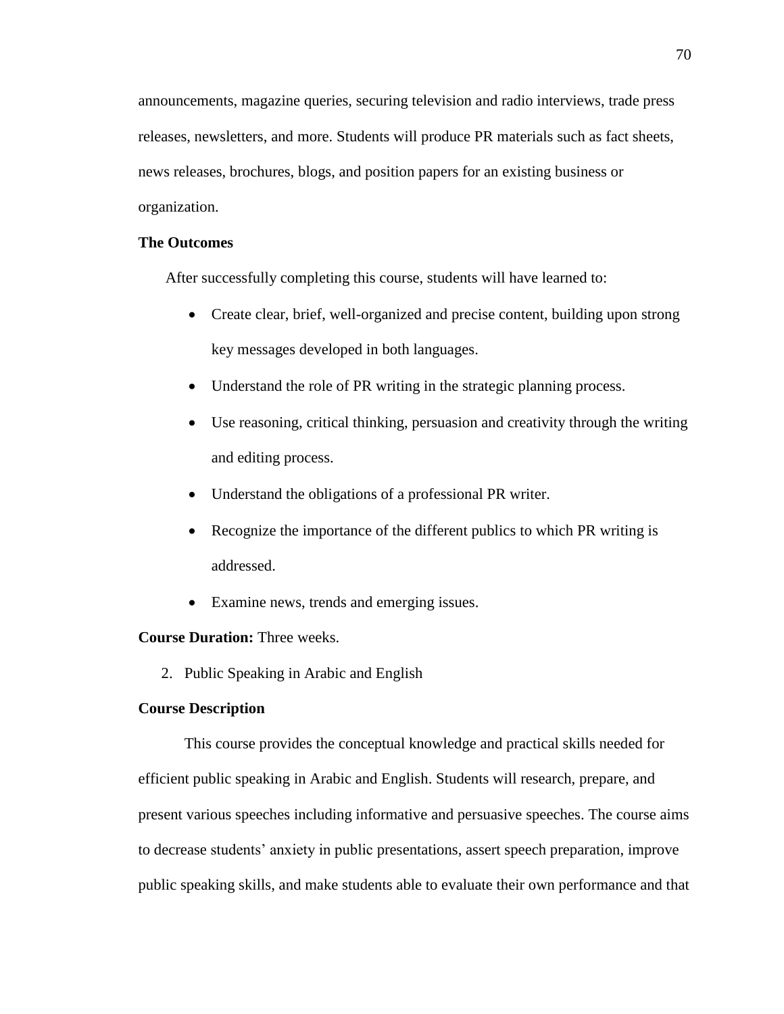announcements, magazine queries, securing television and radio interviews, trade press releases, newsletters, and more. Students will produce PR materials such as fact sheets, news releases, brochures, blogs, and position papers for an existing business or organization.

## **The Outcomes**

After successfully completing this course, students will have learned to:

- Create clear, brief, well-organized and precise content, building upon strong key messages developed in both languages.
- Understand the role of PR writing in the strategic planning process.
- Use reasoning, critical thinking, persuasion and creativity through the writing and editing process.
- Understand the obligations of a professional PR writer.
- Recognize the importance of the different publics to which PR writing is addressed.
- Examine news, trends and emerging issues.

## **Course Duration:** Three weeks.

2. Public Speaking in Arabic and English

## **Course Description**

This course provides the conceptual knowledge and practical skills needed for efficient public speaking in Arabic and English. Students will research, prepare, and present various speeches including informative and persuasive speeches. The course aims to decrease students' anxiety in public presentations, assert speech preparation, improve public speaking skills, and make students able to evaluate their own performance and that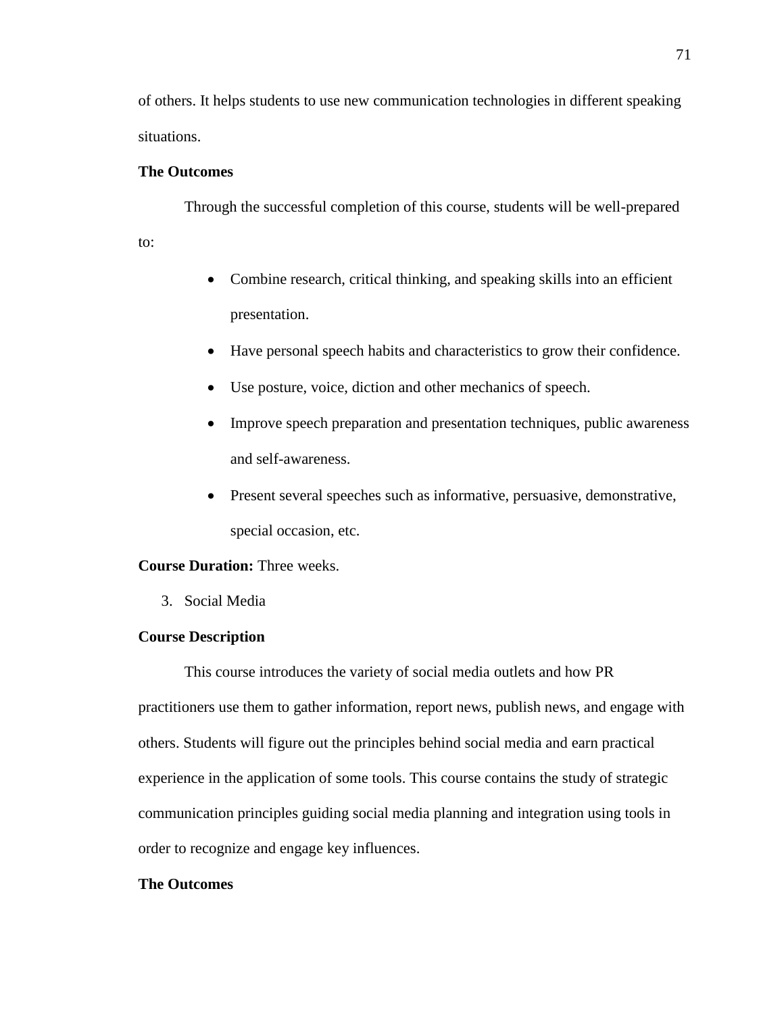of others. It helps students to use new communication technologies in different speaking situations.

## **The Outcomes**

Through the successful completion of this course, students will be well-prepared

to:

- Combine research, critical thinking, and speaking skills into an efficient presentation.
- Have personal speech habits and characteristics to grow their confidence.
- Use posture, voice, diction and other mechanics of speech.
- Improve speech preparation and presentation techniques, public awareness and self-awareness.
- Present several speeches such as informative, persuasive, demonstrative, special occasion, etc.

## **Course Duration:** Three weeks.

3. Social Media

## **Course Description**

This course introduces the variety of social media outlets and how PR practitioners use them to gather information, report news, publish news, and engage with others. Students will figure out the principles behind social media and earn practical experience in the application of some tools. This course contains the study of strategic communication principles guiding social media planning and integration using tools in order to recognize and engage key influences.

## **The Outcomes**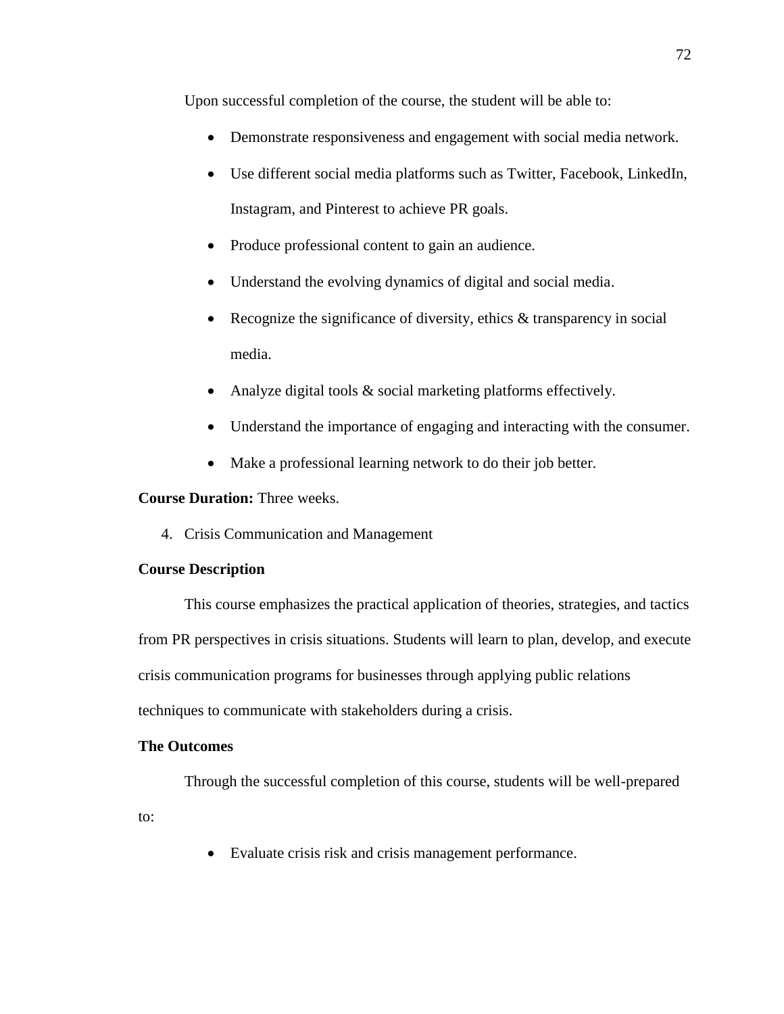Upon successful completion of the course, the student will be able to:

- Demonstrate responsiveness and engagement with social media network.
- Use different social media platforms such as Twitter, Facebook, LinkedIn, Instagram, and Pinterest to achieve PR goals.
- Produce professional content to gain an audience.
- Understand the evolving dynamics of digital and social media.
- Recognize the significance of diversity, ethics & transparency in social media.
- Analyze digital tools & social marketing platforms effectively.
- Understand the importance of engaging and interacting with the consumer.
- Make a professional learning network to do their job better.

## **Course Duration:** Three weeks.

4. Crisis Communication and Management

## **Course Description**

This course emphasizes the practical application of theories, strategies, and tactics from PR perspectives in crisis situations. Students will learn to plan, develop, and execute crisis communication programs for businesses through applying public relations techniques to communicate with stakeholders during a crisis.

## **The Outcomes**

Through the successful completion of this course, students will be well-prepared

to:

Evaluate crisis risk and crisis management performance.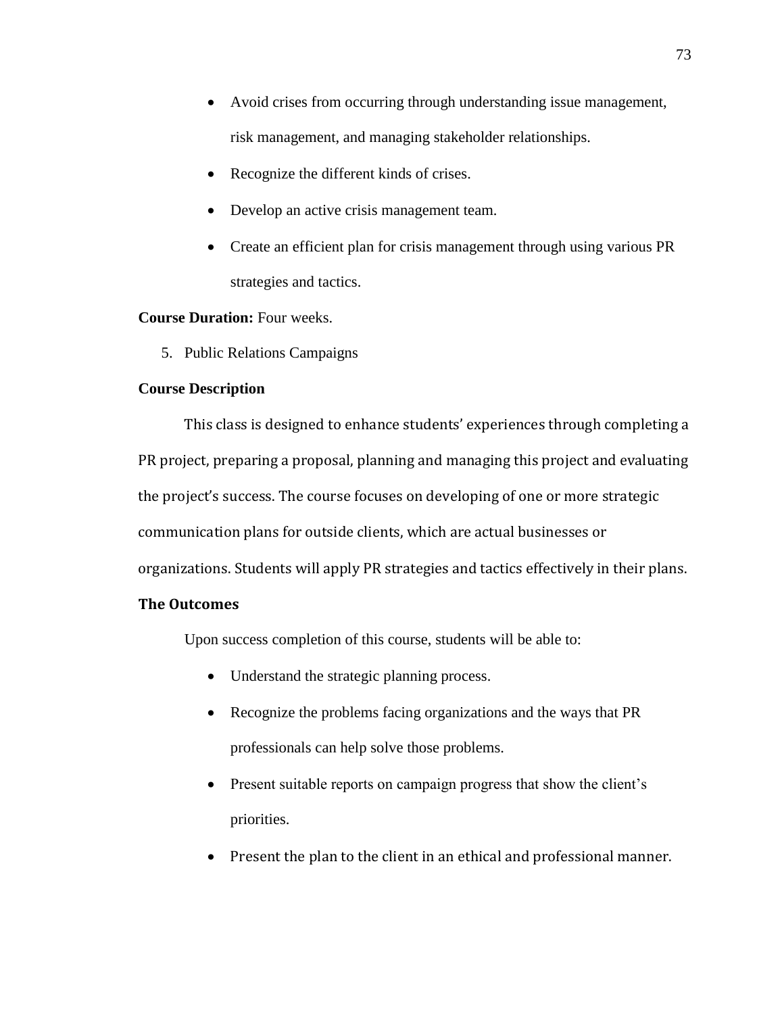- Avoid crises from occurring through understanding issue management, risk management, and managing stakeholder relationships.
- Recognize the different kinds of crises.
- Develop an active crisis management team.
- Create an efficient plan for crisis management through using various PR strategies and tactics.

### **Course Duration:** Four weeks.

5. Public Relations Campaigns

### **Course Description**

This class is designed to enhance students' experiences through completing a PR project, preparing a proposal, planning and managing this project and evaluating the project's success. The course focuses on developing of one or more strategic communication plans for outside clients, which are actual businesses or organizations. Students will apply PR strategies and tactics effectively in their plans.

## **The Outcomes**

Upon success completion of this course, students will be able to:

- Understand the strategic planning process.
- Recognize the problems facing organizations and the ways that PR professionals can help solve those problems.
- Present suitable reports on campaign progress that show the client's priorities.
- Present the plan to the client in an ethical and professional manner.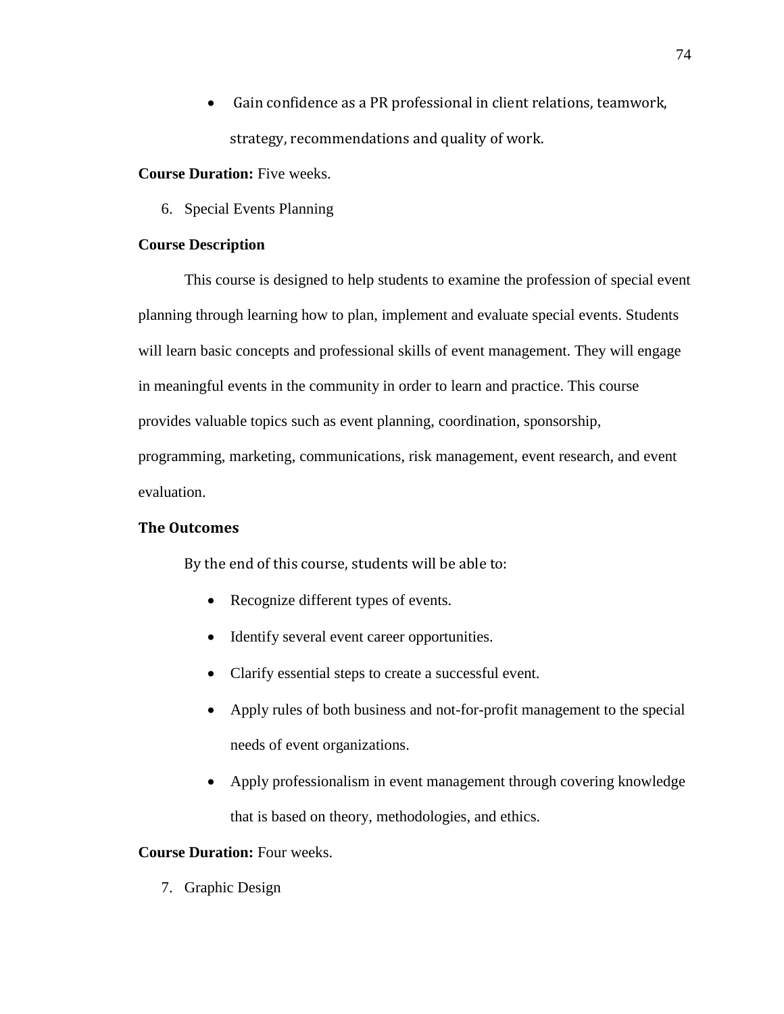Gain confidence as a PR professional in client relations, teamwork, strategy, recommendations and quality of work.

#### **Course Duration:** Five weeks.

6. Special Events Planning

#### **Course Description**

This course is designed to help students to examine the profession of special event planning through learning how to plan, implement and evaluate special events. Students will learn basic concepts and professional skills of event management. They will engage in meaningful events in the community in order to learn and practice. This course provides valuable topics such as event planning, coordination, sponsorship, programming, marketing, communications, risk management, event research, and event evaluation.

### **The Outcomes**

By the end of this course, students will be able to:

- Recognize different types of events.
- Identify several event career opportunities.
- Clarify essential steps to create a successful event.
- Apply rules of both business and not-for-profit management to the special needs of event organizations.
- Apply professionalism in event management through covering knowledge that is based on theory, methodologies, and ethics.

### **Course Duration:** Four weeks.

7. Graphic Design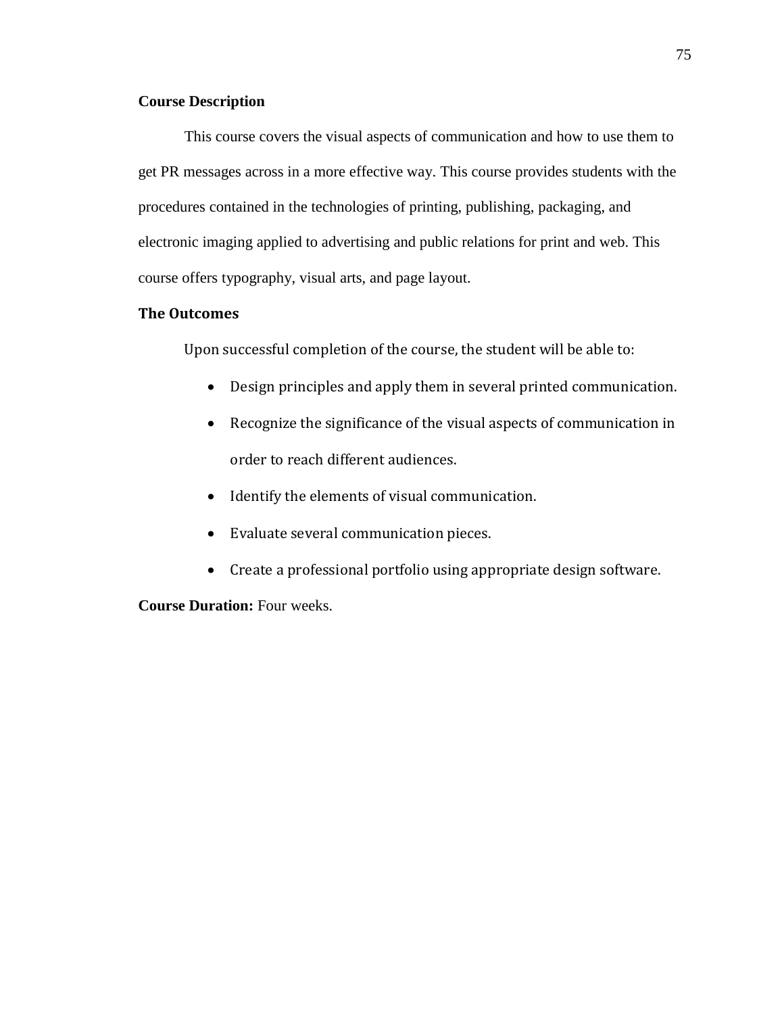### **Course Description**

This course covers the visual aspects of communication and how to use them to get PR messages across in a more effective way. This course provides students with the procedures contained in the technologies of printing, publishing, packaging, and electronic imaging applied to advertising and public relations for print and web. This course offers typography, visual arts, and page layout.

### **The Outcomes**

Upon successful completion of the course, the student will be able to:

- Design principles and apply them in several printed communication.
- Recognize the significance of the visual aspects of communication in order to reach different audiences.
- Identify the elements of visual communication.
- Evaluate several communication pieces.
- Create a professional portfolio using appropriate design software.

**Course Duration:** Four weeks.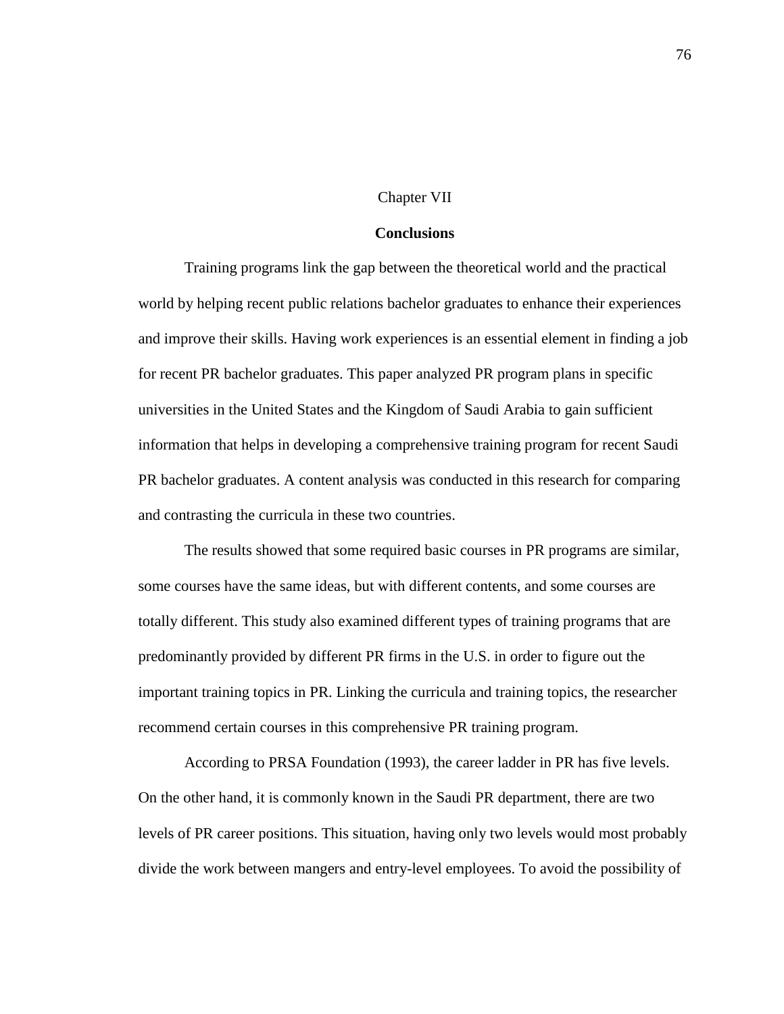#### Chapter VII

### **Conclusions**

Training programs link the gap between the theoretical world and the practical world by helping recent public relations bachelor graduates to enhance their experiences and improve their skills. Having work experiences is an essential element in finding a job for recent PR bachelor graduates. This paper analyzed PR program plans in specific universities in the United States and the Kingdom of Saudi Arabia to gain sufficient information that helps in developing a comprehensive training program for recent Saudi PR bachelor graduates. A content analysis was conducted in this research for comparing and contrasting the curricula in these two countries.

The results showed that some required basic courses in PR programs are similar, some courses have the same ideas, but with different contents, and some courses are totally different. This study also examined different types of training programs that are predominantly provided by different PR firms in the U.S. in order to figure out the important training topics in PR. Linking the curricula and training topics, the researcher recommend certain courses in this comprehensive PR training program.

According to PRSA Foundation (1993), the career ladder in PR has five levels. On the other hand, it is commonly known in the Saudi PR department, there are two levels of PR career positions. This situation, having only two levels would most probably divide the work between mangers and entry-level employees. To avoid the possibility of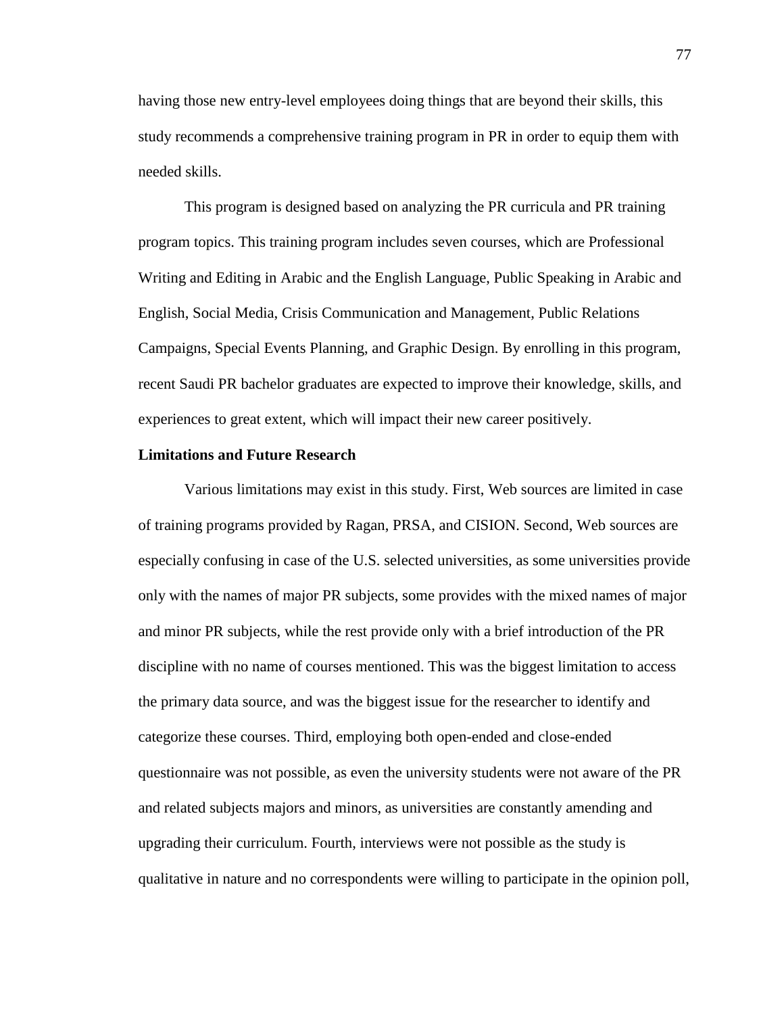having those new entry-level employees doing things that are beyond their skills, this study recommends a comprehensive training program in PR in order to equip them with needed skills.

This program is designed based on analyzing the PR curricula and PR training program topics. This training program includes seven courses, which are Professional Writing and Editing in Arabic and the English Language, Public Speaking in Arabic and English, Social Media, Crisis Communication and Management, Public Relations Campaigns, Special Events Planning, and Graphic Design. By enrolling in this program, recent Saudi PR bachelor graduates are expected to improve their knowledge, skills, and experiences to great extent, which will impact their new career positively.

#### **Limitations and Future Research**

Various limitations may exist in this study. First, Web sources are limited in case of training programs provided by Ragan, PRSA, and CISION. Second, Web sources are especially confusing in case of the U.S. selected universities, as some universities provide only with the names of major PR subjects, some provides with the mixed names of major and minor PR subjects, while the rest provide only with a brief introduction of the PR discipline with no name of courses mentioned. This was the biggest limitation to access the primary data source, and was the biggest issue for the researcher to identify and categorize these courses. Third, employing both open-ended and close-ended questionnaire was not possible, as even the university students were not aware of the PR and related subjects majors and minors, as universities are constantly amending and upgrading their curriculum. Fourth, interviews were not possible as the study is qualitative in nature and no correspondents were willing to participate in the opinion poll,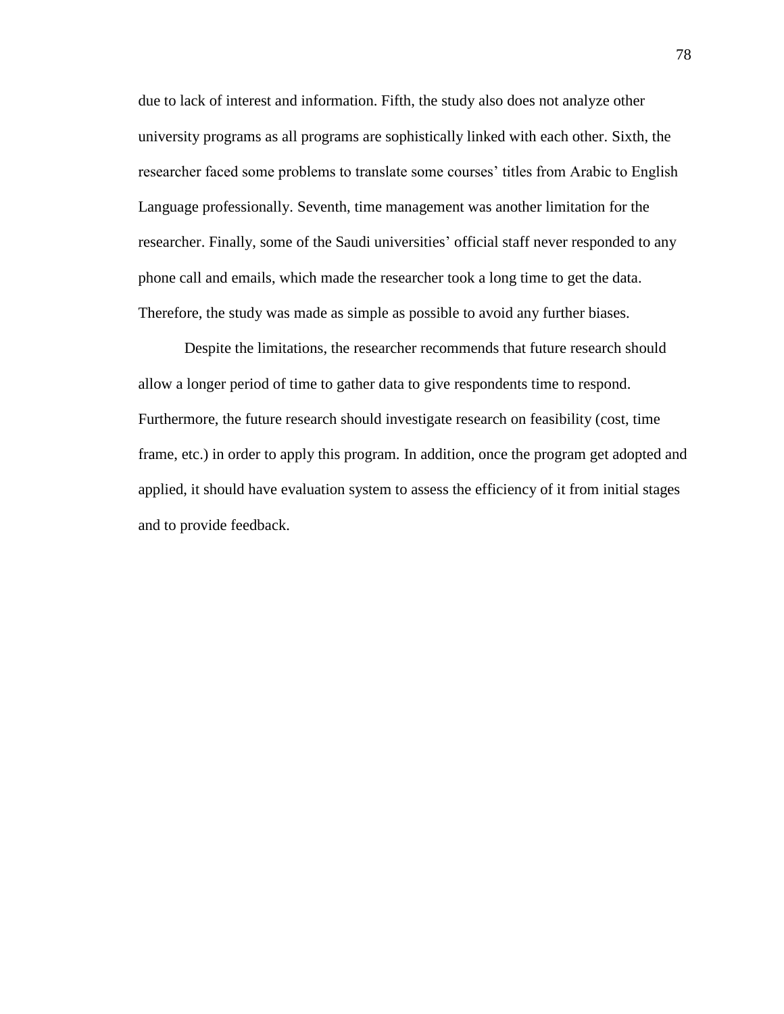due to lack of interest and information. Fifth, the study also does not analyze other university programs as all programs are sophistically linked with each other. Sixth, the researcher faced some problems to translate some courses' titles from Arabic to English Language professionally. Seventh, time management was another limitation for the researcher. Finally, some of the Saudi universities' official staff never responded to any phone call and emails, which made the researcher took a long time to get the data. Therefore, the study was made as simple as possible to avoid any further biases.

Despite the limitations, the researcher recommends that future research should allow a longer period of time to gather data to give respondents time to respond. Furthermore, the future research should investigate research on feasibility (cost, time frame, etc.) in order to apply this program. In addition, once the program get adopted and applied, it should have evaluation system to assess the efficiency of it from initial stages and to provide feedback.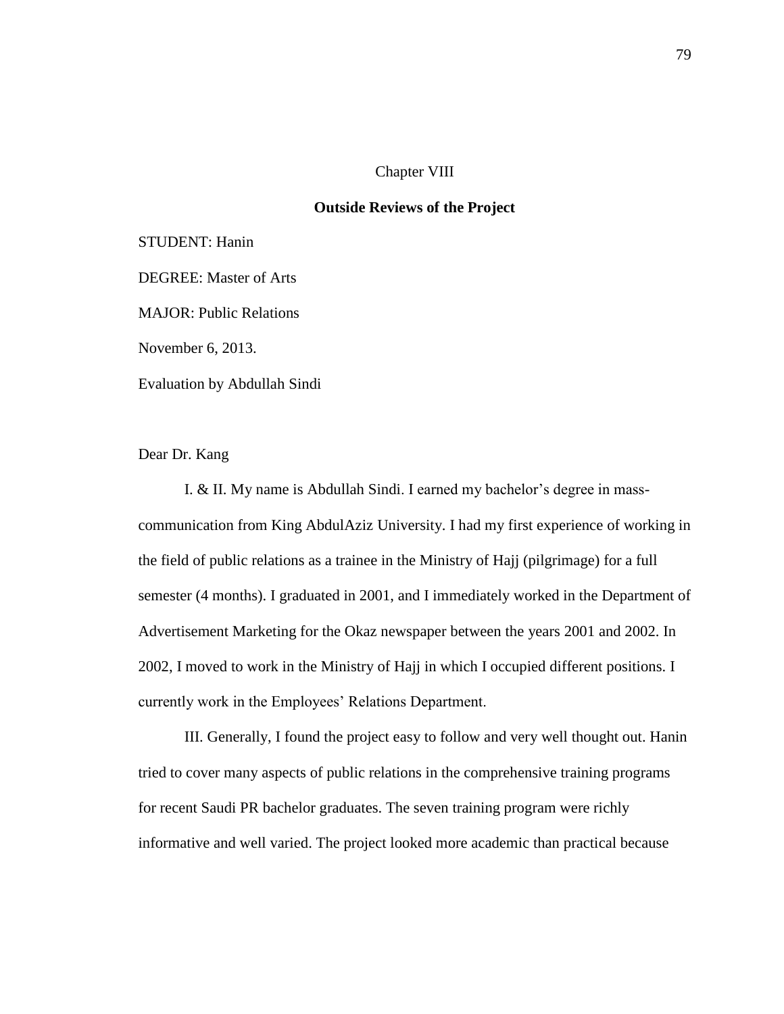#### Chapter VIII

#### **Outside Reviews of the Project**

STUDENT: Hanin

DEGREE: Master of Arts

MAJOR: Public Relations

November 6, 2013.

Evaluation by Abdullah Sindi

Dear Dr. Kang

I. & II. My name is Abdullah Sindi. I earned my bachelor's degree in masscommunication from King AbdulAziz University. I had my first experience of working in the field of public relations as a trainee in the Ministry of Hajj (pilgrimage) for a full semester (4 months). I graduated in 2001, and I immediately worked in the Department of Advertisement Marketing for the Okaz newspaper between the years 2001 and 2002. In 2002, I moved to work in the Ministry of Hajj in which I occupied different positions. I currently work in the Employees' Relations Department.

III. Generally, I found the project easy to follow and very well thought out. Hanin tried to cover many aspects of public relations in the comprehensive training programs for recent Saudi PR bachelor graduates. The seven training program were richly informative and well varied. The project looked more academic than practical because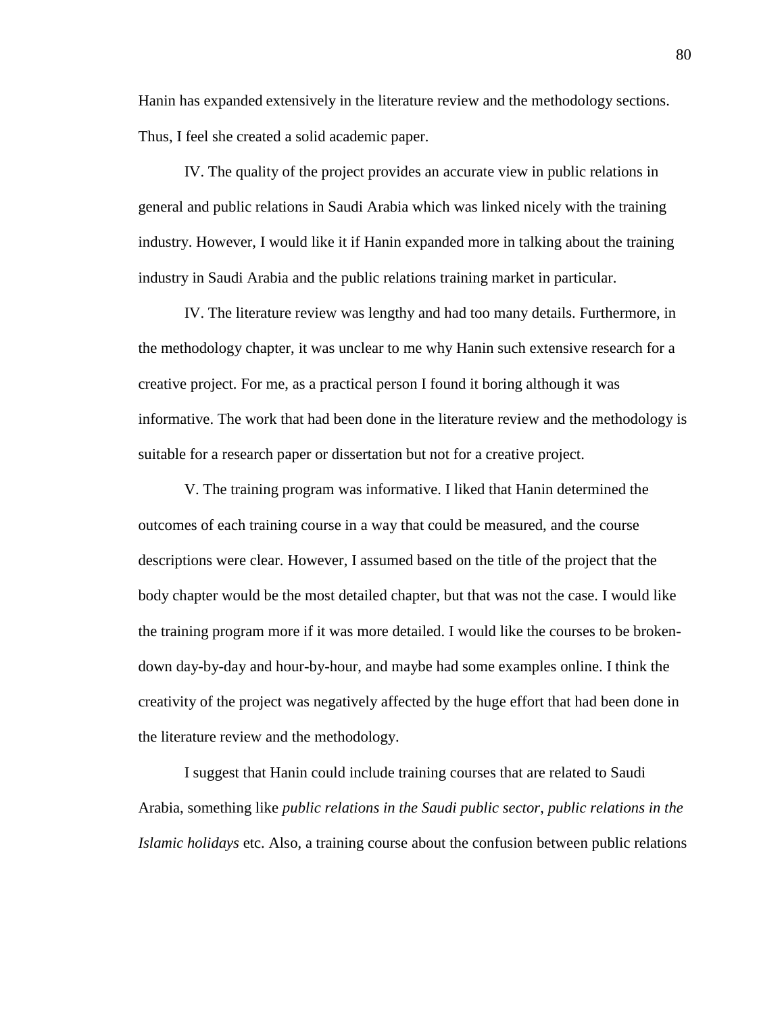Hanin has expanded extensively in the literature review and the methodology sections. Thus, I feel she created a solid academic paper.

IV. The quality of the project provides an accurate view in public relations in general and public relations in Saudi Arabia which was linked nicely with the training industry. However, I would like it if Hanin expanded more in talking about the training industry in Saudi Arabia and the public relations training market in particular.

IV. The literature review was lengthy and had too many details. Furthermore, in the methodology chapter, it was unclear to me why Hanin such extensive research for a creative project. For me, as a practical person I found it boring although it was informative. The work that had been done in the literature review and the methodology is suitable for a research paper or dissertation but not for a creative project.

V. The training program was informative. I liked that Hanin determined the outcomes of each training course in a way that could be measured, and the course descriptions were clear. However, I assumed based on the title of the project that the body chapter would be the most detailed chapter, but that was not the case. I would like the training program more if it was more detailed. I would like the courses to be brokendown day-by-day and hour-by-hour, and maybe had some examples online. I think the creativity of the project was negatively affected by the huge effort that had been done in the literature review and the methodology.

I suggest that Hanin could include training courses that are related to Saudi Arabia, something like *public relations in the Saudi public sector*, *public relations in the Islamic holidays* etc. Also, a training course about the confusion between public relations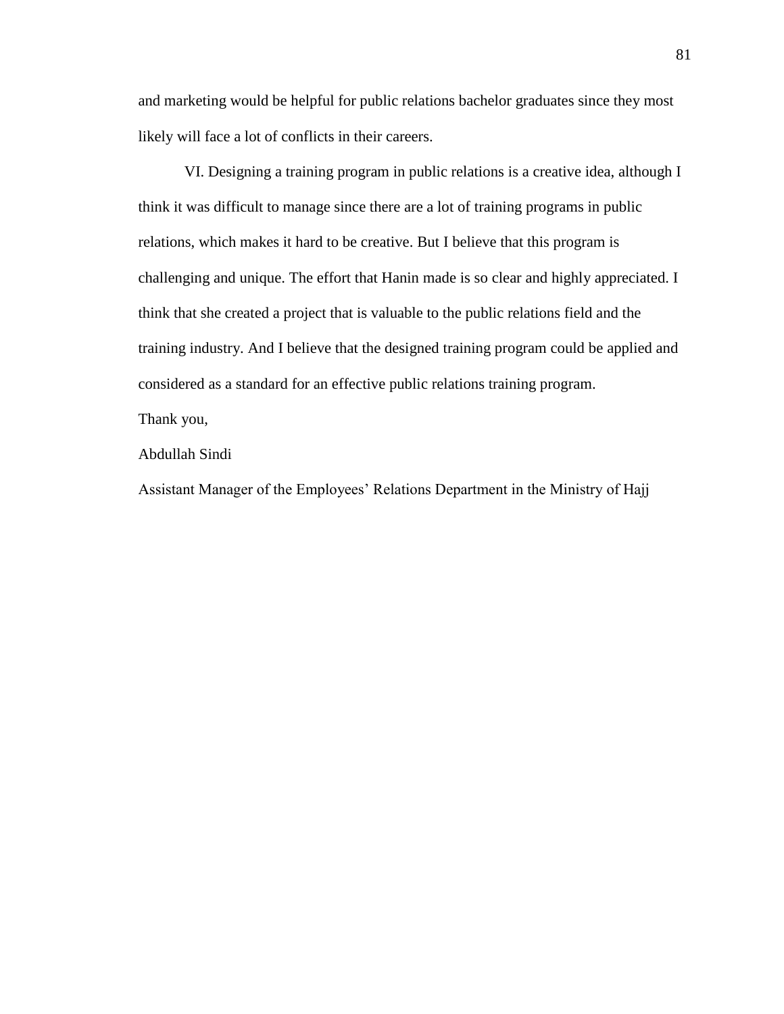and marketing would be helpful for public relations bachelor graduates since they most likely will face a lot of conflicts in their careers.

VI. Designing a training program in public relations is a creative idea, although I think it was difficult to manage since there are a lot of training programs in public relations, which makes it hard to be creative. But I believe that this program is challenging and unique. The effort that Hanin made is so clear and highly appreciated. I think that she created a project that is valuable to the public relations field and the training industry. And I believe that the designed training program could be applied and considered as a standard for an effective public relations training program.

### Thank you,

#### Abdullah Sindi

Assistant Manager of the Employees' Relations Department in the Ministry of Hajj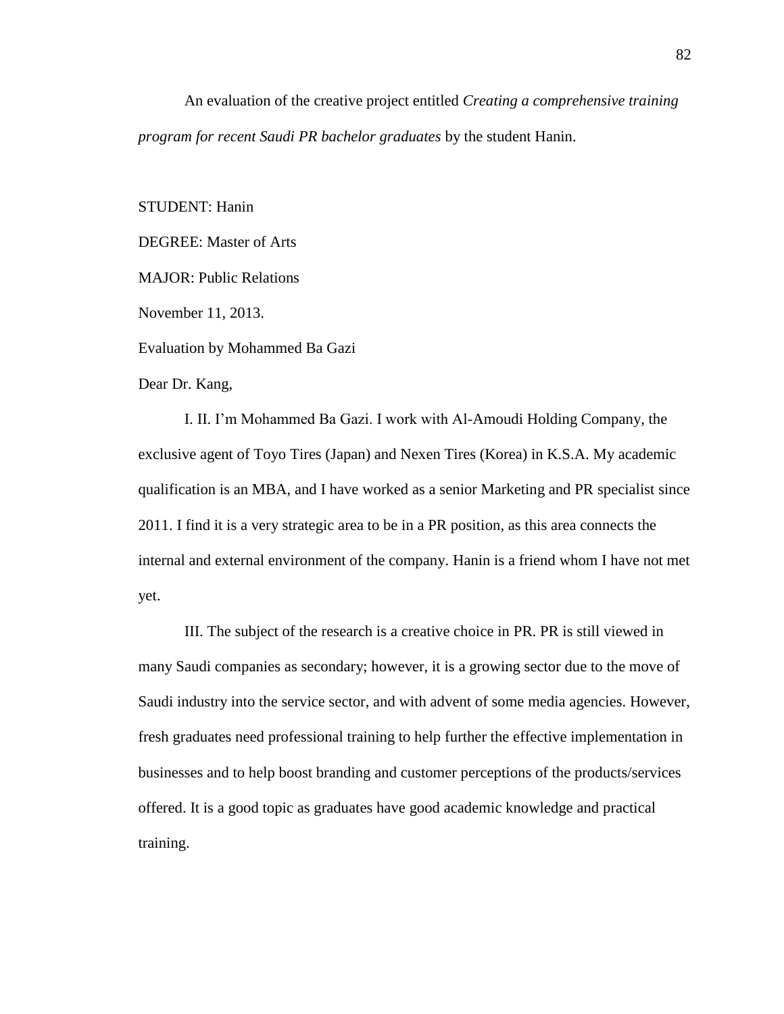An evaluation of the creative project entitled *Creating a comprehensive training program for recent Saudi PR bachelor graduates* by the student Hanin.

STUDENT: Hanin

DEGREE: Master of Arts

MAJOR: Public Relations

November 11, 2013.

Evaluation by Mohammed Ba Gazi

Dear Dr. Kang,

I. II. I'm Mohammed Ba Gazi. I work with Al-Amoudi Holding Company, the exclusive agent of Toyo Tires (Japan) and Nexen Tires (Korea) in K.S.A. My academic qualification is an MBA, and I have worked as a senior Marketing and PR specialist since 2011. I find it is a very strategic area to be in a PR position, as this area connects the internal and external environment of the company. Hanin is a friend whom I have not met yet.

III. The subject of the research is a creative choice in PR. PR is still viewed in many Saudi companies as secondary; however, it is a growing sector due to the move of Saudi industry into the service sector, and with advent of some media agencies. However, fresh graduates need professional training to help further the effective implementation in businesses and to help boost branding and customer perceptions of the products/services offered. It is a good topic as graduates have good academic knowledge and practical training.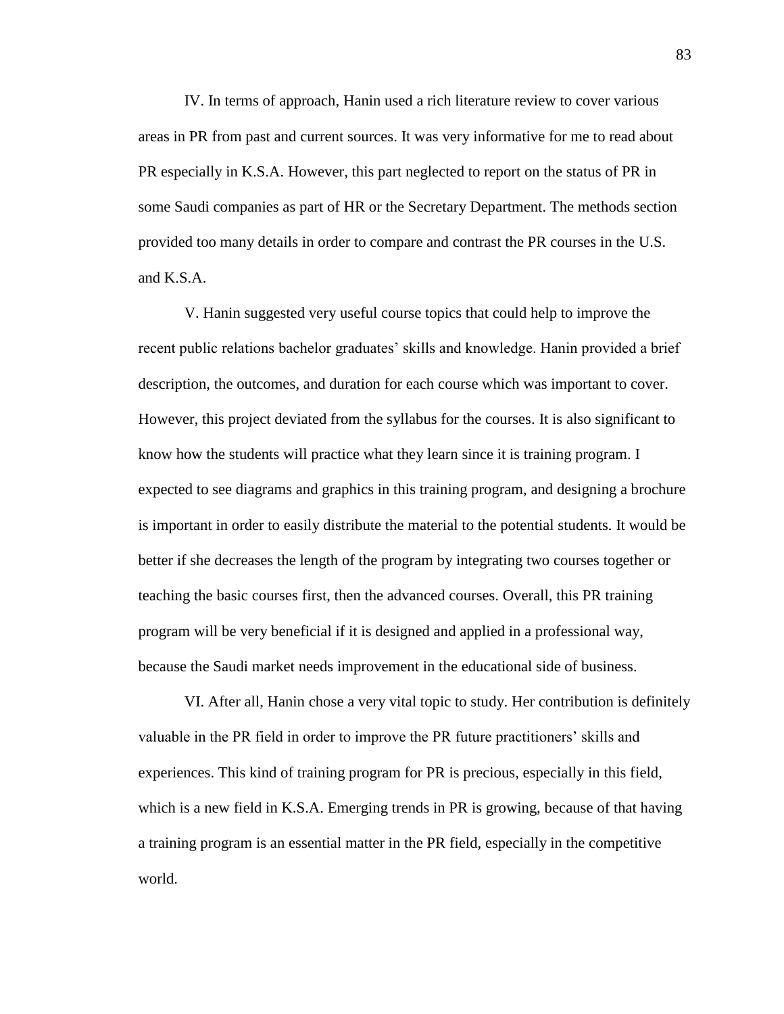IV. In terms of approach, Hanin used a rich literature review to cover various areas in PR from past and current sources. It was very informative for me to read about PR especially in K.S.A. However, this part neglected to report on the status of PR in some Saudi companies as part of HR or the Secretary Department. The methods section provided too many details in order to compare and contrast the PR courses in the U.S. and K.S.A.

V. Hanin suggested very useful course topics that could help to improve the recent public relations bachelor graduates' skills and knowledge. Hanin provided a brief description, the outcomes, and duration for each course which was important to cover. However, this project deviated from the syllabus for the courses. It is also significant to know how the students will practice what they learn since it is training program. I expected to see diagrams and graphics in this training program, and designing a brochure is important in order to easily distribute the material to the potential students. It would be better if she decreases the length of the program by integrating two courses together or teaching the basic courses first, then the advanced courses. Overall, this PR training program will be very beneficial if it is designed and applied in a professional way, because the Saudi market needs improvement in the educational side of business.

VI. After all, Hanin chose a very vital topic to study. Her contribution is definitely valuable in the PR field in order to improve the PR future practitioners' skills and experiences. This kind of training program for PR is precious, especially in this field, which is a new field in K.S.A. Emerging trends in PR is growing, because of that having a training program is an essential matter in the PR field, especially in the competitive world.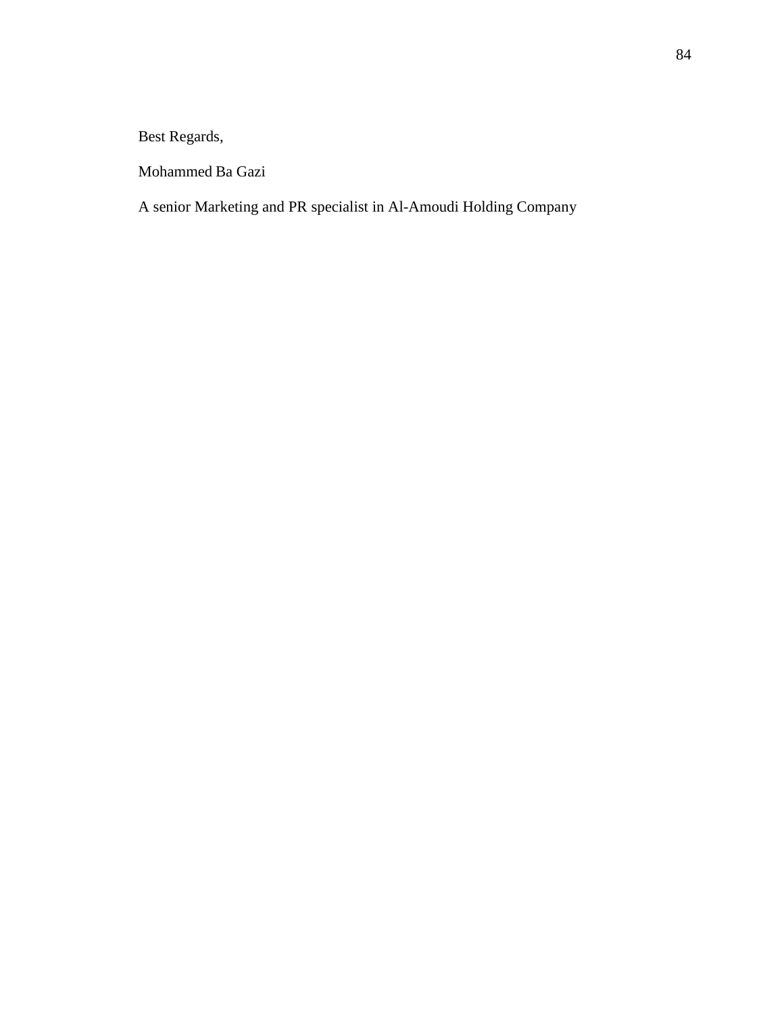Best Regards,

Mohammed Ba Gazi

A senior Marketing and PR specialist in Al-Amoudi Holding Company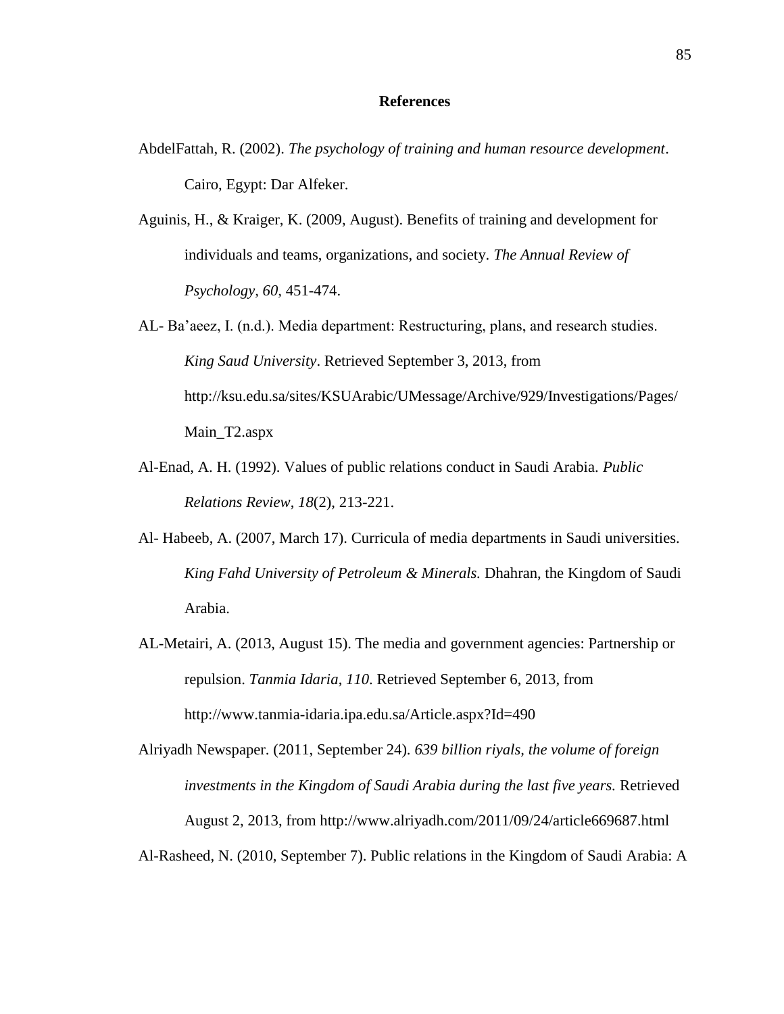#### **References**

- AbdelFattah, R. (2002). *The psychology of training and human resource development*. Cairo, Egypt: Dar Alfeker.
- Aguinis, H., & Kraiger, K. (2009, August). Benefits of training and development for individuals and teams, organizations, and society. *The Annual Review of Psychology, 60,* 451-474.
- AL- Ba'aeez, I. (n.d.). Media department: Restructuring, plans, and research studies. *King Saud University*. Retrieved September 3, 2013, from http://ksu.edu.sa/sites/KSUArabic/UMessage/Archive/929/Investigations/Pages/ Main\_T2.aspx
- Al-Enad, A. H. (1992). Values of public relations conduct in Saudi Arabia. *Public Relations Review*, *18*(2), 213-221.
- Al- Habeeb, A. (2007, March 17). Curricula of media departments in Saudi universities. *King Fahd University of Petroleum & Minerals.* Dhahran, the Kingdom of Saudi Arabia.
- AL-Metairi, A. (2013, August 15). The media and government agencies: Partnership or repulsion. *Tanmia Idaria*, *110*. Retrieved September 6, 2013, from http://www.tanmia-idaria.ipa.edu.sa/Article.aspx?Id=490
- Alriyadh Newspaper. (2011, September 24). *639 billion riyals, the volume of foreign investments in the Kingdom of Saudi Arabia during the last five years.* Retrieved August 2, 2013, from http://www.alriyadh.com/2011/09/24/article669687.html

Al-Rasheed, N. (2010, September 7). Public relations in the Kingdom of Saudi Arabia: A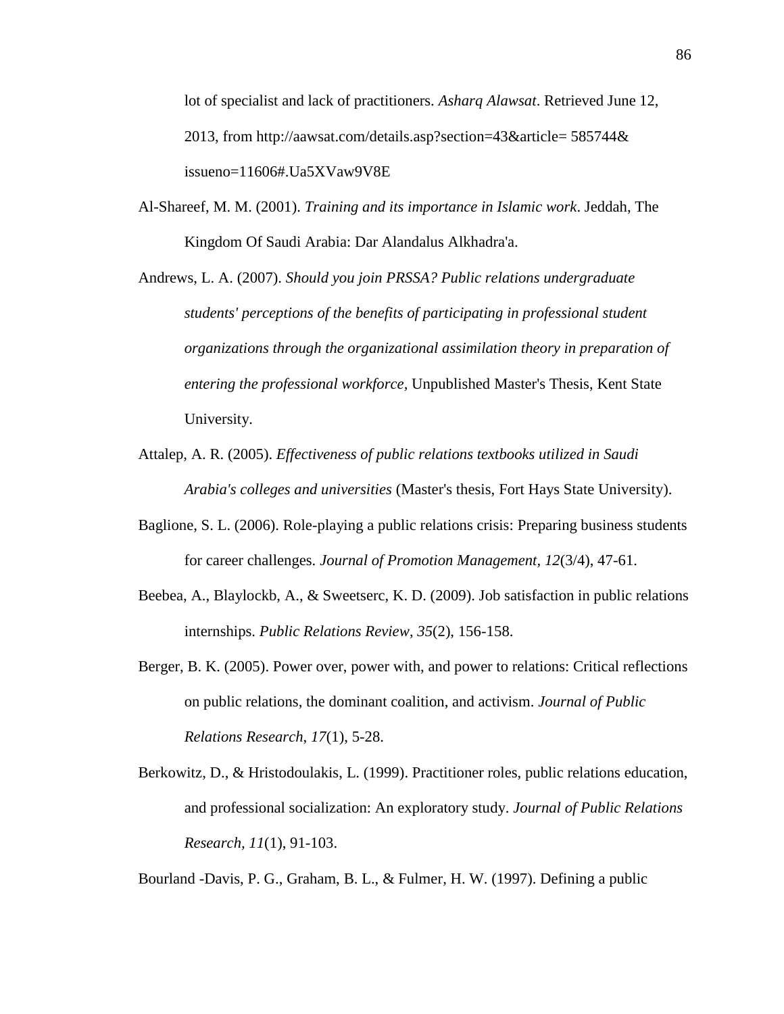lot of specialist and lack of practitioners. *Asharq Alawsat*. Retrieved June 12, 2013, from http://aawsat.com/details.asp?section=43&article= 585744& issueno=11606#.Ua5XVaw9V8E

- Al-Shareef, M. M. (2001). *Training and its importance in Islamic work*. Jeddah, The Kingdom Of Saudi Arabia: Dar Alandalus Alkhadra'a.
- Andrews, L. A. (2007). *Should you join PRSSA? Public relations undergraduate students' perceptions of the benefits of participating in professional student organizations through the organizational assimilation theory in preparation of entering the professional workforce,* Unpublished Master's Thesis, Kent State University.
- Attalep, A. R. (2005). *Effectiveness of public relations textbooks utilized in Saudi Arabia's colleges and universities* (Master's thesis, Fort Hays State University).
- Baglione, S. L. (2006). Role-playing a public relations crisis: Preparing business students for career challenges. *Journal of Promotion Management, 12*(3/4), 47-61.
- Beebea, A., Blaylockb, A., & Sweetserc, K. D. (2009). Job satisfaction in public relations internships. *Public Relations Review*, *35*(2), 156-158.
- Berger, B. K. (2005). Power over, power with, and power to relations: Critical reflections on public relations, the dominant coalition, and activism. *Journal of Public Relations Research*, *17*(1), 5-28.
- Berkowitz, D., & Hristodoulakis, L. (1999). Practitioner roles, public relations education, and professional socialization: An exploratory study. *Journal of Public Relations Research, 11*(1), 91-103.

Bourland -Davis, P. G., Graham, B. L., & Fulmer, H. W. (1997). Defining a public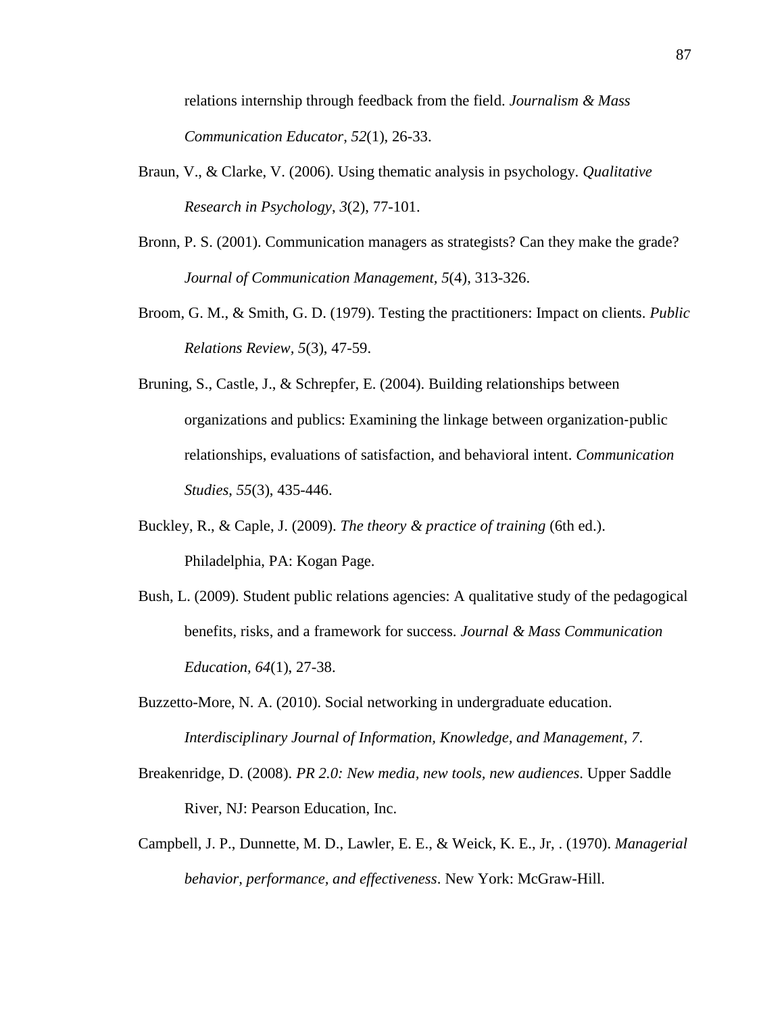relations internship through feedback from the field. *Journalism & Mass Communication Educator*, *52*(1), 26-33.

- Braun, V., & Clarke, V. (2006). Using thematic analysis in psychology. *Qualitative Research in Psychology*, *3*(2), 77-101.
- Bronn, P. S. (2001). Communication managers as strategists? Can they make the grade? *Journal of Communication Management, 5*(4), 313-326.
- Broom, G. M., & Smith, G. D. (1979). Testing the practitioners: Impact on clients. *Public Relations Review, 5*(3), 47-59.
- Bruning, S., Castle, J., & Schrepfer, E. (2004). Building relationships between organizations and publics: Examining the linkage between organization‐public relationships, evaluations of satisfaction, and behavioral intent. *Communication Studies*, *55*(3), 435-446.
- Buckley, R., & Caple, J. (2009). *The theory & practice of training* (6th ed.). Philadelphia, PA: Kogan Page.
- Bush, L. (2009). Student public relations agencies: A qualitative study of the pedagogical benefits, risks, and a framework for success. *Journal & Mass Communication Education, 64*(1), 27-38.
- Buzzetto-More, N. A. (2010). Social networking in undergraduate education. *Interdisciplinary Journal of Information, Knowledge, and Management*, *7*.
- Breakenridge, D. (2008). *PR 2.0: New media, new tools, new audiences*. Upper Saddle River, NJ: Pearson Education, Inc.
- Campbell, J. P., Dunnette, M. D., Lawler, E. E., & Weick, K. E., Jr, . (1970). *Managerial behavior, performance, and effectiveness*. New York: McGraw-Hill.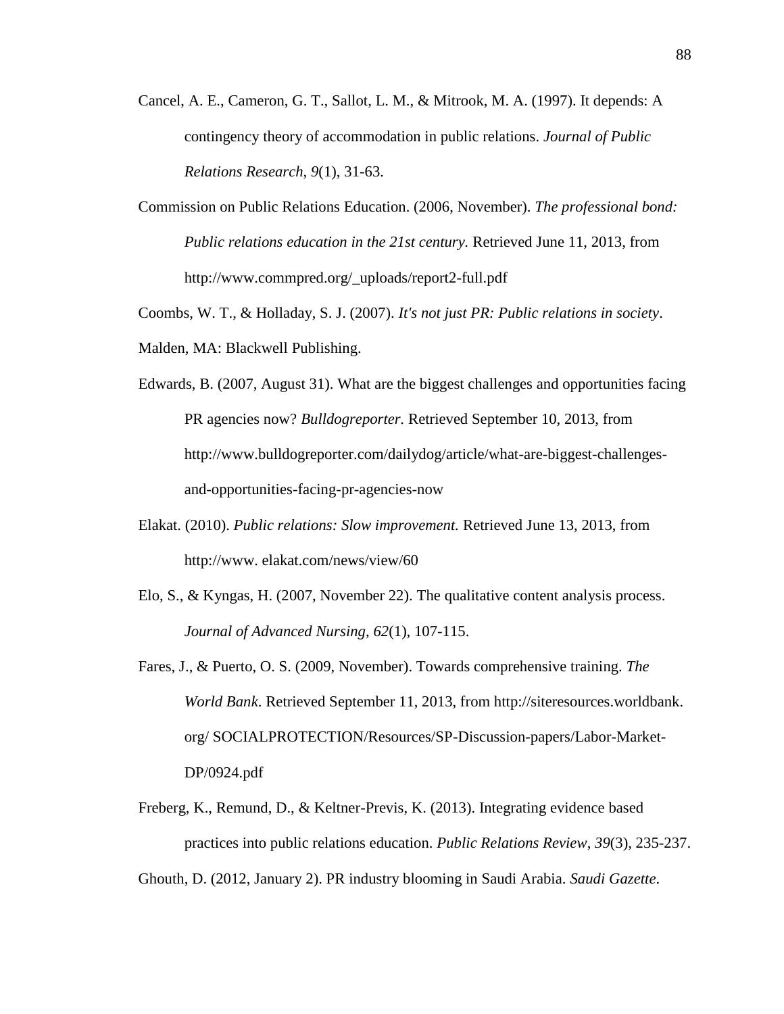- Cancel, A. E., Cameron, G. T., Sallot, L. M., & Mitrook, M. A. (1997). It depends: A contingency theory of accommodation in public relations. *Journal of Public Relations Research*, *9*(1), 31-63.
- Commission on Public Relations Education. (2006, November). *The professional bond: Public relations education in the 21st century.* Retrieved June 11, 2013, from http://www.commpred.org/\_uploads/report2-full.pdf
- Coombs, W. T., & Holladay, S. J. (2007). *It's not just PR: Public relations in society*.
- Malden, MA: Blackwell Publishing.
- Edwards, B. (2007, August 31). What are the biggest challenges and opportunities facing PR agencies now? *Bulldogreporter.* Retrieved September 10, 2013, from http://www.bulldogreporter.com/dailydog/article/what-are-biggest-challengesand-opportunities-facing-pr-agencies-now
- Elakat. (2010). *Public relations: Slow improvement.* Retrieved June 13, 2013, from http://www. elakat.com/news/view/60
- Elo, S., & Kyngas, H. (2007, November 22). The qualitative content analysis process. *Journal of Advanced Nursing*, *62*(1), 107-115.
- Fares, J., & Puerto, O. S. (2009, November). Towards comprehensive training. *The World Bank*. Retrieved September 11, 2013, from http://siteresources.worldbank. org/ SOCIALPROTECTION/Resources/SP-Discussion-papers/Labor-Market-DP/0924.pdf
- Freberg, K., Remund, D., & Keltner-Previs, K. (2013). Integrating evidence based practices into public relations education. *Public Relations Review*, *39*(3), 235-237.

Ghouth, D. (2012, January 2). PR industry blooming in Saudi Arabia. *Saudi Gazette*.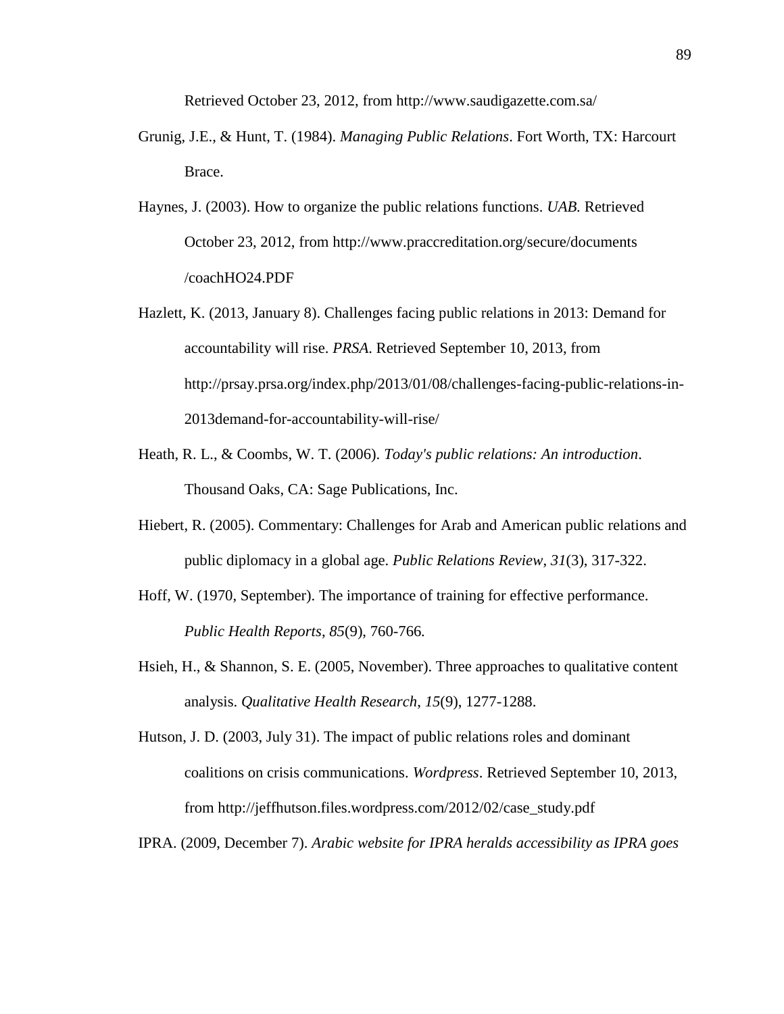Retrieved October 23, 2012, from http://www.saudigazette.com.sa/

- Grunig, J.E., & Hunt, T. (1984). *Managing Public Relations*. Fort Worth, TX: Harcourt Brace.
- Haynes, J. (2003). How to organize the public relations functions. *UAB.* Retrieved October 23, 2012, from http://www.praccreditation.org/secure/documents /coachHO24.PDF
- Hazlett, K. (2013, January 8). Challenges facing public relations in 2013: Demand for accountability will rise. *PRSA*. Retrieved September 10, 2013, from http://prsay.prsa.org/index.php/2013/01/08/challenges-facing-public-relations-in-2013demand-for-accountability-will-rise/
- Heath, R. L., & Coombs, W. T. (2006). *Today's public relations: An introduction*. Thousand Oaks, CA: Sage Publications, Inc.
- Hiebert, R. (2005). Commentary: Challenges for Arab and American public relations and public diplomacy in a global age. *Public Relations Review*, *31*(3), 317-322.
- Hoff, W. (1970, September). The importance of training for effective performance. *Public Health Reports*, *85*(9), 760-766*.*
- Hsieh, H., & Shannon, S. E. (2005, November). Three approaches to qualitative content analysis. *Qualitative Health Research*, *15*(9), 1277-1288.
- Hutson, J. D. (2003, July 31). The impact of public relations roles and dominant coalitions on crisis communications. *Wordpress*. Retrieved September 10, 2013, from http://jeffhutson.files.wordpress.com/2012/02/case\_study.pdf
- IPRA. (2009, December 7). *Arabic website for IPRA heralds accessibility as IPRA goes*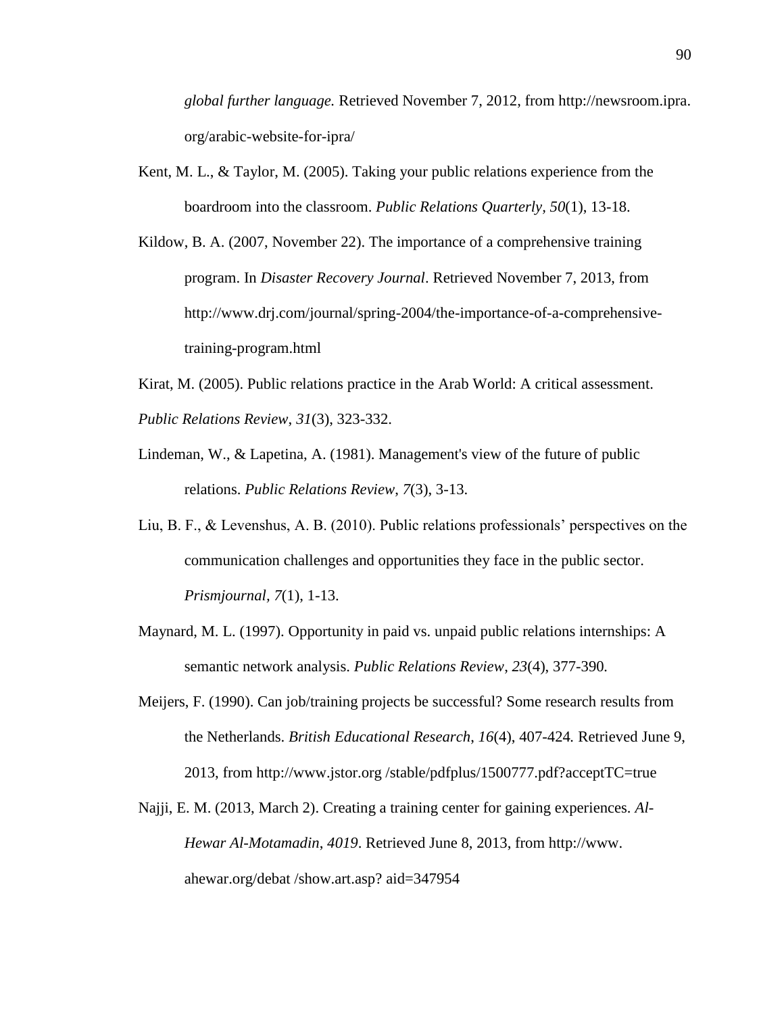*global further language.* Retrieved November 7, 2012, from [http://newsroom.ipra.](http://newsroom.ipra/) org/arabic-website-for-ipra/

- Kent, M. L., & Taylor, M. (2005). Taking your public relations experience from the boardroom into the classroom. *Public Relations Quarterly, 50*(1), 13-18.
- Kildow, B. A. (2007, November 22). The importance of a comprehensive training program. In *Disaster Recovery Journal*. Retrieved November 7, 2013, from http://www.drj.com/journal/spring-2004/the-importance-of-a-comprehensivetraining-program.html
- Kirat, M. (2005). Public relations practice in the Arab World: A critical assessment. *Public Relations Review*, *31*(3), 323-332.
- Lindeman, W., & Lapetina, A. (1981). Management's view of the future of public relations. *Public Relations Review*, *7*(3), 3-13.
- Liu, B. F., & Levenshus, A. B. (2010). Public relations professionals' perspectives on the communication challenges and opportunities they face in the public sector. *Prismjournal, 7*(1), 1-13.
- Maynard, M. L. (1997). Opportunity in paid vs. unpaid public relations internships: A semantic network analysis. *Public Relations Review*, *23*(4), 377-390*.*
- Meijers, F. (1990). Can job/training projects be successful? Some research results from the Netherlands. *British Educational Research*, *16*(4), 407-424*.* Retrieved June 9, 2013, from http://www.jstor.org /stable/pdfplus/1500777.pdf?acceptTC=true
- Najji, E. M. (2013, March 2). Creating a training center for gaining experiences. *Al-Hewar Al-Motamadin*, *4019*. Retrieved June 8, 2013, from http://www. ahewar.org/debat /show.art.asp? aid=347954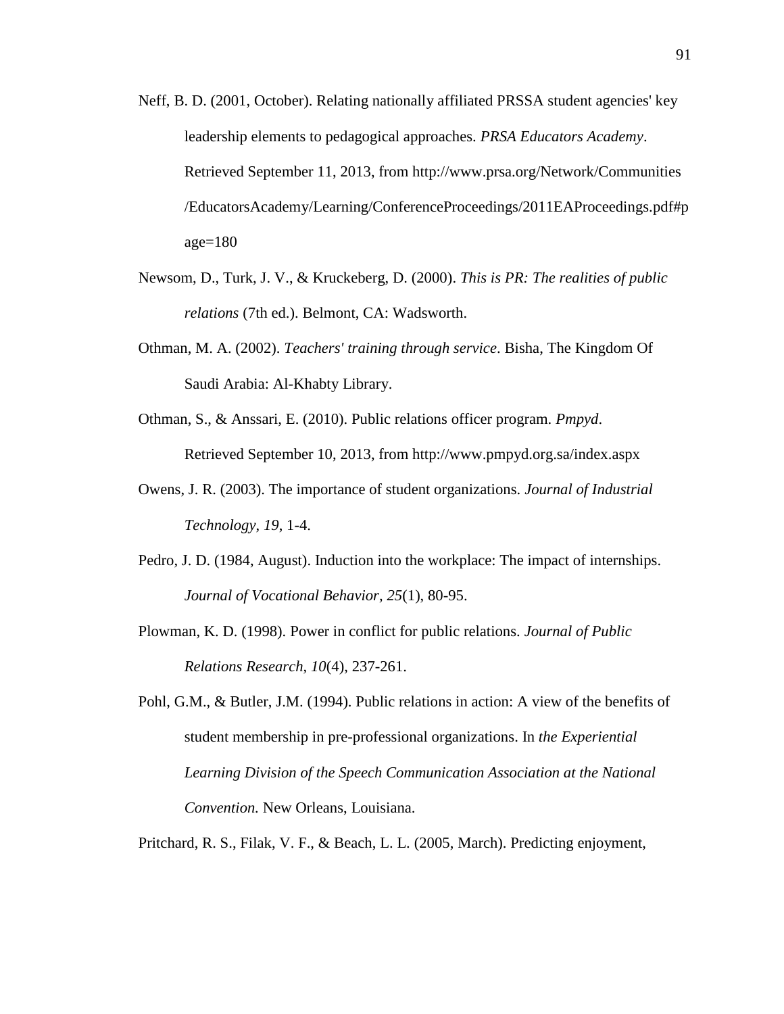- Neff, B. D. (2001, October). Relating nationally affiliated PRSSA student agencies' key leadership elements to pedagogical approaches. *PRSA Educators Academy*. Retrieved September 11, 2013, from http://www.prsa.org/Network/Communities /EducatorsAcademy/Learning/ConferenceProceedings/2011EAProceedings.pdf#p age=180
- Newsom, D., Turk, J. V., & Kruckeberg, D. (2000). *This is PR: The realities of public relations* (7th ed.). Belmont, CA: Wadsworth.
- Othman, M. A. (2002). *Teachers' training through service*. Bisha, The Kingdom Of Saudi Arabia: Al-Khabty Library.
- Othman, S., & Anssari, E. (2010). Public relations officer program. *Pmpyd*. Retrieved September 10, 2013, from http://www.pmpyd.org.sa/index.aspx
- Owens, J. R. (2003). The importance of student organizations. *Journal of Industrial Technology*, *19*, 1-4.
- Pedro, J. D. (1984, August). Induction into the workplace: The impact of internships. *Journal of Vocational Behavior, 25*(1), 80-95.
- Plowman, K. D. (1998). Power in conflict for public relations. *Journal of Public Relations Research*, *10*(4), 237-261.
- Pohl, G.M., & Butler, J.M. (1994). Public relations in action: A view of the benefits of student membership in pre-professional organizations. In *the Experiential Learning Division of the Speech Communication Association at the National Convention.* New Orleans, Louisiana.

Pritchard, R. S., Filak, V. F., & Beach, L. L. (2005, March). Predicting enjoyment,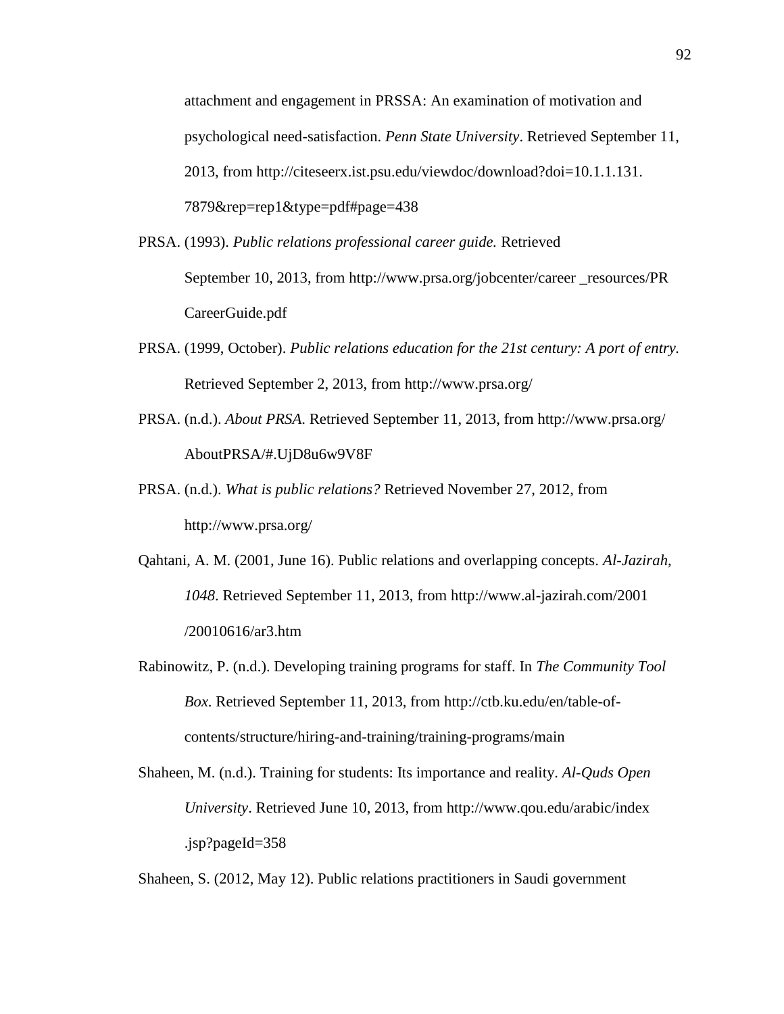attachment and engagement in PRSSA: An examination of motivation and psychological need-satisfaction. *Penn State University*. Retrieved September 11, 2013, from http://citeseerx.ist.psu.edu/viewdoc/download?doi=10.1.1.131. 7879&rep=rep1&type=pdf#page=438

- PRSA. (1993). *Public relations professional career guide.* Retrieved September 10, 2013, from http://www.prsa.org/jobcenter/career \_resources/PR CareerGuide.pdf
- PRSA. (1999, October). *Public relations education for the 21st century: A port of entry.* Retrieved September 2, 2013, from http://www.prsa.org/
- PRSA. (n.d.). *About PRSA*. Retrieved September 11, 2013, from http://www.prsa.org/ AboutPRSA/#.UjD8u6w9V8F
- PRSA. (n.d.). *What is public relations?* Retrieved November 27, 2012, from http://www.prsa.org/
- Qahtani, A. M. (2001, June 16). Public relations and overlapping concepts. *Al-Jazirah*, *1048*. Retrieved September 11, 2013, from http://www.al-jazirah.com/2001 /20010616/ar3.htm
- Rabinowitz, P. (n.d.). Developing training programs for staff. In *The Community Tool Box*. Retrieved September 11, 2013, from http://ctb.ku.edu/en/table-ofcontents/structure/hiring-and-training/training-programs/main
- Shaheen, M. (n.d.). Training for students: Its importance and reality. *Al-Quds Open University*. Retrieved June 10, 2013, from http://www.qou.edu/arabic/index .jsp?pageId=358

Shaheen, S. (2012, May 12). Public relations practitioners in Saudi government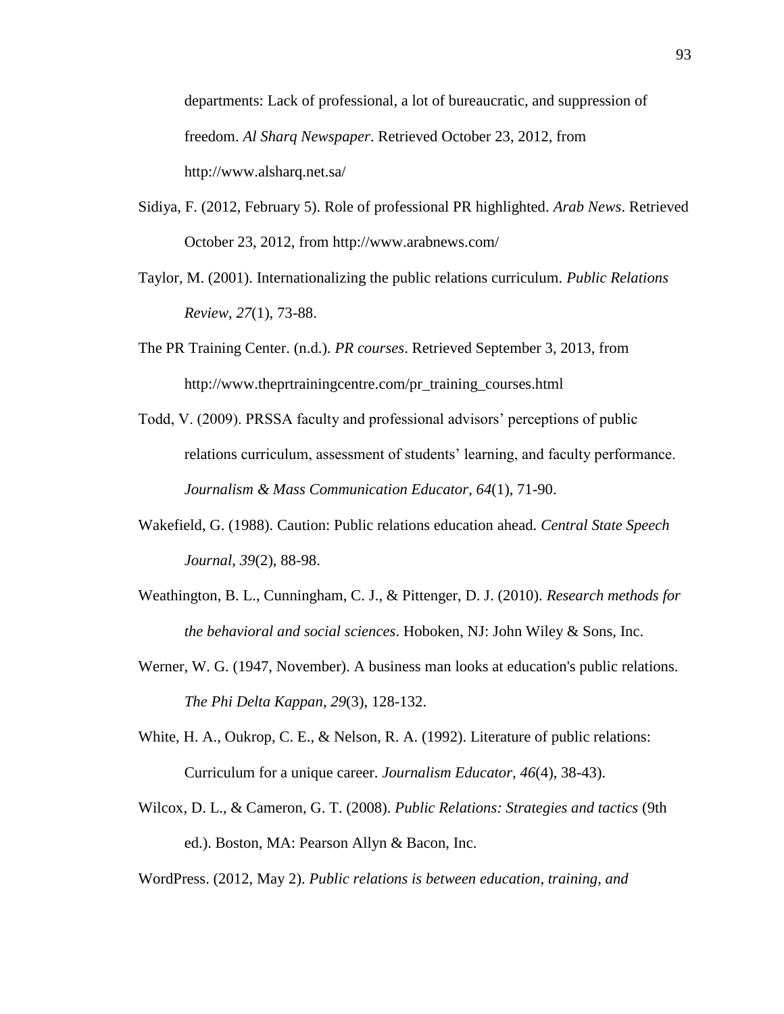departments: Lack of professional, a lot of bureaucratic, and suppression of freedom. *Al Sharq Newspaper*. Retrieved October 23, 2012, from http://www.alsharq.net.sa/

- Sidiya, F. (2012, February 5). Role of professional PR highlighted. *Arab News*. Retrieved October 23, 2012, from http://www.arabnews.com/
- Taylor, M. (2001). Internationalizing the public relations curriculum. *Public Relations Review*, *27*(1), 73-88.
- The PR Training Center. (n.d.). *PR courses*. Retrieved September 3, 2013, from http://www.theprtrainingcentre.com/pr\_training\_courses.html
- Todd, V. (2009). PRSSA faculty and professional advisors' perceptions of public relations curriculum, assessment of students' learning, and faculty performance. *Journalism & Mass Communication Educator*, *64*(1), 71-90.
- Wakefield, G. (1988). Caution: Public relations education ahead. *Central State Speech Journal*, *39*(2), 88-98.
- Weathington, B. L., Cunningham, C. J., & Pittenger, D. J. (2010). *Research methods for the behavioral and social sciences*. Hoboken, NJ: John Wiley & Sons, Inc.
- Werner, W. G. (1947, November). A business man looks at education's public relations. *The Phi Delta Kappan*, *29*(3), 128-132.
- White, H. A., Oukrop, C. E., & Nelson, R. A. (1992). Literature of public relations: Curriculum for a unique career. *Journalism Educator, 46*(4), 38-43).
- Wilcox, D. L., & Cameron, G. T. (2008). *Public Relations: Strategies and tactics* (9th ed.). Boston, MA: Pearson Allyn & Bacon, Inc.

WordPress. (2012, May 2). *Public relations is between education, training, and*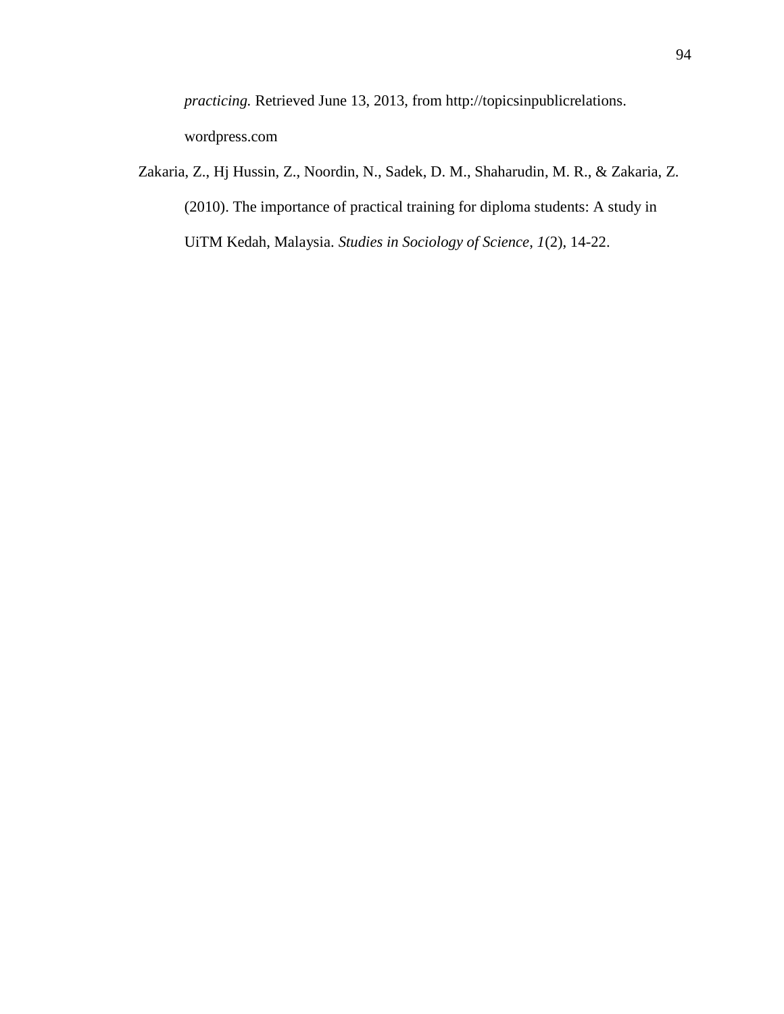*practicing.* Retrieved June 13, 2013, from [http://topicsinpublicrelations.](http://topicsinpublicrelations/) wordpress.com

Zakaria, Z., Hj Hussin, Z., Noordin, N., Sadek, D. M., Shaharudin, M. R., & Zakaria, Z. (2010). The importance of practical training for diploma students: A study in UiTM Kedah, Malaysia. *Studies in Sociology of Science*, *1*(2), 14-22.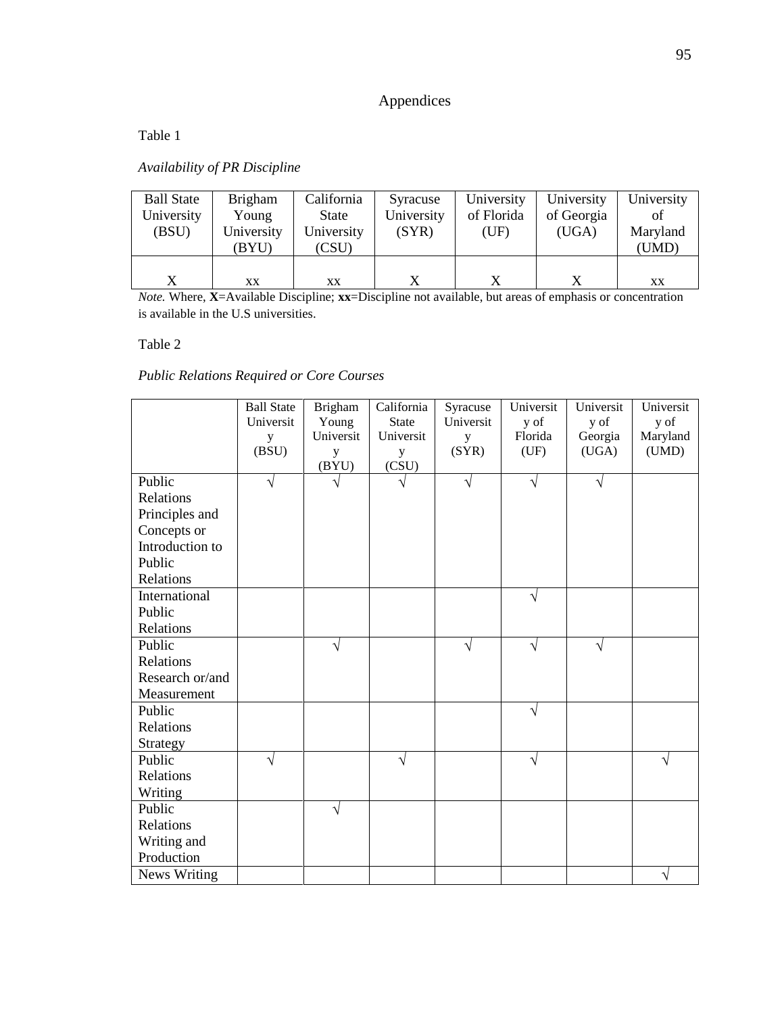# Appendices

Table 1

## *Availability of PR Discipline*

| <b>Ball State</b> | <b>Brigham</b> | California | Syracuse   | University | University | University |
|-------------------|----------------|------------|------------|------------|------------|------------|
| University        | Young          | State      | University | of Florida | of Georgia | of         |
| (BSU)             | University     | University | (SYR)      | (UF)       | (UGA)      | Maryland   |
|                   | (BYU)          | (CSU)      |            |            |            | (UMD)      |
|                   |                |            |            |            |            |            |
|                   | XX.            | XX         |            |            |            | XX.        |

*Note.* Where, **X**=Available Discipline; **xx**=Discipline not available, but areas of emphasis or concentration is available in the U.S universities.

### Table 2

## *Public Relations Required or Core Courses*

|                                                       | <b>Ball State</b><br>Universit<br>y<br>(BSU) | Brigham<br>Young<br>Universit<br>y | California<br><b>State</b><br>Universit<br>y | Syracuse<br>Universit<br>y<br>(SYR) | Universit<br>y of<br>Florida<br>(UF) | Universit<br>y of<br>Georgia<br>(UGA) | Universit<br>y of<br>Maryland<br>(UMD) |
|-------------------------------------------------------|----------------------------------------------|------------------------------------|----------------------------------------------|-------------------------------------|--------------------------------------|---------------------------------------|----------------------------------------|
|                                                       |                                              | (BYU)                              | $\overline{\text{CSU}}$                      |                                     |                                      |                                       |                                        |
| Public<br>Relations<br>Principles and                 | V                                            |                                    |                                              | N                                   | $\sqrt{}$                            | V                                     |                                        |
| Concepts or<br>Introduction to<br>Public<br>Relations |                                              |                                    |                                              |                                     |                                      |                                       |                                        |
| International<br>Public<br>Relations                  |                                              |                                    |                                              |                                     | $\sqrt{ }$                           |                                       |                                        |
| Public<br>Relations<br>Research or/and<br>Measurement |                                              | V                                  |                                              | V                                   | $\sqrt{ }$                           | V                                     |                                        |
| Public<br>Relations<br>Strategy                       |                                              |                                    |                                              |                                     | $\sqrt{ }$                           |                                       |                                        |
| Public<br>Relations<br>Writing                        |                                              |                                    | V                                            |                                     | V                                    |                                       |                                        |
| Public<br>Relations<br>Writing and<br>Production      |                                              | V                                  |                                              |                                     |                                      |                                       |                                        |
| News Writing                                          |                                              |                                    |                                              |                                     |                                      |                                       | V                                      |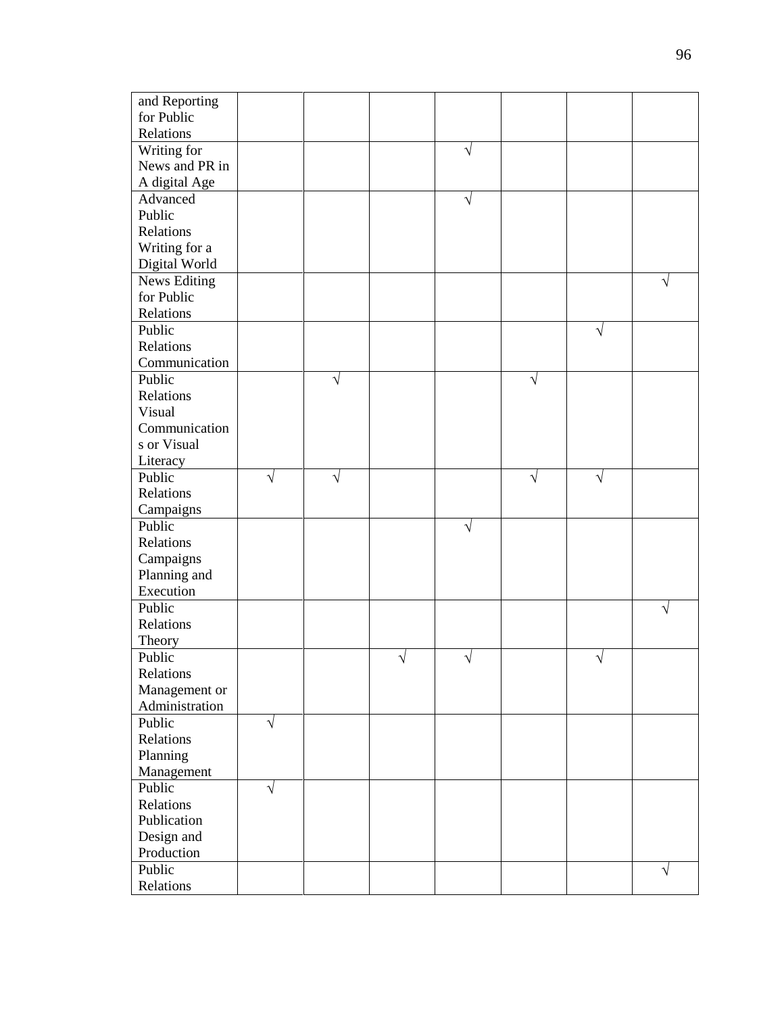| and Reporting  |           |   |           |           |   |           |           |
|----------------|-----------|---|-----------|-----------|---|-----------|-----------|
| for Public     |           |   |           |           |   |           |           |
| Relations      |           |   |           |           |   |           |           |
| Writing for    |           |   |           | $\sqrt{}$ |   |           |           |
| News and PR in |           |   |           |           |   |           |           |
| A digital Age  |           |   |           |           |   |           |           |
| Advanced       |           |   |           | $\sqrt{}$ |   |           |           |
| Public         |           |   |           |           |   |           |           |
| Relations      |           |   |           |           |   |           |           |
| Writing for a  |           |   |           |           |   |           |           |
| Digital World  |           |   |           |           |   |           |           |
| News Editing   |           |   |           |           |   |           | V         |
| for Public     |           |   |           |           |   |           |           |
| Relations      |           |   |           |           |   |           |           |
| Public         |           |   |           |           |   | $\sqrt{}$ |           |
| Relations      |           |   |           |           |   |           |           |
| Communication  |           |   |           |           |   |           |           |
| Public         |           | V |           |           | V |           |           |
| Relations      |           |   |           |           |   |           |           |
| Visual         |           |   |           |           |   |           |           |
| Communication  |           |   |           |           |   |           |           |
| s or Visual    |           |   |           |           |   |           |           |
| Literacy       |           |   |           |           |   |           |           |
| Public         | $\sqrt{}$ | V |           |           | V | $\sqrt{}$ |           |
| Relations      |           |   |           |           |   |           |           |
| Campaigns      |           |   |           |           |   |           |           |
| Public         |           |   |           | $\sqrt{}$ |   |           |           |
| Relations      |           |   |           |           |   |           |           |
| Campaigns      |           |   |           |           |   |           |           |
| Planning and   |           |   |           |           |   |           |           |
| Execution      |           |   |           |           |   |           |           |
| Public         |           |   |           |           |   |           |           |
| Relations      |           |   |           |           |   |           |           |
| Theory         |           |   |           |           |   |           |           |
| Public         |           |   | $\sqrt{}$ | $\sqrt{}$ |   | $\sqrt{}$ |           |
| Relations      |           |   |           |           |   |           |           |
| Management or  |           |   |           |           |   |           |           |
| Administration |           |   |           |           |   |           |           |
| Public         | $\sqrt{}$ |   |           |           |   |           |           |
| Relations      |           |   |           |           |   |           |           |
| Planning       |           |   |           |           |   |           |           |
| Management     |           |   |           |           |   |           |           |
| Public         | $\sqrt{}$ |   |           |           |   |           |           |
| Relations      |           |   |           |           |   |           |           |
| Publication    |           |   |           |           |   |           |           |
| Design and     |           |   |           |           |   |           |           |
| Production     |           |   |           |           |   |           |           |
| Public         |           |   |           |           |   |           | $\sqrt{}$ |
| Relations      |           |   |           |           |   |           |           |
|                |           |   |           |           |   |           |           |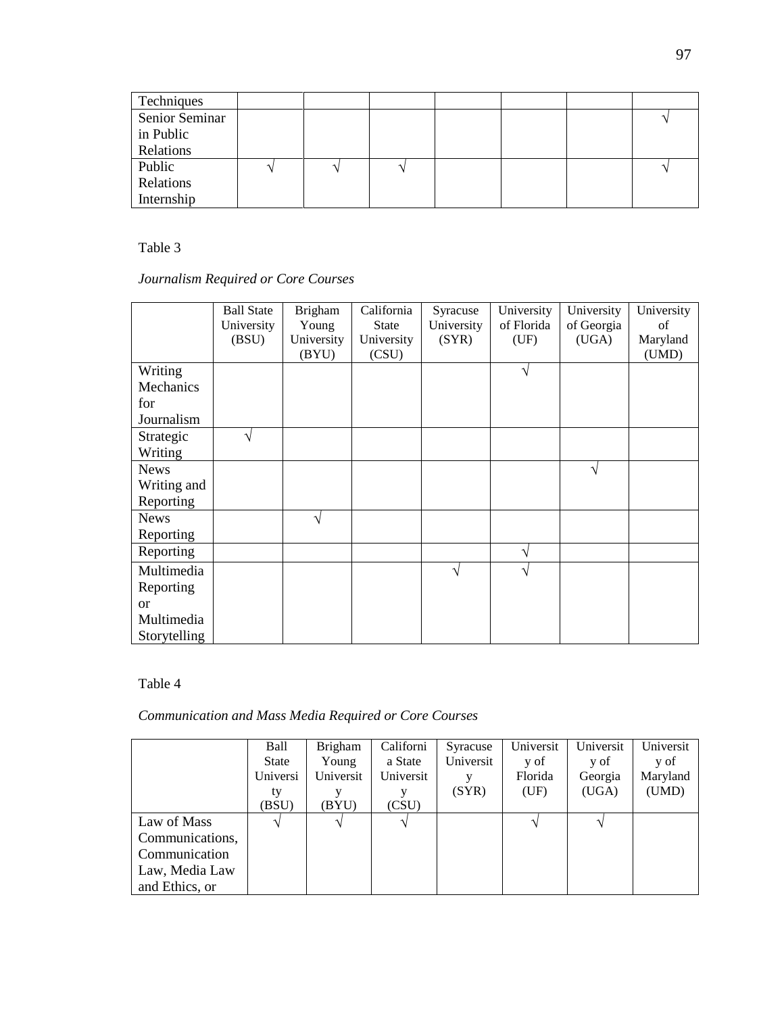| Techniques     |                   |  |  |  |
|----------------|-------------------|--|--|--|
| Senior Seminar |                   |  |  |  |
| in Public      |                   |  |  |  |
| Relations      |                   |  |  |  |
| Public         | $\mathbf \Lambda$ |  |  |  |
| Relations      |                   |  |  |  |
| Internship     |                   |  |  |  |

## *Journalism Required or Core Courses*

|               | <b>Ball State</b> | <b>Brigham</b> | California   | Syracuse      | University | University | University |
|---------------|-------------------|----------------|--------------|---------------|------------|------------|------------|
|               | University        | Young          | <b>State</b> | University    | of Florida | of Georgia | of         |
|               | (BSU)             | University     | University   | (SYR)         | (UF)       | (UGA)      | Maryland   |
|               |                   | (BYU)          | (CSU)        |               |            |            | (UMD)      |
| Writing       |                   |                |              |               | $\sqrt{ }$ |            |            |
| Mechanics     |                   |                |              |               |            |            |            |
| for           |                   |                |              |               |            |            |            |
| Journalism    |                   |                |              |               |            |            |            |
| Strategic     | V                 |                |              |               |            |            |            |
| Writing       |                   |                |              |               |            |            |            |
| <b>News</b>   |                   |                |              |               |            | V          |            |
| Writing and   |                   |                |              |               |            |            |            |
| Reporting     |                   |                |              |               |            |            |            |
| <b>News</b>   |                   | $\sqrt{ }$     |              |               |            |            |            |
| Reporting     |                   |                |              |               |            |            |            |
| Reporting     |                   |                |              |               | N          |            |            |
| Multimedia    |                   |                |              | $\mathcal{L}$ | $\sqrt{ }$ |            |            |
| Reporting     |                   |                |              |               |            |            |            |
| <sub>or</sub> |                   |                |              |               |            |            |            |
| Multimedia    |                   |                |              |               |            |            |            |
| Storytelling  |                   |                |              |               |            |            |            |

### Table 4

*Communication and Mass Media Required or Core Courses*

|                 | Ball          | <b>Brigham</b> | Californi     | Syracuse  | Universit | Universit | Universit |
|-----------------|---------------|----------------|---------------|-----------|-----------|-----------|-----------|
|                 | <b>State</b>  | Young          | a State       | Universit | y of      | y of      | y of      |
|                 | Universi      | Universit      | Universit     | v         | Florida   | Georgia   | Maryland  |
|                 | ty            |                | v             | (SYR)     | (UF)      | (UGA)     | (UMD)     |
|                 | (BSU)         | (BYU)          | (CSU)         |           |           |           |           |
| Law of Mass     | $\mathcal{N}$ |                | $\mathcal{N}$ |           |           |           |           |
| Communications, |               |                |               |           |           |           |           |
| Communication   |               |                |               |           |           |           |           |
| Law, Media Law  |               |                |               |           |           |           |           |
| and Ethics, or  |               |                |               |           |           |           |           |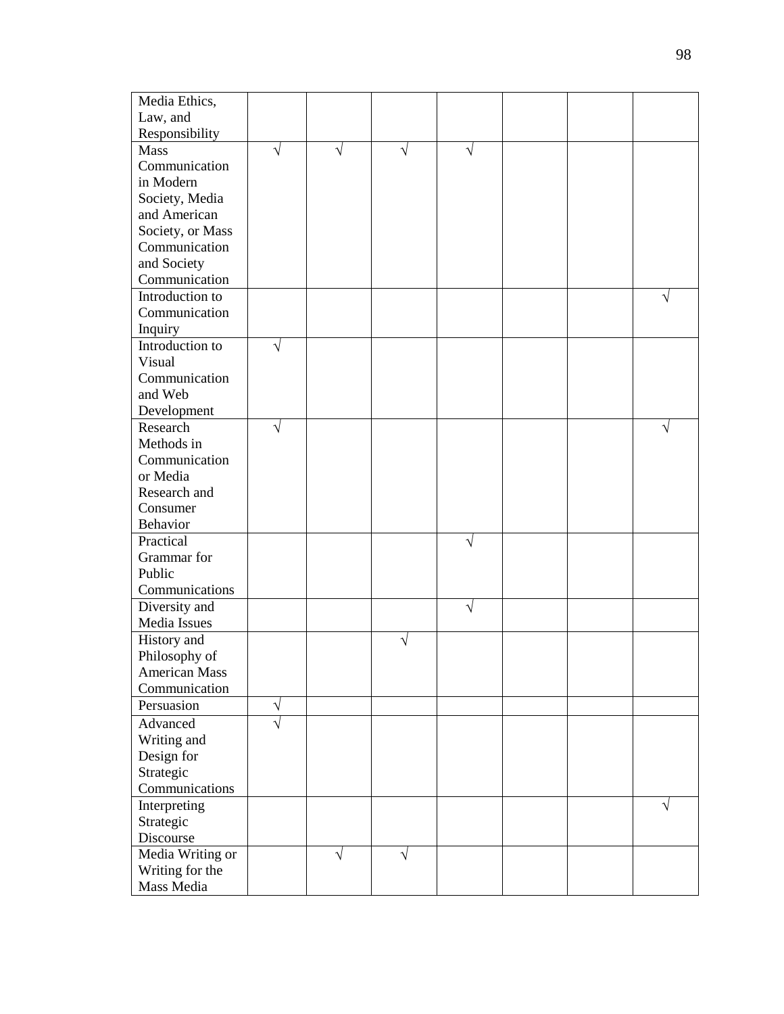| Media Ethics,               |           |           |           |           |  |   |
|-----------------------------|-----------|-----------|-----------|-----------|--|---|
| Law, and                    |           |           |           |           |  |   |
| Responsibility              |           |           |           |           |  |   |
| <b>Mass</b>                 | $\sqrt{}$ | $\sqrt{}$ | $\sqrt{}$ | $\sqrt{}$ |  |   |
| Communication               |           |           |           |           |  |   |
| in Modern                   |           |           |           |           |  |   |
| Society, Media              |           |           |           |           |  |   |
| and American                |           |           |           |           |  |   |
| Society, or Mass            |           |           |           |           |  |   |
| Communication               |           |           |           |           |  |   |
| and Society                 |           |           |           |           |  |   |
| Communication               |           |           |           |           |  |   |
| Introduction to             |           |           |           |           |  | V |
| Communication               |           |           |           |           |  |   |
| Inquiry                     |           |           |           |           |  |   |
| Introduction to             | N         |           |           |           |  |   |
| Visual                      |           |           |           |           |  |   |
| Communication               |           |           |           |           |  |   |
| and Web                     |           |           |           |           |  |   |
| Development                 |           |           |           |           |  |   |
| Research                    | V         |           |           |           |  | N |
| Methods in                  |           |           |           |           |  |   |
| Communication               |           |           |           |           |  |   |
| or Media                    |           |           |           |           |  |   |
| Research and                |           |           |           |           |  |   |
| Consumer                    |           |           |           |           |  |   |
| Behavior                    |           |           |           |           |  |   |
| Practical                   |           |           |           | V         |  |   |
| Grammar for                 |           |           |           |           |  |   |
| Public                      |           |           |           |           |  |   |
| Communications              |           |           |           |           |  |   |
| Diversity and               |           |           |           | $\sqrt{}$ |  |   |
| Media Issues                |           |           |           |           |  |   |
| History and                 |           |           | V         |           |  |   |
| Philosophy of               |           |           |           |           |  |   |
| <b>American Mass</b>        |           |           |           |           |  |   |
| Communication               |           |           |           |           |  |   |
| Persuasion                  | $\sqrt{}$ |           |           |           |  |   |
| Advanced                    |           |           |           |           |  |   |
| Writing and                 |           |           |           |           |  |   |
| Design for                  |           |           |           |           |  |   |
|                             |           |           |           |           |  |   |
| Strategic<br>Communications |           |           |           |           |  |   |
|                             |           |           |           |           |  |   |
| Interpreting                |           |           |           |           |  |   |
| Strategic                   |           |           |           |           |  |   |
| Discourse                   |           |           |           |           |  |   |
| Media Writing or            |           | $\sqrt{}$ | $\sqrt{}$ |           |  |   |
| Writing for the             |           |           |           |           |  |   |
| Mass Media                  |           |           |           |           |  |   |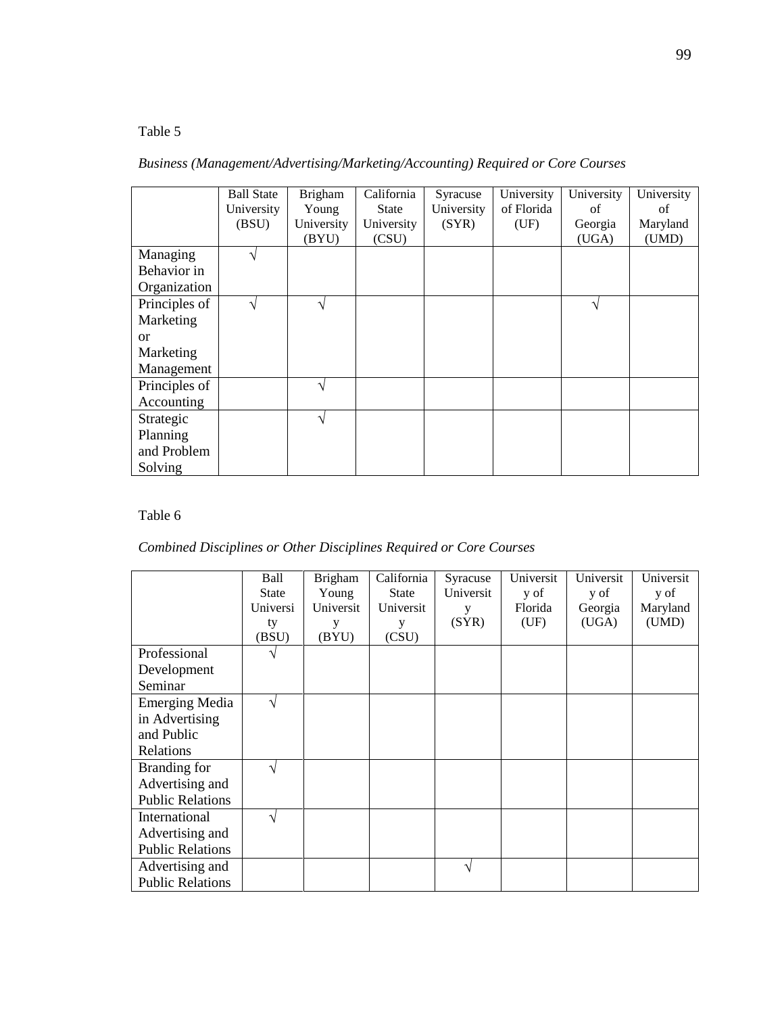|               | <b>Ball State</b> | <b>Brigham</b> | California | Syracuse   | University | University | University |
|---------------|-------------------|----------------|------------|------------|------------|------------|------------|
|               | University        | Young          | State      | University | of Florida | of         | of         |
|               | (BSU)             | University     | University | (SYR)      | (UF)       | Georgia    | Maryland   |
|               |                   | (BYU)          | (CSU)      |            |            | (UGA)      | (UMD)      |
| Managing      |                   |                |            |            |            |            |            |
| Behavior in   |                   |                |            |            |            |            |            |
| Organization  |                   |                |            |            |            |            |            |
| Principles of | $\mathcal{L}$     | ٦Ι             |            |            |            | اد         |            |
| Marketing     |                   |                |            |            |            |            |            |
| <b>or</b>     |                   |                |            |            |            |            |            |
| Marketing     |                   |                |            |            |            |            |            |
| Management    |                   |                |            |            |            |            |            |
| Principles of |                   |                |            |            |            |            |            |
| Accounting    |                   |                |            |            |            |            |            |
| Strategic     |                   |                |            |            |            |            |            |
| Planning      |                   |                |            |            |            |            |            |
| and Problem   |                   |                |            |            |            |            |            |
| Solving       |                   |                |            |            |            |            |            |

## *Business (Management/Advertising/Marketing/Accounting) Required or Core Courses*

## Table 6

## *Combined Disciplines or Other Disciplines Required or Core Courses*

|                         | Ball         | <b>Brigham</b> | California   | Syracuse  | Universit | Universit | Universit |
|-------------------------|--------------|----------------|--------------|-----------|-----------|-----------|-----------|
|                         | <b>State</b> | Young          | <b>State</b> | Universit | y of      | y of      | y of      |
|                         | Universi     | Universit      | Universit    | у         | Florida   | Georgia   | Maryland  |
|                         | ty           |                | y            | (SYR)     | (UF)      | (UGA)     | (UMD)     |
|                         | (BSU)        | (BYU)          | (CSU)        |           |           |           |           |
| Professional            |              |                |              |           |           |           |           |
| Development             |              |                |              |           |           |           |           |
| Seminar                 |              |                |              |           |           |           |           |
| <b>Emerging Media</b>   | N            |                |              |           |           |           |           |
| in Advertising          |              |                |              |           |           |           |           |
| and Public              |              |                |              |           |           |           |           |
| Relations               |              |                |              |           |           |           |           |
| Branding for            | V            |                |              |           |           |           |           |
| Advertising and         |              |                |              |           |           |           |           |
| <b>Public Relations</b> |              |                |              |           |           |           |           |
| International           | V            |                |              |           |           |           |           |
| Advertising and         |              |                |              |           |           |           |           |
| <b>Public Relations</b> |              |                |              |           |           |           |           |
| Advertising and         |              |                |              | ٦         |           |           |           |
| <b>Public Relations</b> |              |                |              |           |           |           |           |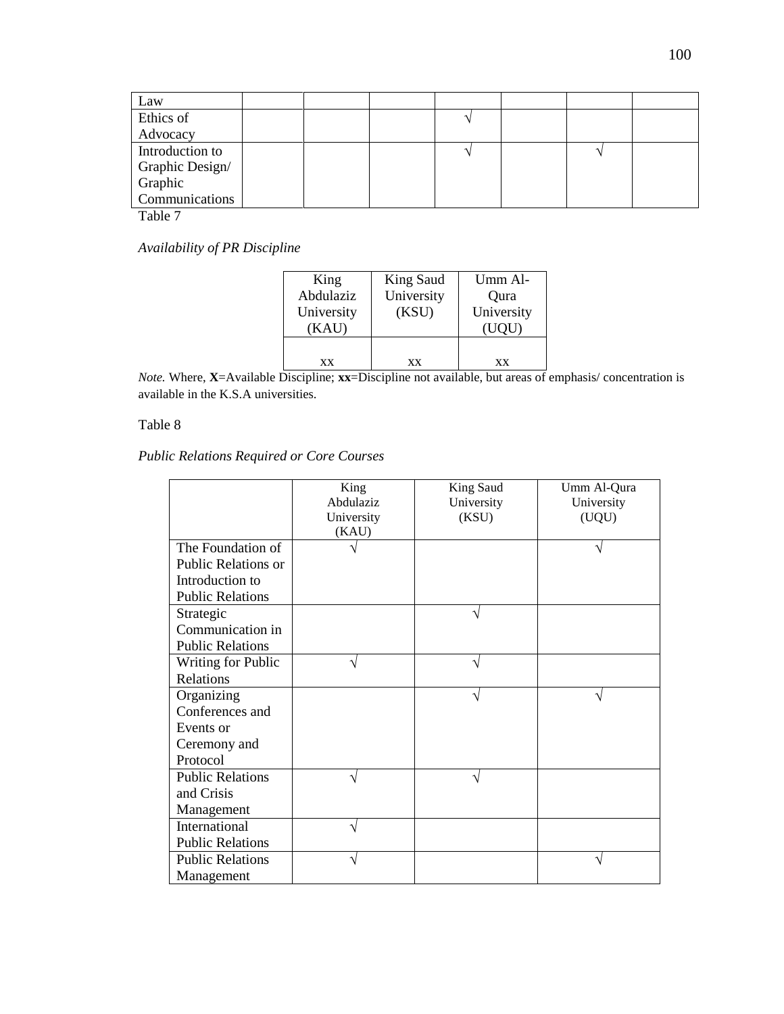| Law             |  |  |  |  |
|-----------------|--|--|--|--|
| Ethics of       |  |  |  |  |
| Advocacy        |  |  |  |  |
| Introduction to |  |  |  |  |
| Graphic Design/ |  |  |  |  |
| Graphic         |  |  |  |  |
| Communications  |  |  |  |  |
| ___             |  |  |  |  |

*Availability of PR Discipline*

| King<br>Abdulaziz<br>University<br>(KAU) | King Saud<br>University<br>(KSU) | Umm Al-<br>Qura<br>University<br>(UOU) |
|------------------------------------------|----------------------------------|----------------------------------------|
| <b>XX</b>                                | <b>XX</b>                        | xх                                     |

*Note.* Where, **X**=Available Discipline; **xx**=Discipline not available, but areas of emphasis/ concentration is available in the K.S.A universities.

### Table 8

*Public Relations Required or Core Courses* 

|                            | King<br>Abdulaziz<br>University | King Saud<br>University<br>(KSU) | Umm Al-Qura<br>University<br>(UQU) |
|----------------------------|---------------------------------|----------------------------------|------------------------------------|
|                            | (KAU)                           |                                  |                                    |
| The Foundation of          |                                 |                                  |                                    |
| <b>Public Relations or</b> |                                 |                                  |                                    |
| Introduction to            |                                 |                                  |                                    |
| <b>Public Relations</b>    |                                 |                                  |                                    |
| Strategic                  |                                 | ٦                                |                                    |
| Communication in           |                                 |                                  |                                    |
| <b>Public Relations</b>    |                                 |                                  |                                    |
| <b>Writing for Public</b>  |                                 |                                  |                                    |
| Relations                  |                                 |                                  |                                    |
| Organizing                 |                                 |                                  |                                    |
| Conferences and            |                                 |                                  |                                    |
| Events or                  |                                 |                                  |                                    |
| Ceremony and               |                                 |                                  |                                    |
| Protocol                   |                                 |                                  |                                    |
| <b>Public Relations</b>    |                                 |                                  |                                    |
| and Crisis                 |                                 |                                  |                                    |
| Management                 |                                 |                                  |                                    |
| International              |                                 |                                  |                                    |
| <b>Public Relations</b>    |                                 |                                  |                                    |
| <b>Public Relations</b>    |                                 |                                  |                                    |
| Management                 |                                 |                                  |                                    |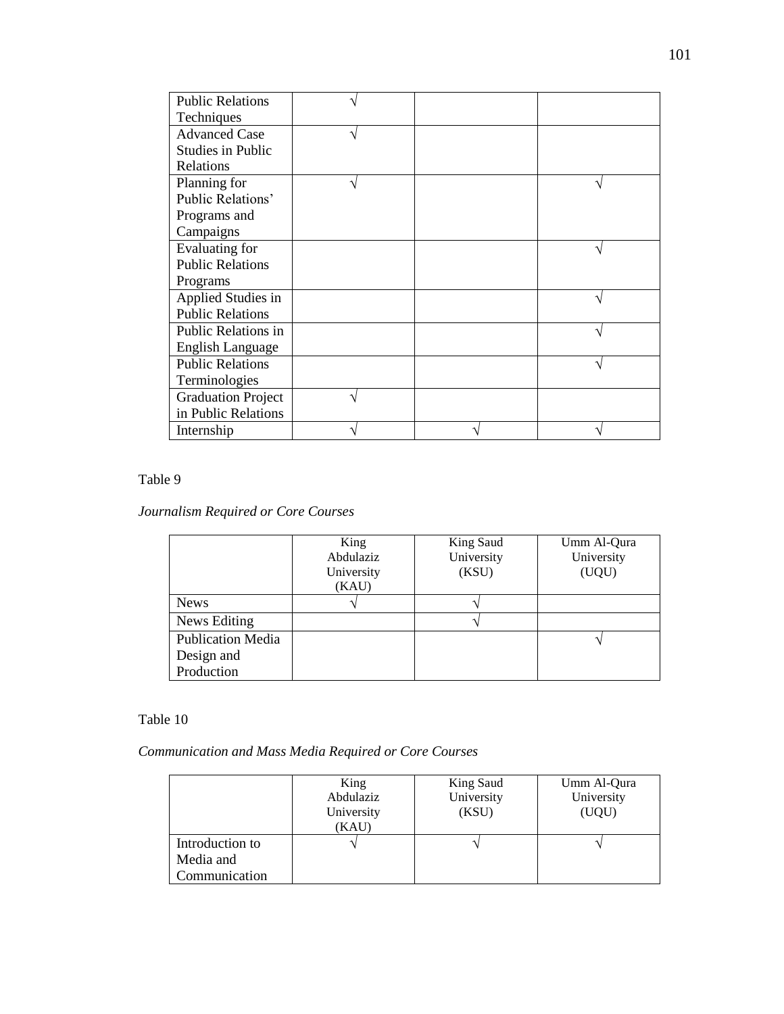| <b>Public Relations</b>    |  |  |
|----------------------------|--|--|
| Techniques                 |  |  |
| <b>Advanced Case</b>       |  |  |
| <b>Studies in Public</b>   |  |  |
| Relations                  |  |  |
| Planning for               |  |  |
| Public Relations'          |  |  |
| Programs and               |  |  |
| Campaigns                  |  |  |
| Evaluating for             |  |  |
| <b>Public Relations</b>    |  |  |
| Programs                   |  |  |
| Applied Studies in         |  |  |
| <b>Public Relations</b>    |  |  |
| <b>Public Relations in</b> |  |  |
| English Language           |  |  |
| <b>Public Relations</b>    |  |  |
| Terminologies              |  |  |
| <b>Graduation Project</b>  |  |  |
| in Public Relations        |  |  |
| Internship                 |  |  |

*Journalism Required or Core Courses*

|                          | King<br>Abdulaziz<br>University<br>(KAU) | King Saud<br>University<br>(KSU) | Umm Al-Qura<br>University<br>(UQU) |
|--------------------------|------------------------------------------|----------------------------------|------------------------------------|
| <b>News</b>              |                                          |                                  |                                    |
| News Editing             |                                          |                                  |                                    |
| <b>Publication Media</b> |                                          |                                  |                                    |
| Design and               |                                          |                                  |                                    |
| Production               |                                          |                                  |                                    |

## Table 10

*Communication and Mass Media Required or Core Courses*

|                 | King<br>Abdulaziz<br>University<br>(KAU) | King Saud<br>University<br>(KSU) | Umm Al-Qura<br>University<br>(UQU) |
|-----------------|------------------------------------------|----------------------------------|------------------------------------|
| Introduction to |                                          |                                  |                                    |
| Media and       |                                          |                                  |                                    |
| Communication   |                                          |                                  |                                    |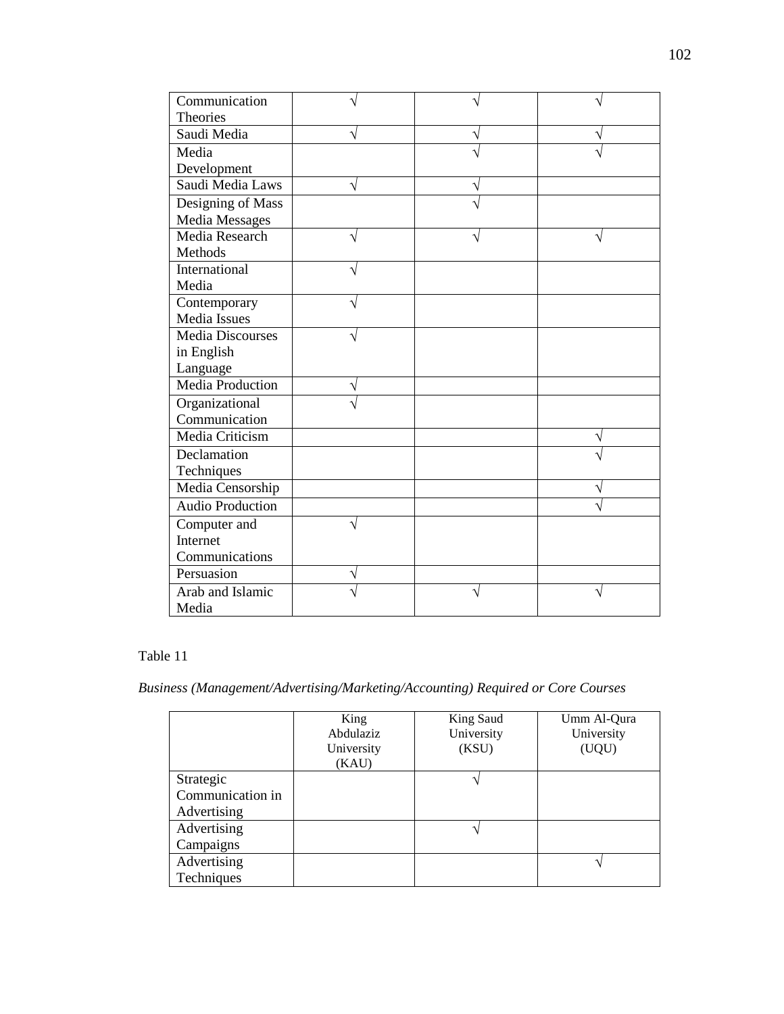| Communication           |  |  |
|-------------------------|--|--|
| Theories                |  |  |
| Saudi Media             |  |  |
| Media                   |  |  |
| Development             |  |  |
| Saudi Media Laws        |  |  |
| Designing of Mass       |  |  |
| Media Messages          |  |  |
| Media Research          |  |  |
| Methods                 |  |  |
| International           |  |  |
| Media                   |  |  |
| Contemporary            |  |  |
| <b>Media Issues</b>     |  |  |
| <b>Media Discourses</b> |  |  |
| in English              |  |  |
| Language                |  |  |
| <b>Media Production</b> |  |  |
| Organizational          |  |  |
| Communication           |  |  |
| Media Criticism         |  |  |
| Declamation             |  |  |
| Techniques              |  |  |
| Media Censorship        |  |  |
| Audio Production        |  |  |
| Computer and            |  |  |
| Internet                |  |  |
| Communications          |  |  |
| Persuasion              |  |  |
| Arab and Islamic        |  |  |
| Media                   |  |  |

# *Business (Management/Advertising/Marketing/Accounting) Required or Core Courses*

|                  | King<br>Abdulaziz<br>University<br>(KAU) | King Saud<br>University<br>(KSU) | Umm Al-Qura<br>University<br>(UQU) |
|------------------|------------------------------------------|----------------------------------|------------------------------------|
| Strategic        |                                          |                                  |                                    |
| Communication in |                                          |                                  |                                    |
| Advertising      |                                          |                                  |                                    |
| Advertising      |                                          |                                  |                                    |
| Campaigns        |                                          |                                  |                                    |
| Advertising      |                                          |                                  |                                    |
| Techniques       |                                          |                                  |                                    |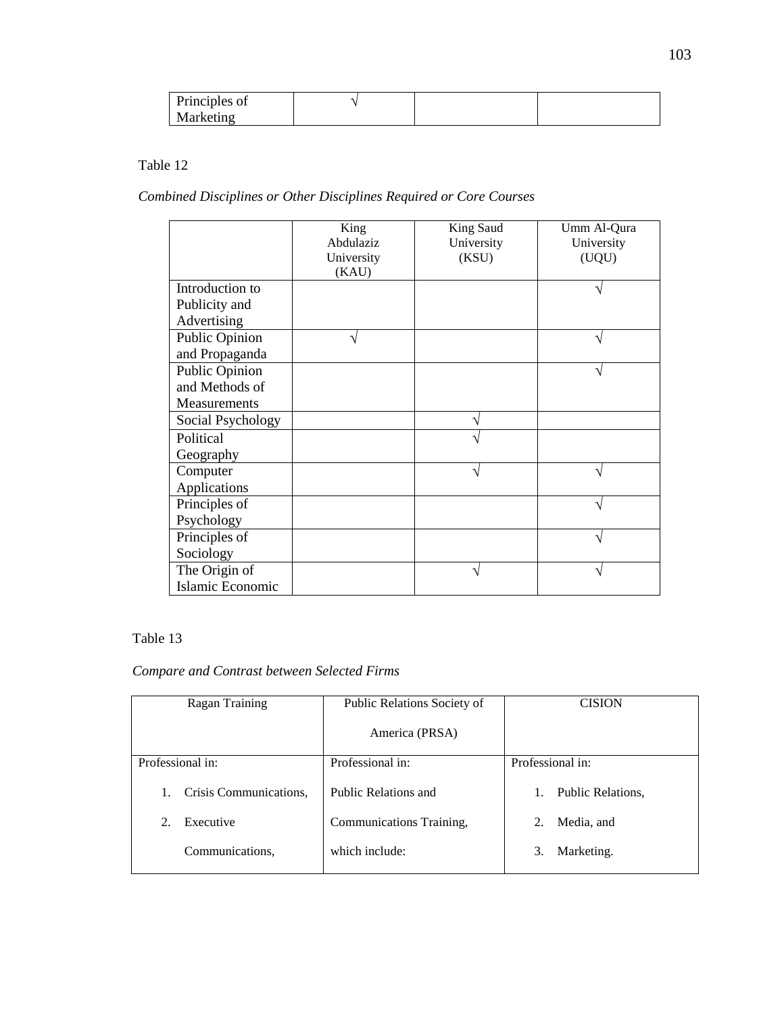| Principles of |  |  |
|---------------|--|--|
| Marketing     |  |  |

*Combined Disciplines or Other Disciplines Required or Core Courses*

|                   | King       | King Saud  | Umm Al-Qura |
|-------------------|------------|------------|-------------|
|                   | Abdulaziz  | University | University  |
|                   |            | (KSU)      |             |
|                   | University |            | (UQU)       |
|                   | (KAU)      |            |             |
| Introduction to   |            |            |             |
| Publicity and     |            |            |             |
| Advertising       |            |            |             |
| Public Opinion    |            |            |             |
| and Propaganda    |            |            |             |
| Public Opinion    |            |            |             |
| and Methods of    |            |            |             |
| Measurements      |            |            |             |
| Social Psychology |            |            |             |
| Political         |            |            |             |
| Geography         |            |            |             |
| Computer          |            |            |             |
| Applications      |            |            |             |
| Principles of     |            |            |             |
| Psychology        |            |            |             |
| Principles of     |            |            |             |
| Sociology         |            |            |             |
| The Origin of     |            |            |             |
| Islamic Economic  |            |            |             |

## Table 13

## *Compare and Contrast between Selected Firms*

| Ragan Training               | Public Relations Society of | <b>CISION</b>     |
|------------------------------|-----------------------------|-------------------|
|                              | America (PRSA)              |                   |
| Professional in:             | Professional in:            | Professional in:  |
| 1.<br>Crisis Communications. | Public Relations and        | Public Relations, |
| Executive<br>$2^{\circ}$     | Communications Training,    | 2.<br>Media, and  |
| Communications,              | which include:              | 3.<br>Marketing.  |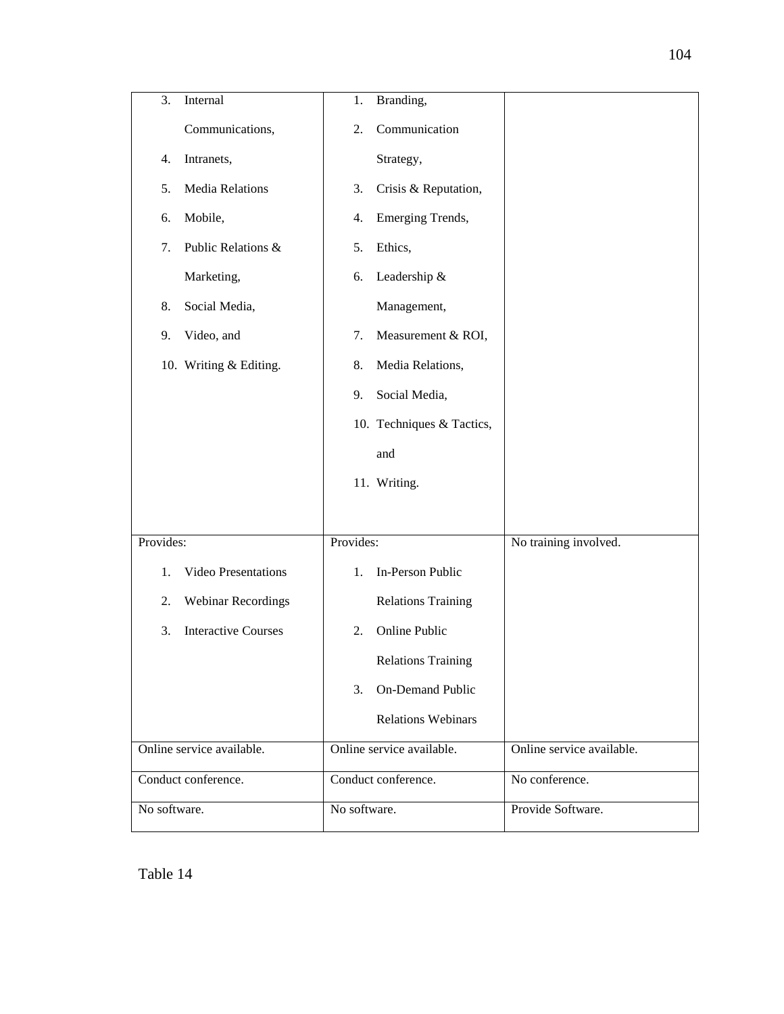| 3.<br>Internal                   | Branding,<br>1.            |                           |
|----------------------------------|----------------------------|---------------------------|
| Communications,                  | Communication<br>2.        |                           |
| Intranets,<br>4.                 | Strategy,                  |                           |
| 5.<br><b>Media Relations</b>     | 3.<br>Crisis & Reputation, |                           |
| Mobile,<br>6.                    | Emerging Trends,<br>4.     |                           |
| Public Relations &<br>7.         | Ethics,<br>5.              |                           |
| Marketing,                       | Leadership &<br>6.         |                           |
| Social Media,<br>8.              | Management,                |                           |
| Video, and<br>9.                 | Measurement & ROI,<br>7.   |                           |
| 10. Writing & Editing.           | Media Relations,<br>8.     |                           |
|                                  | Social Media,<br>9.        |                           |
|                                  | 10. Techniques & Tactics,  |                           |
|                                  | and                        |                           |
|                                  | 11. Writing.               |                           |
|                                  |                            |                           |
| Provides:                        | Provides:                  | No training involved.     |
| Video Presentations<br>1.        | In-Person Public<br>1.     |                           |
| <b>Webinar Recordings</b><br>2.  | <b>Relations Training</b>  |                           |
| <b>Interactive Courses</b><br>3. | Online Public<br>2.        |                           |
|                                  | <b>Relations Training</b>  |                           |
|                                  | 3.<br>On-Demand Public     |                           |
|                                  | <b>Relations Webinars</b>  |                           |
| Online service available.        | Online service available.  | Online service available. |
| Conduct conference.              | Conduct conference.        | No conference.            |
| No software.                     | No software.               | Provide Software.         |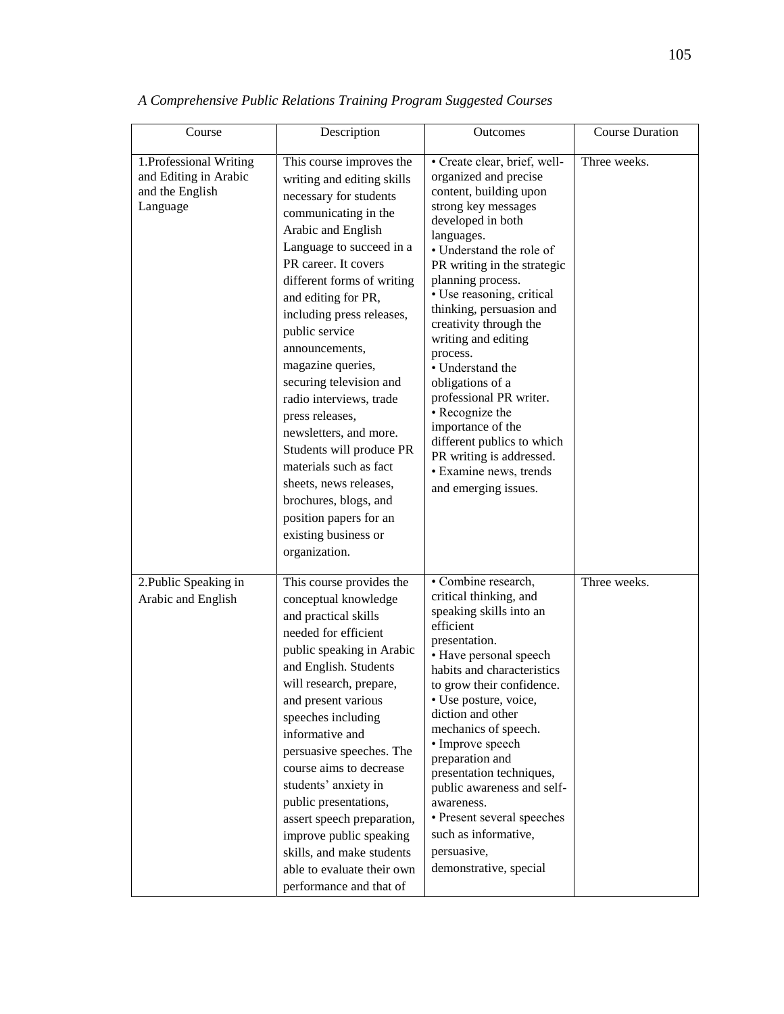| Course                                                                          | Description                                                                                                                                                                                                                                                                                                                                                                                                                                                                                                                                                                                                  | Outcomes                                                                                                                                                                                                                                                                                                                                                                                                                                                                                                                                                               | <b>Course Duration</b> |
|---------------------------------------------------------------------------------|--------------------------------------------------------------------------------------------------------------------------------------------------------------------------------------------------------------------------------------------------------------------------------------------------------------------------------------------------------------------------------------------------------------------------------------------------------------------------------------------------------------------------------------------------------------------------------------------------------------|------------------------------------------------------------------------------------------------------------------------------------------------------------------------------------------------------------------------------------------------------------------------------------------------------------------------------------------------------------------------------------------------------------------------------------------------------------------------------------------------------------------------------------------------------------------------|------------------------|
| 1. Professional Writing<br>and Editing in Arabic<br>and the English<br>Language | This course improves the<br>writing and editing skills<br>necessary for students<br>communicating in the<br>Arabic and English<br>Language to succeed in a<br>PR career. It covers<br>different forms of writing<br>and editing for PR,<br>including press releases,<br>public service<br>announcements,<br>magazine queries,<br>securing television and<br>radio interviews, trade<br>press releases,<br>newsletters, and more.<br>Students will produce PR<br>materials such as fact<br>sheets, news releases,<br>brochures, blogs, and<br>position papers for an<br>existing business or<br>organization. | · Create clear, brief, well-<br>organized and precise<br>content, building upon<br>strong key messages<br>developed in both<br>languages.<br>• Understand the role of<br>PR writing in the strategic<br>planning process.<br>• Use reasoning, critical<br>thinking, persuasion and<br>creativity through the<br>writing and editing<br>process.<br>• Understand the<br>obligations of a<br>professional PR writer.<br>• Recognize the<br>importance of the<br>different publics to which<br>PR writing is addressed.<br>• Examine news, trends<br>and emerging issues. | Three weeks.           |
| 2. Public Speaking in<br>Arabic and English                                     | This course provides the<br>conceptual knowledge<br>and practical skills<br>needed for efficient<br>public speaking in Arabic<br>and English. Students<br>will research, prepare,<br>and present various<br>speeches including<br>informative and<br>persuasive speeches. The<br>course aims to decrease<br>students' anxiety in<br>public presentations,<br>assert speech preparation,<br>improve public speaking<br>skills, and make students<br>able to evaluate their own<br>performance and that of                                                                                                     | · Combine research,<br>critical thinking, and<br>speaking skills into an<br>efficient<br>presentation.<br>• Have personal speech<br>habits and characteristics<br>to grow their confidence.<br>• Use posture, voice,<br>diction and other<br>mechanics of speech.<br>• Improve speech<br>preparation and<br>presentation techniques,<br>public awareness and self-<br>awareness.<br>• Present several speeches<br>such as informative,<br>persuasive,<br>demonstrative, special                                                                                        | Three weeks.           |

| A Comprehensive Public Relations Training Program Suggested Courses |  |  |  |
|---------------------------------------------------------------------|--|--|--|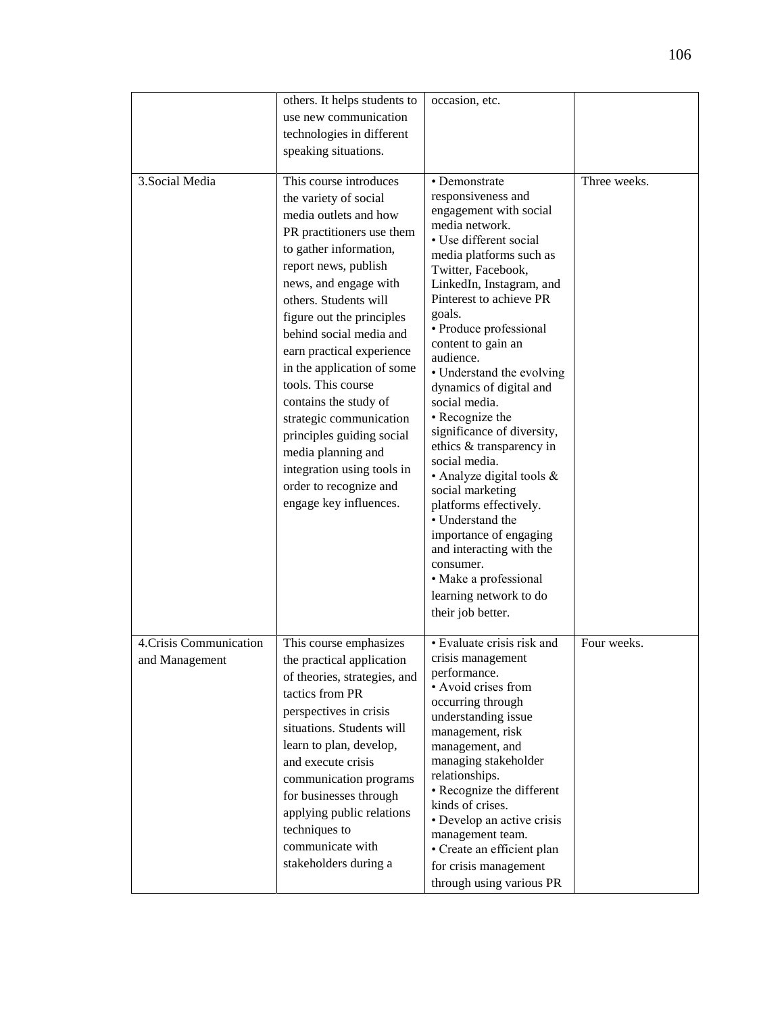|                         | others. It helps students to | occasion, etc.                                |              |
|-------------------------|------------------------------|-----------------------------------------------|--------------|
|                         | use new communication        |                                               |              |
|                         | technologies in different    |                                               |              |
|                         | speaking situations.         |                                               |              |
|                         |                              |                                               |              |
| 3. Social Media         | This course introduces       | • Demonstrate                                 | Three weeks. |
|                         | the variety of social        | responsiveness and                            |              |
|                         | media outlets and how        | engagement with social<br>media network.      |              |
|                         | PR practitioners use them    | • Use different social                        |              |
|                         | to gather information,       | media platforms such as                       |              |
|                         | report news, publish         | Twitter, Facebook,                            |              |
|                         | news, and engage with        | LinkedIn, Instagram, and                      |              |
|                         | others. Students will        | Pinterest to achieve PR                       |              |
|                         | figure out the principles    | goals.<br>• Produce professional              |              |
|                         | behind social media and      | content to gain an                            |              |
|                         | earn practical experience    | audience.                                     |              |
|                         | in the application of some   | • Understand the evolving                     |              |
|                         | tools. This course           | dynamics of digital and                       |              |
|                         | contains the study of        | social media.                                 |              |
|                         | strategic communication      | • Recognize the<br>significance of diversity, |              |
|                         | principles guiding social    | ethics & transparency in                      |              |
|                         | media planning and           | social media.                                 |              |
|                         | integration using tools in   | • Analyze digital tools $\&$                  |              |
|                         | order to recognize and       | social marketing                              |              |
|                         | engage key influences.       | platforms effectively.                        |              |
|                         |                              | • Understand the<br>importance of engaging    |              |
|                         |                              | and interacting with the                      |              |
|                         |                              | consumer.                                     |              |
|                         |                              | · Make a professional                         |              |
|                         |                              | learning network to do                        |              |
|                         |                              | their job better.                             |              |
|                         |                              |                                               |              |
| 4. Crisis Communication | This course emphasizes       | • Evaluate crisis risk and                    | Four weeks.  |
| and Management          | the practical application    | crisis management                             |              |
|                         | of theories, strategies, and | performance.<br>• Avoid crises from           |              |
|                         | tactics from PR              | occurring through                             |              |
|                         | perspectives in crisis       | understanding issue                           |              |
|                         | situations. Students will    | management, risk                              |              |
|                         | learn to plan, develop,      | management, and                               |              |
|                         | and execute crisis           | managing stakeholder                          |              |
|                         | communication programs       | relationships.<br>• Recognize the different   |              |
|                         | for businesses through       | kinds of crises.                              |              |
|                         | applying public relations    | • Develop an active crisis                    |              |
|                         | techniques to                | management team.                              |              |
|                         | communicate with             | • Create an efficient plan                    |              |
|                         | stakeholders during a        | for crisis management                         |              |
|                         |                              | through using various PR                      |              |